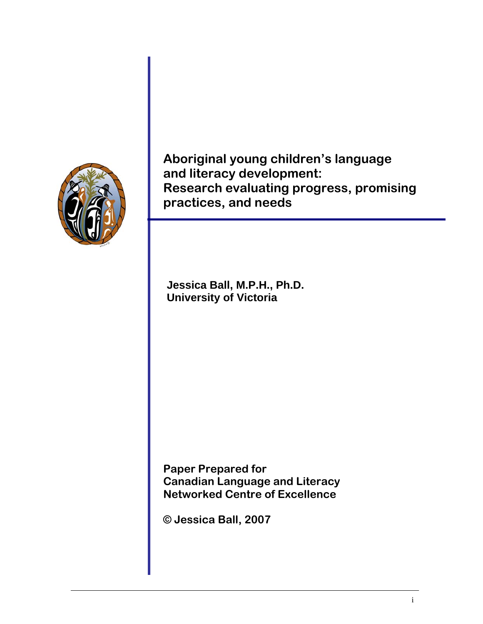

**Aboriginal young children's language and literacy development: Research evaluating progress, promising practices, and needs** 

**Jessica Ball, M.P.H., Ph.D. University of Victoria** 

**Paper Prepared for Canadian Language and Literacy Networked Centre of Excellence** 

**© Jessica Ball, 2007**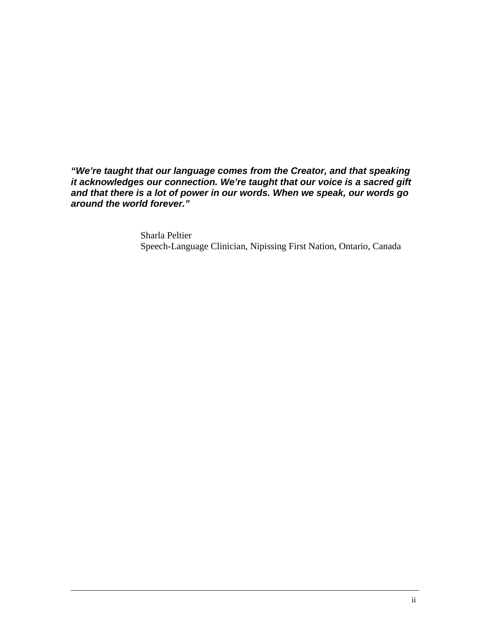*"We're taught that our language comes from the Creator, and that speaking it acknowledges our connection. We're taught that our voice is a sacred gift and that there is a lot of power in our words. When we speak, our words go around the world forever."* 

> Sharla Peltier Speech-Language Clinician, Nipissing First Nation, Ontario, Canada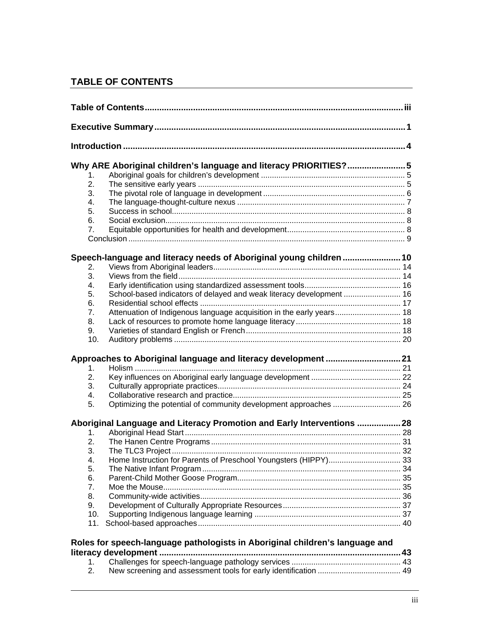# **TABLE OF CONTENTS**

|                  | Why ARE Aboriginal children's language and literacy PRIORITIES?5             |  |  |
|------------------|------------------------------------------------------------------------------|--|--|
| $\mathbf 1$ .    |                                                                              |  |  |
| $\overline{2}$ . |                                                                              |  |  |
| 3.               |                                                                              |  |  |
| 4.               |                                                                              |  |  |
| 5.               |                                                                              |  |  |
| 6.               |                                                                              |  |  |
| 7.               |                                                                              |  |  |
|                  |                                                                              |  |  |
|                  | Speech-language and literacy needs of Aboriginal young children  10          |  |  |
| 2.               |                                                                              |  |  |
| 3.               |                                                                              |  |  |
| 4.               |                                                                              |  |  |
| 5.               | School-based indicators of delayed and weak literacy development  16         |  |  |
| 6.               |                                                                              |  |  |
| 7.               | Attenuation of Indigenous language acquisition in the early years 18         |  |  |
| 8.               |                                                                              |  |  |
| 9.               |                                                                              |  |  |
| 10.              |                                                                              |  |  |
|                  | Approaches to Aboriginal language and literacy development  21               |  |  |
| 1.               |                                                                              |  |  |
| 2.               |                                                                              |  |  |
| 3.               |                                                                              |  |  |
| 4.               |                                                                              |  |  |
| 5.               | Optimizing the potential of community development approaches  26             |  |  |
|                  | Aboriginal Language and Literacy Promotion and Early Interventions  28       |  |  |
| 1.               |                                                                              |  |  |
| 2.               |                                                                              |  |  |
| 3.               |                                                                              |  |  |
| 4.               | Home Instruction for Parents of Preschool Youngsters (HIPPY) 33              |  |  |
| 5.               |                                                                              |  |  |
| 6.               |                                                                              |  |  |
| 7.               |                                                                              |  |  |
| 8.               |                                                                              |  |  |
| 9.               |                                                                              |  |  |
| 10.              |                                                                              |  |  |
| 11.              |                                                                              |  |  |
|                  | Roles for speech-language pathologists in Aboriginal children's language and |  |  |
|                  |                                                                              |  |  |
| 1 <sub>1</sub>   |                                                                              |  |  |
|                  |                                                                              |  |  |

2. New screening and assessment tools for early identification ...................................... 49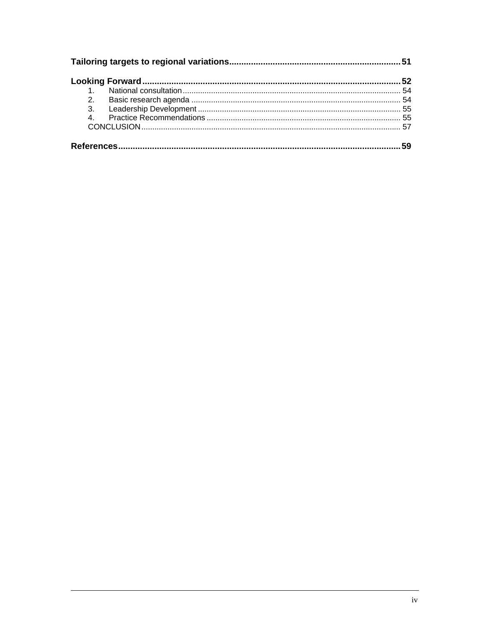| 2. |  |
|----|--|
|    |  |
| 4. |  |
|    |  |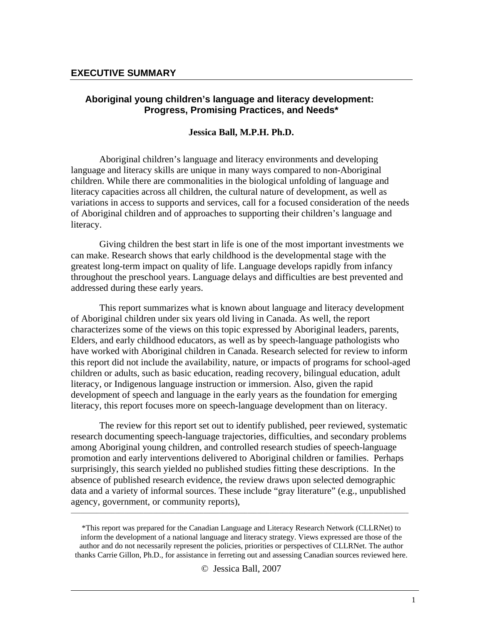### **Aboriginal young children's language and literacy development: Progress, Promising Practices, and Needs\***

#### **Jessica Ball, M.P.H. Ph.D.**

Aboriginal children's language and literacy environments and developing language and literacy skills are unique in many ways compared to non-Aboriginal children. While there are commonalities in the biological unfolding of language and literacy capacities across all children, the cultural nature of development, as well as variations in access to supports and services, call for a focused consideration of the needs of Aboriginal children and of approaches to supporting their children's language and literacy.

Giving children the best start in life is one of the most important investments we can make. Research shows that early childhood is the developmental stage with the greatest long-term impact on quality of life. Language develops rapidly from infancy throughout the preschool years. Language delays and difficulties are best prevented and addressed during these early years.

This report summarizes what is known about language and literacy development of Aboriginal children under six years old living in Canada. As well, the report characterizes some of the views on this topic expressed by Aboriginal leaders, parents, Elders, and early childhood educators, as well as by speech-language pathologists who have worked with Aboriginal children in Canada. Research selected for review to inform this report did not include the availability, nature, or impacts of programs for school-aged children or adults, such as basic education, reading recovery, bilingual education, adult literacy, or Indigenous language instruction or immersion. Also, given the rapid development of speech and language in the early years as the foundation for emerging literacy, this report focuses more on speech-language development than on literacy.

The review for this report set out to identify published, peer reviewed, systematic research documenting speech-language trajectories, difficulties, and secondary problems among Aboriginal young children, and controlled research studies of speech-language promotion and early interventions delivered to Aboriginal children or families. Perhaps surprisingly, this search yielded no published studies fitting these descriptions. In the absence of published research evidence, the review draws upon selected demographic data and a variety of informal sources. These include "gray literature" (e.g., unpublished agency, government, or community reports),

\*This report was prepared for the Canadian Language and Literacy Research Network (CLLRNet) to inform the development of a national language and literacy strategy. Views expressed are those of the author and do not necessarily represent the policies, priorities or perspectives of CLLRNet. The author thanks Carrie Gillon, Ph.D., for assistance in ferreting out and assessing Canadian sources reviewed here.

\_\_\_\_\_\_\_\_\_\_\_\_\_\_\_\_\_\_\_\_\_\_\_\_\_\_\_\_\_\_\_\_\_\_\_\_\_\_\_\_\_\_\_\_\_\_\_\_\_\_\_\_\_\_\_\_\_\_\_\_\_\_\_\_\_\_\_\_\_\_\_\_\_\_\_\_\_\_\_\_\_\_\_\_\_\_\_\_\_\_\_\_\_\_\_\_\_\_\_\_\_\_\_\_\_\_\_

© Jessica Ball, 2007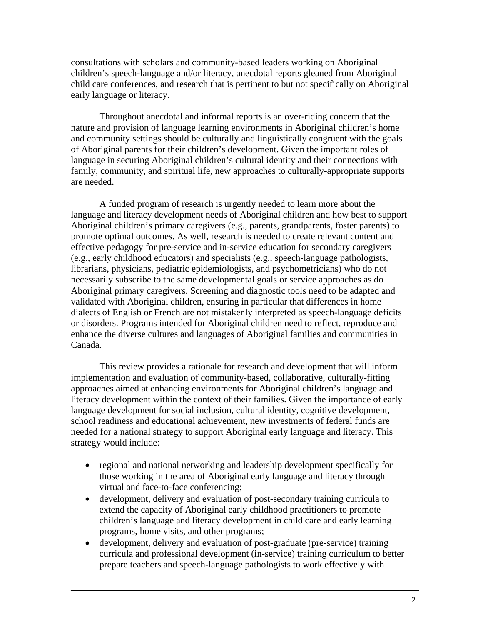consultations with scholars and community-based leaders working on Aboriginal children's speech-language and/or literacy, anecdotal reports gleaned from Aboriginal child care conferences, and research that is pertinent to but not specifically on Aboriginal early language or literacy.

Throughout anecdotal and informal reports is an over-riding concern that the nature and provision of language learning environments in Aboriginal children's home and community settings should be culturally and linguistically congruent with the goals of Aboriginal parents for their children's development. Given the important roles of language in securing Aboriginal children's cultural identity and their connections with family, community, and spiritual life, new approaches to culturally-appropriate supports are needed.

A funded program of research is urgently needed to learn more about the language and literacy development needs of Aboriginal children and how best to support Aboriginal children's primary caregivers (e.g., parents, grandparents, foster parents) to promote optimal outcomes. As well, research is needed to create relevant content and effective pedagogy for pre-service and in-service education for secondary caregivers (e.g., early childhood educators) and specialists (e.g., speech-language pathologists, librarians, physicians, pediatric epidemiologists, and psychometricians) who do not necessarily subscribe to the same developmental goals or service approaches as do Aboriginal primary caregivers. Screening and diagnostic tools need to be adapted and validated with Aboriginal children, ensuring in particular that differences in home dialects of English or French are not mistakenly interpreted as speech-language deficits or disorders. Programs intended for Aboriginal children need to reflect, reproduce and enhance the diverse cultures and languages of Aboriginal families and communities in Canada.

This review provides a rationale for research and development that will inform implementation and evaluation of community-based, collaborative, culturally-fitting approaches aimed at enhancing environments for Aboriginal children's language and literacy development within the context of their families. Given the importance of early language development for social inclusion, cultural identity, cognitive development, school readiness and educational achievement, new investments of federal funds are needed for a national strategy to support Aboriginal early language and literacy. This strategy would include:

- regional and national networking and leadership development specifically for those working in the area of Aboriginal early language and literacy through virtual and face-to-face conferencing;
- development, delivery and evaluation of post-secondary training curricula to extend the capacity of Aboriginal early childhood practitioners to promote children's language and literacy development in child care and early learning programs, home visits, and other programs;
- development, delivery and evaluation of post-graduate (pre-service) training curricula and professional development (in-service) training curriculum to better prepare teachers and speech-language pathologists to work effectively with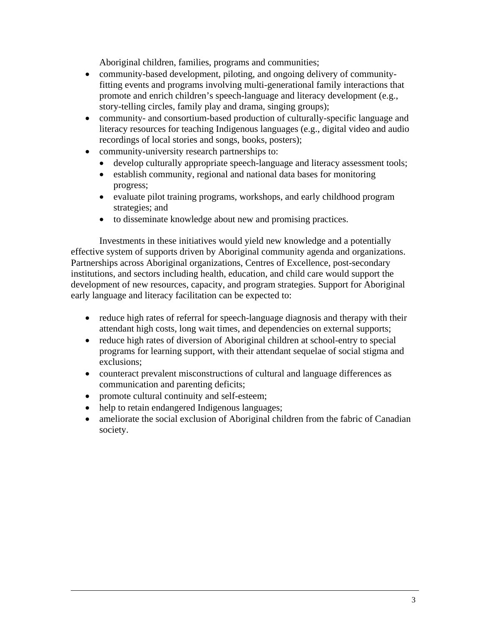Aboriginal children, families, programs and communities;

- community-based development, piloting, and ongoing delivery of communityfitting events and programs involving multi-generational family interactions that promote and enrich children's speech-language and literacy development (e.g., story-telling circles, family play and drama, singing groups);
- community- and consortium-based production of culturally-specific language and literacy resources for teaching Indigenous languages (e.g., digital video and audio recordings of local stories and songs, books, posters);
- community-university research partnerships to:
	- develop culturally appropriate speech-language and literacy assessment tools;
	- establish community, regional and national data bases for monitoring progress;
	- evaluate pilot training programs, workshops, and early childhood program strategies; and
	- to disseminate knowledge about new and promising practices.

Investments in these initiatives would yield new knowledge and a potentially effective system of supports driven by Aboriginal community agenda and organizations. Partnerships across Aboriginal organizations, Centres of Excellence, post-secondary institutions, and sectors including health, education, and child care would support the development of new resources, capacity, and program strategies. Support for Aboriginal early language and literacy facilitation can be expected to:

- reduce high rates of referral for speech-language diagnosis and therapy with their attendant high costs, long wait times, and dependencies on external supports;
- reduce high rates of diversion of Aboriginal children at school-entry to special programs for learning support, with their attendant sequelae of social stigma and exclusions;
- counteract prevalent misconstructions of cultural and language differences as communication and parenting deficits;
- promote cultural continuity and self-esteem;
- help to retain endangered Indigenous languages;
- ameliorate the social exclusion of Aboriginal children from the fabric of Canadian society.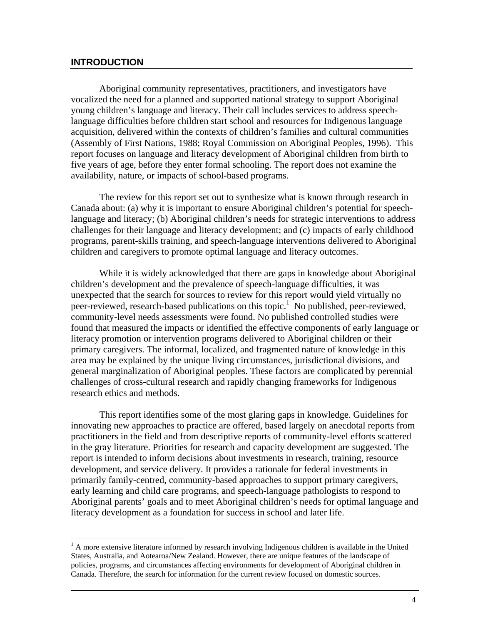#### **INTRODUCTION**

 $\overline{a}$ 

Aboriginal community representatives, practitioners, and investigators have vocalized the need for a planned and supported national strategy to support Aboriginal young children's language and literacy. Their call includes services to address speechlanguage difficulties before children start school and resources for Indigenous language acquisition, delivered within the contexts of children's families and cultural communities (Assembly of First Nations, 1988; Royal Commission on Aboriginal Peoples, 1996). This report focuses on language and literacy development of Aboriginal children from birth to five years of age, before they enter formal schooling. The report does not examine the availability, nature, or impacts of school-based programs.

The review for this report set out to synthesize what is known through research in Canada about: (a) why it is important to ensure Aboriginal children's potential for speechlanguage and literacy; (b) Aboriginal children's needs for strategic interventions to address challenges for their language and literacy development; and (c) impacts of early childhood programs, parent-skills training, and speech-language interventions delivered to Aboriginal children and caregivers to promote optimal language and literacy outcomes.

While it is widely acknowledged that there are gaps in knowledge about Aboriginal children's development and the prevalence of speech-language difficulties, it was unexpected that the search for sources to review for this report would yield virtually no peer-reviewed, research-based publications on this topic.<sup>1</sup> No published, peer-reviewed, community-level needs assessments were found. No published controlled studies were found that measured the impacts or identified the effective components of early language or literacy promotion or intervention programs delivered to Aboriginal children or their primary caregivers. The informal, localized, and fragmented nature of knowledge in this area may be explained by the unique living circumstances, jurisdictional divisions, and general marginalization of Aboriginal peoples. These factors are complicated by perennial challenges of cross-cultural research and rapidly changing frameworks for Indigenous research ethics and methods.

This report identifies some of the most glaring gaps in knowledge. Guidelines for innovating new approaches to practice are offered, based largely on anecdotal reports from practitioners in the field and from descriptive reports of community-level efforts scattered in the gray literature. Priorities for research and capacity development are suggested. The report is intended to inform decisions about investments in research, training, resource development, and service delivery. It provides a rationale for federal investments in primarily family-centred, community-based approaches to support primary caregivers, early learning and child care programs, and speech-language pathologists to respond to Aboriginal parents' goals and to meet Aboriginal children's needs for optimal language and literacy development as a foundation for success in school and later life.

 $<sup>1</sup>$  A more extensive literature informed by research involving Indigenous children is available in the United</sup> States, Australia, and Aotearoa/New Zealand. However, there are unique features of the landscape of policies, programs, and circumstances affecting environments for development of Aboriginal children in Canada. Therefore, the search for information for the current review focused on domestic sources.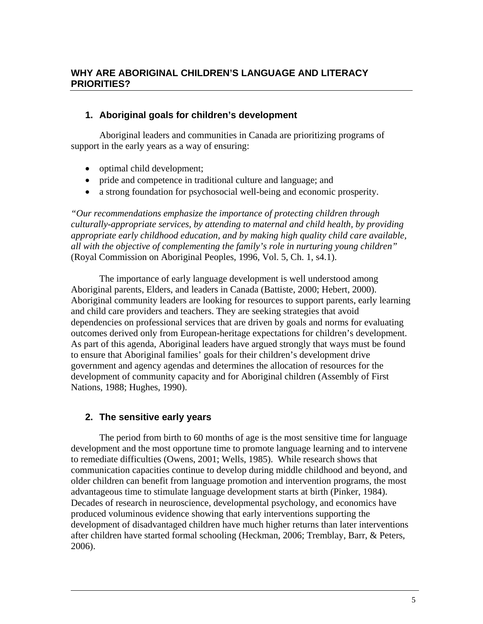## **1. Aboriginal goals for children's development**

Aboriginal leaders and communities in Canada are prioritizing programs of support in the early years as a way of ensuring:

- optimal child development;
- pride and competence in traditional culture and language; and
- a strong foundation for psychosocial well-being and economic prosperity.

*"Our recommendations emphasize the importance of protecting children through culturally-appropriate services, by attending to maternal and child health, by providing appropriate early childhood education, and by making high quality child care available, all with the objective of complementing the family's role in nurturing young children"* (Royal Commission on Aboriginal Peoples, 1996, Vol. 5, Ch. 1, s4.1).

The importance of early language development is well understood among Aboriginal parents, Elders, and leaders in Canada (Battiste, 2000; Hebert, 2000). Aboriginal community leaders are looking for resources to support parents, early learning and child care providers and teachers. They are seeking strategies that avoid dependencies on professional services that are driven by goals and norms for evaluating outcomes derived only from European-heritage expectations for children's development. As part of this agenda, Aboriginal leaders have argued strongly that ways must be found to ensure that Aboriginal families' goals for their children's development drive government and agency agendas and determines the allocation of resources for the development of community capacity and for Aboriginal children (Assembly of First Nations, 1988; Hughes, 1990).

# **2. The sensitive early years**

 The period from birth to 60 months of age is the most sensitive time for language development and the most opportune time to promote language learning and to intervene to remediate difficulties (Owens, 2001; Wells, 1985). While research shows that communication capacities continue to develop during middle childhood and beyond, and older children can benefit from language promotion and intervention programs, the most advantageous time to stimulate language development starts at birth (Pinker, 1984). Decades of research in neuroscience, developmental psychology, and economics have produced voluminous evidence showing that early interventions supporting the development of disadvantaged children have much higher returns than later interventions after children have started formal schooling (Heckman, 2006; Tremblay, Barr, & Peters, 2006).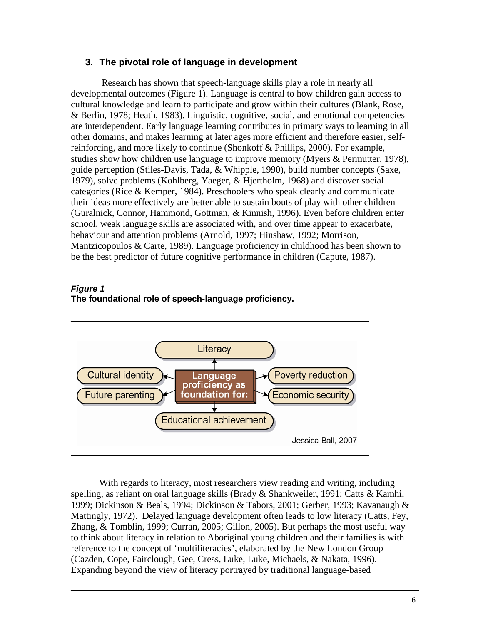### **3. The pivotal role of language in development**

 Research has shown that speech-language skills play a role in nearly all developmental outcomes (Figure 1). Language is central to how children gain access to cultural knowledge and learn to participate and grow within their cultures (Blank, Rose, & Berlin, 1978; Heath, 1983). Linguistic, cognitive, social, and emotional competencies are interdependent. Early language learning contributes in primary ways to learning in all other domains, and makes learning at later ages more efficient and therefore easier, selfreinforcing, and more likely to continue (Shonkoff & Phillips, 2000). For example, studies show how children use language to improve memory (Myers & Permutter, 1978), guide perception (Stiles-Davis, Tada, & Whipple, 1990), build number concepts (Saxe, 1979), solve problems (Kohlberg, Yaeger, & Hjertholm, 1968) and discover social categories (Rice & Kemper, 1984). Preschoolers who speak clearly and communicate their ideas more effectively are better able to sustain bouts of play with other children (Guralnick, Connor, Hammond, Gottman, & Kinnish, 1996). Even before children enter school, weak language skills are associated with, and over time appear to exacerbate, behaviour and attention problems (Arnold, 1997; Hinshaw, 1992; Morrison, Mantzicopoulos & Carte, 1989). Language proficiency in childhood has been shown to be the best predictor of future cognitive performance in children (Capute, 1987).

#### *Figure 1*  **The foundational role of speech-language proficiency.**



With regards to literacy, most researchers view reading and writing, including spelling, as reliant on oral language skills (Brady & Shankweiler, 1991; Catts & Kamhi, 1999; Dickinson & Beals, 1994; Dickinson & Tabors, 2001; Gerber, 1993; Kavanaugh & Mattingly, 1972). Delayed language development often leads to low literacy (Catts, Fey, Zhang, & Tomblin, 1999; Curran, 2005; Gillon, 2005). But perhaps the most useful way to think about literacy in relation to Aboriginal young children and their families is with reference to the concept of 'multiliteracies', elaborated by the New London Group (Cazden, Cope, Fairclough, Gee, Cress, Luke, Luke, Michaels, & Nakata, 1996). Expanding beyond the view of literacy portrayed by traditional language-based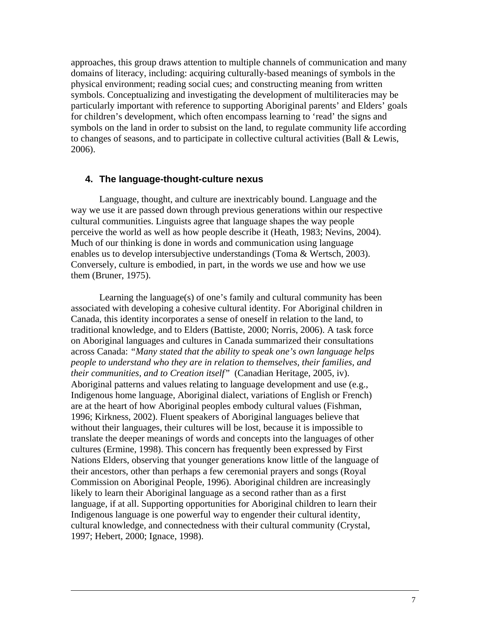approaches, this group draws attention to multiple channels of communication and many domains of literacy, including: acquiring culturally-based meanings of symbols in the physical environment; reading social cues; and constructing meaning from written symbols. Conceptualizing and investigating the development of multiliteracies may be particularly important with reference to supporting Aboriginal parents' and Elders' goals for children's development, which often encompass learning to 'read' the signs and symbols on the land in order to subsist on the land, to regulate community life according to changes of seasons, and to participate in collective cultural activities (Ball & Lewis, 2006).

#### **4. The language-thought-culture nexus**

Language, thought, and culture are inextricably bound. Language and the way we use it are passed down through previous generations within our respective cultural communities. Linguists agree that language shapes the way people perceive the world as well as how people describe it (Heath, 1983; Nevins, 2004). Much of our thinking is done in words and communication using language enables us to develop intersubjective understandings (Toma & Wertsch, 2003). Conversely, culture is embodied, in part, in the words we use and how we use them (Bruner, 1975).

Learning the language(s) of one's family and cultural community has been associated with developing a cohesive cultural identity. For Aboriginal children in Canada, this identity incorporates a sense of oneself in relation to the land, to traditional knowledge, and to Elders (Battiste, 2000; Norris, 2006). A task force on Aboriginal languages and cultures in Canada summarized their consultations across Canada: *"Many stated that the ability to speak one's own language helps people to understand who they are in relation to themselves, their families, and their communities, and to Creation itself"* (Canadian Heritage, 2005, iv). Aboriginal patterns and values relating to language development and use (e.g., Indigenous home language, Aboriginal dialect, variations of English or French) are at the heart of how Aboriginal peoples embody cultural values (Fishman, 1996; Kirkness, 2002). Fluent speakers of Aboriginal languages believe that without their languages, their cultures will be lost, because it is impossible to translate the deeper meanings of words and concepts into the languages of other cultures (Ermine, 1998). This concern has frequently been expressed by First Nations Elders, observing that younger generations know little of the language of their ancestors, other than perhaps a few ceremonial prayers and songs (Royal Commission on Aboriginal People, 1996). Aboriginal children are increasingly likely to learn their Aboriginal language as a second rather than as a first language, if at all. Supporting opportunities for Aboriginal children to learn their Indigenous language is one powerful way to engender their cultural identity, cultural knowledge, and connectedness with their cultural community (Crystal, 1997; Hebert, 2000; Ignace, 1998).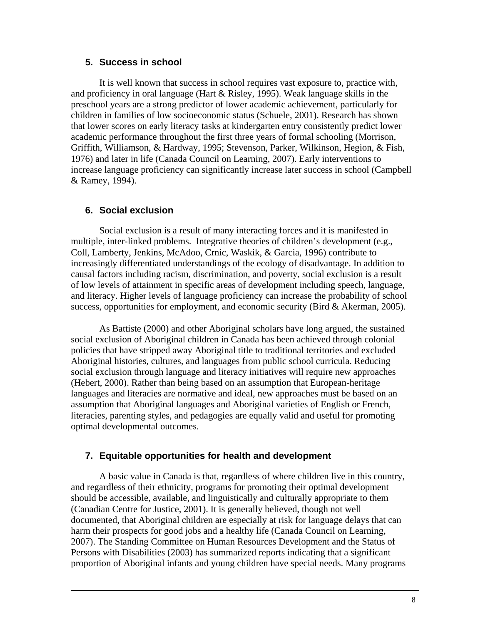#### **5. Success in school**

It is well known that success in school requires vast exposure to, practice with, and proficiency in oral language (Hart & Risley, 1995). Weak language skills in the preschool years are a strong predictor of lower academic achievement, particularly for children in families of low socioeconomic status (Schuele, 2001). Research has shown that lower scores on early literacy tasks at kindergarten entry consistently predict lower academic performance throughout the first three years of formal schooling (Morrison, Griffith, Williamson, & Hardway, 1995; Stevenson, Parker, Wilkinson, Hegion, & Fish, 1976) and later in life (Canada Council on Learning, 2007). Early interventions to increase language proficiency can significantly increase later success in school (Campbell & Ramey, 1994).

## **6. Social exclusion**

 Social exclusion is a result of many interacting forces and it is manifested in multiple, inter-linked problems. Integrative theories of children's development (e.g., Coll, Lamberty, Jenkins, McAdoo, Crnic, Waskik, & Garcia, 1996) contribute to increasingly differentiated understandings of the ecology of disadvantage. In addition to causal factors including racism, discrimination, and poverty, social exclusion is a result of low levels of attainment in specific areas of development including speech, language, and literacy. Higher levels of language proficiency can increase the probability of school success, opportunities for employment, and economic security (Bird & Akerman, 2005).

As Battiste (2000) and other Aboriginal scholars have long argued, the sustained social exclusion of Aboriginal children in Canada has been achieved through colonial policies that have stripped away Aboriginal title to traditional territories and excluded Aboriginal histories, cultures, and languages from public school curricula. Reducing social exclusion through language and literacy initiatives will require new approaches (Hebert, 2000). Rather than being based on an assumption that European-heritage languages and literacies are normative and ideal, new approaches must be based on an assumption that Aboriginal languages and Aboriginal varieties of English or French, literacies, parenting styles, and pedagogies are equally valid and useful for promoting optimal developmental outcomes.

## **7. Equitable opportunities for health and development**

 A basic value in Canada is that, regardless of where children live in this country, and regardless of their ethnicity, programs for promoting their optimal development should be accessible, available, and linguistically and culturally appropriate to them (Canadian Centre for Justice, 2001). It is generally believed, though not well documented, that Aboriginal children are especially at risk for language delays that can harm their prospects for good jobs and a healthy life (Canada Council on Learning, 2007). The Standing Committee on Human Resources Development and the Status of Persons with Disabilities (2003) has summarized reports indicating that a significant proportion of Aboriginal infants and young children have special needs. Many programs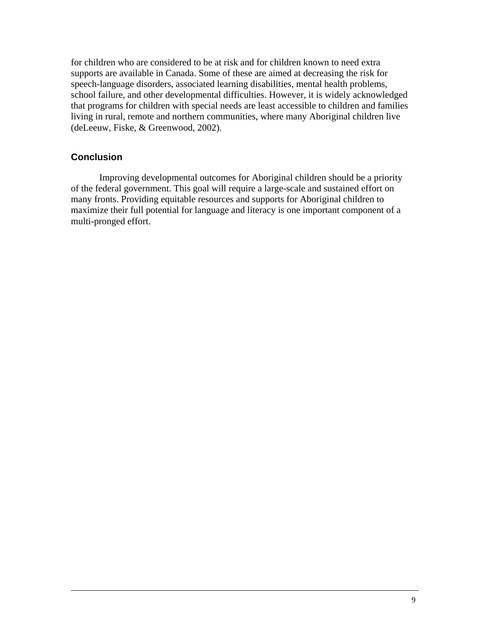for children who are considered to be at risk and for children known to need extra supports are available in Canada. Some of these are aimed at decreasing the risk for speech-language disorders, associated learning disabilities, mental health problems, school failure, and other developmental difficulties. However, it is widely acknowledged that programs for children with special needs are least accessible to children and families living in rural, remote and northern communities, where many Aboriginal children live (deLeeuw, Fiske, & Greenwood, 2002).

### **Conclusion**

 Improving developmental outcomes for Aboriginal children should be a priority of the federal government. This goal will require a large-scale and sustained effort on many fronts. Providing equitable resources and supports for Aboriginal children to maximize their full potential for language and literacy is one important component of a multi-pronged effort.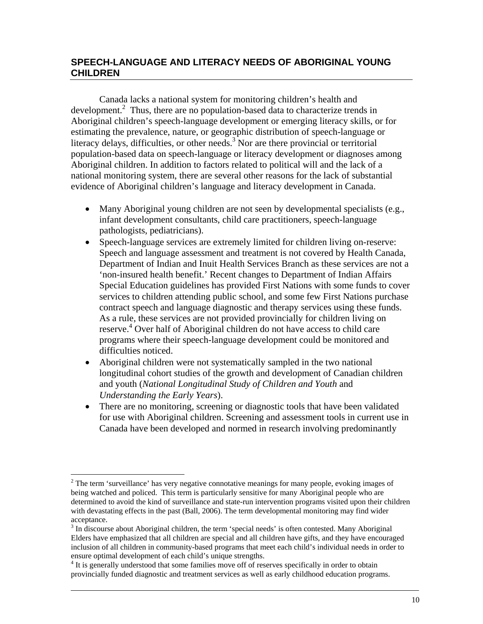# **SPEECH-LANGUAGE AND LITERACY NEEDS OF ABORIGINAL YOUNG CHILDREN**

Canada lacks a national system for monitoring children's health and development.<sup>2</sup> Thus, there are no population-based data to characterize trends in Aboriginal children's speech-language development or emerging literacy skills, or for estimating the prevalence, nature, or geographic distribution of speech-language or literacy delays, difficulties, or other needs.<sup>3</sup> Nor are there provincial or territorial population-based data on speech-language or literacy development or diagnoses among Aboriginal children. In addition to factors related to political will and the lack of a national monitoring system, there are several other reasons for the lack of substantial evidence of Aboriginal children's language and literacy development in Canada.

- Many Aboriginal young children are not seen by developmental specialists (e.g., infant development consultants, child care practitioners, speech-language pathologists, pediatricians).
- Speech-language services are extremely limited for children living on-reserve: Speech and language assessment and treatment is not covered by Health Canada, Department of Indian and Inuit Health Services Branch as these services are not a 'non-insured health benefit.' Recent changes to Department of Indian Affairs Special Education guidelines has provided First Nations with some funds to cover services to children attending public school, and some few First Nations purchase contract speech and language diagnostic and therapy services using these funds. As a rule, these services are not provided provincially for children living on reserve. 4 Over half of Aboriginal children do not have access to child care programs where their speech-language development could be monitored and difficulties noticed.
- Aboriginal children were not systematically sampled in the two national longitudinal cohort studies of the growth and development of Canadian children and youth (*National Longitudinal Study of Children and Youth* and *Understanding the Early Years*).
- There are no monitoring, screening or diagnostic tools that have been validated for use with Aboriginal children. Screening and assessment tools in current use in Canada have been developed and normed in research involving predominantly

 $\overline{a}$  $2<sup>2</sup>$  The term 'surveillance' has very negative connotative meanings for many people, evoking images of being watched and policed. This term is particularly sensitive for many Aboriginal people who are determined to avoid the kind of surveillance and state-run intervention programs visited upon their children with devastating effects in the past (Ball, 2006). The term developmental monitoring may find wider acceptance.

<sup>&</sup>lt;sup>3</sup> In discourse about Aboriginal children, the term 'special needs' is often contested. Many Aboriginal Elders have emphasized that all children are special and all children have gifts, and they have encouraged inclusion of all children in community-based programs that meet each child's individual needs in order to ensure optimal development of each child's unique strengths. 4

<sup>&</sup>lt;sup>4</sup> It is generally understood that some families move off of reserves specifically in order to obtain provincially funded diagnostic and treatment services as well as early childhood education programs.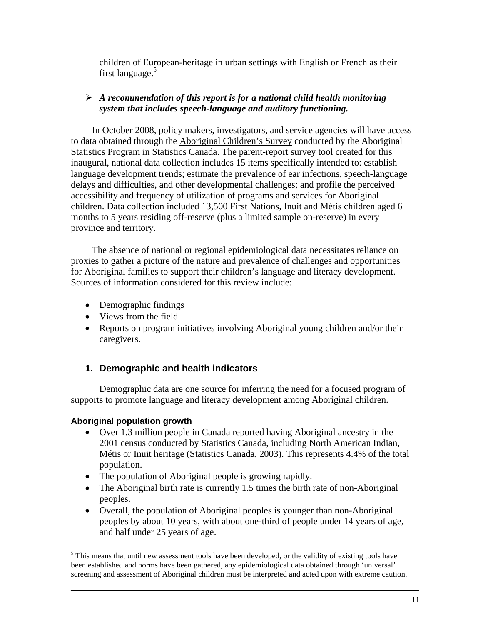children of European-heritage in urban settings with English or French as their first language. $5$ 

## ¾ *A recommendation of this report is for a national child health monitoring system that includes speech-language and auditory functioning.*

In October 2008, policy makers, investigators, and service agencies will have access to data obtained through the Aboriginal Children's Survey conducted by the Aboriginal Statistics Program in Statistics Canada. The parent-report survey tool created for this inaugural, national data collection includes 15 items specifically intended to: establish language development trends; estimate the prevalence of ear infections, speech-language delays and difficulties, and other developmental challenges; and profile the perceived accessibility and frequency of utilization of programs and services for Aboriginal children. Data collection included 13,500 First Nations, Inuit and Métis children aged 6 months to 5 years residing off-reserve (plus a limited sample on-reserve) in every province and territory.

The absence of national or regional epidemiological data necessitates reliance on proxies to gather a picture of the nature and prevalence of challenges and opportunities for Aboriginal families to support their children's language and literacy development. Sources of information considered for this review include:

- Demographic findings
- Views from the field
- Reports on program initiatives involving Aboriginal young children and/or their caregivers.

# **1. Demographic and health indicators**

Demographic data are one source for inferring the need for a focused program of supports to promote language and literacy development among Aboriginal children.

# **Aboriginal population growth**

- Over 1.3 million people in Canada reported having Aboriginal ancestry in the 2001 census conducted by Statistics Canada, including North American Indian, Métis or Inuit heritage (Statistics Canada, 2003). This represents 4.4% of the total population.
- The population of Aboriginal people is growing rapidly.
- The Aboriginal birth rate is currently 1.5 times the birth rate of non-Aboriginal peoples.
- Overall, the population of Aboriginal peoples is younger than non-Aboriginal peoples by about 10 years, with about one-third of people under 14 years of age, and half under 25 years of age.

<sup>&</sup>lt;sup>5</sup>This means that until new assessment tools have been developed, or the validity of existing tools have been established and norms have been gathered, any epidemiological data obtained through 'universal' screening and assessment of Aboriginal children must be interpreted and acted upon with extreme caution.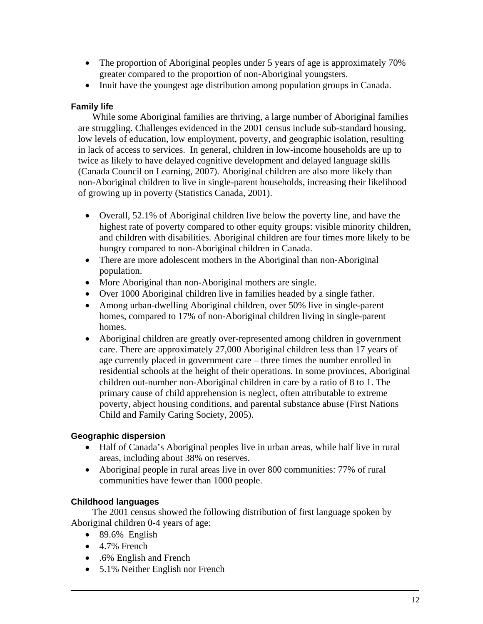- The proportion of Aboriginal peoples under 5 years of age is approximately 70% greater compared to the proportion of non-Aboriginal youngsters.
- Inuit have the youngest age distribution among population groups in Canada.

## **Family life**

While some Aboriginal families are thriving, a large number of Aboriginal families are struggling. Challenges evidenced in the 2001 census include sub-standard housing, low levels of education, low employment, poverty, and geographic isolation, resulting in lack of access to services. In general, children in low-income households are up to twice as likely to have delayed cognitive development and delayed language skills (Canada Council on Learning, 2007). Aboriginal children are also more likely than non-Aboriginal children to live in single-parent households, increasing their likelihood of growing up in poverty (Statistics Canada, 2001).

- Overall, 52.1% of Aboriginal children live below the poverty line, and have the highest rate of poverty compared to other equity groups: visible minority children, and children with disabilities. Aboriginal children are four times more likely to be hungry compared to non-Aboriginal children in Canada.
- There are more adolescent mothers in the Aboriginal than non-Aboriginal population.
- More Aboriginal than non-Aboriginal mothers are single.
- Over 1000 Aboriginal children live in families headed by a single father.
- Among urban-dwelling Aboriginal children, over 50% live in single-parent homes, compared to 17% of non-Aboriginal children living in single-parent homes.
- Aboriginal children are greatly over-represented among children in government care. There are approximately 27,000 Aboriginal children less than 17 years of age currently placed in government care – three times the number enrolled in residential schools at the height of their operations. In some provinces, Aboriginal children out-number non-Aboriginal children in care by a ratio of 8 to 1. The primary cause of child apprehension is neglect, often attributable to extreme poverty, abject housing conditions, and parental substance abuse (First Nations Child and Family Caring Society, 2005).

## **Geographic dispersion**

- Half of Canada's Aboriginal peoples live in urban areas, while half live in rural areas, including about 38% on reserves.
- Aboriginal people in rural areas live in over 800 communities: 77% of rural communities have fewer than 1000 people.

# **Childhood languages**

The 2001 census showed the following distribution of first language spoken by Aboriginal children 0-4 years of age:

- $\bullet$  89.6% English
- 4.7% French
- .6% English and French
- 5.1% Neither English nor French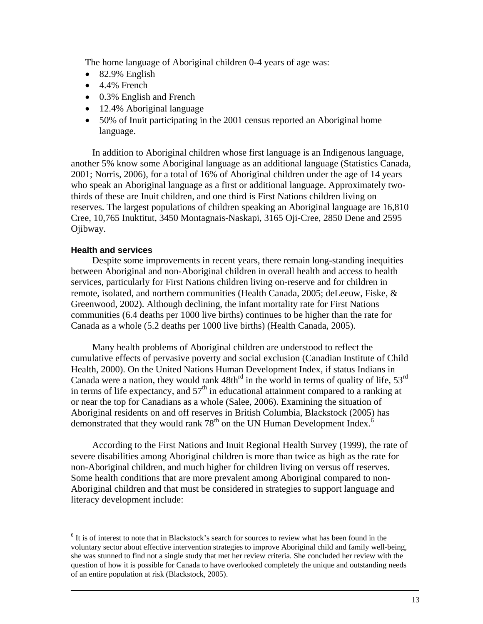The home language of Aboriginal children 0-4 years of age was:

- 82.9% English
- $\bullet$  4.4% French
- 0.3% English and French
- 12.4% Aboriginal language
- 50% of Inuit participating in the 2001 census reported an Aboriginal home language.

In addition to Aboriginal children whose first language is an Indigenous language, another 5% know some Aboriginal language as an additional language (Statistics Canada, 2001; Norris, 2006), for a total of 16% of Aboriginal children under the age of 14 years who speak an Aboriginal language as a first or additional language. Approximately twothirds of these are Inuit children, and one third is First Nations children living on reserves. The largest populations of children speaking an Aboriginal language are 16,810 Cree, 10,765 Inuktitut, 3450 Montagnais-Naskapi, 3165 Oji-Cree, 2850 Dene and 2595 Ojibway.

#### **Health and services**

<u>.</u>

Despite some improvements in recent years, there remain long-standing inequities between Aboriginal and non-Aboriginal children in overall health and access to health services, particularly for First Nations children living on-reserve and for children in remote, isolated, and northern communities (Health Canada, 2005; deLeeuw, Fiske, & Greenwood, 2002). Although declining, the infant mortality rate for First Nations communities (6.4 deaths per 1000 live births) continues to be higher than the rate for Canada as a whole (5.2 deaths per 1000 live births) (Health Canada, 2005).

Many health problems of Aboriginal children are understood to reflect the cumulative effects of pervasive poverty and social exclusion (Canadian Institute of Child Health, 2000). On the United Nations Human Development Index, if status Indians in Canada were a nation, they would rank  $48th<sup>rd</sup>$  in the world in terms of quality of life,  $53<sup>rd</sup>$ in terms of life expectancy, and  $57<sup>th</sup>$  in educational attainment compared to a ranking at or near the top for Canadians as a whole (Salee, 2006). Examining the situation of Aboriginal residents on and off reserves in British Columbia, Blackstock (2005) has demonstrated that they would rank  $78<sup>th</sup>$  on the UN Human Development Index.<sup>6</sup>

According to the First Nations and Inuit Regional Health Survey (1999), the rate of severe disabilities among Aboriginal children is more than twice as high as the rate for non-Aboriginal children, and much higher for children living on versus off reserves. Some health conditions that are more prevalent among Aboriginal compared to non-Aboriginal children and that must be considered in strategies to support language and literacy development include:

<sup>&</sup>lt;sup>6</sup> It is of interest to note that in Blackstock's search for sources to review what has been found in the voluntary sector about effective intervention strategies to improve Aboriginal child and family well-being, she was stunned to find not a single study that met her review criteria. She concluded her review with the question of how it is possible for Canada to have overlooked completely the unique and outstanding needs of an entire population at risk (Blackstock, 2005).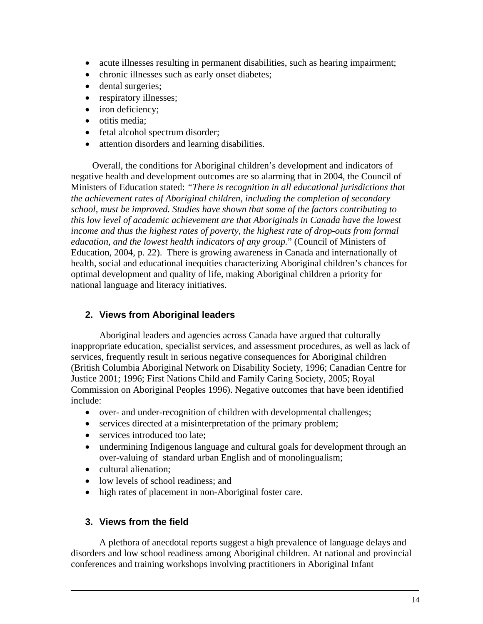- acute illnesses resulting in permanent disabilities, such as hearing impairment;
- chronic illnesses such as early onset diabetes;
- dental surgeries;
- respiratory illnesses;
- iron deficiency;
- otitis media;
- fetal alcohol spectrum disorder;
- attention disorders and learning disabilities.

Overall, the conditions for Aboriginal children's development and indicators of negative health and development outcomes are so alarming that in 2004, the Council of Ministers of Education stated: *"There is recognition in all educational jurisdictions that the achievement rates of Aboriginal children, including the completion of secondary school, must be improved. Studies have shown that some of the factors contributing to this low level of academic achievement are that Aboriginals in Canada have the lowest income and thus the highest rates of poverty, the highest rate of drop-outs from formal education, and the lowest health indicators of any group.*" (Council of Ministers of Education, 2004, p. 22). There is growing awareness in Canada and internationally of health, social and educational inequities characterizing Aboriginal children's chances for optimal development and quality of life, making Aboriginal children a priority for national language and literacy initiatives.

## **2. Views from Aboriginal leaders**

Aboriginal leaders and agencies across Canada have argued that culturally inappropriate education, specialist services, and assessment procedures, as well as lack of services, frequently result in serious negative consequences for Aboriginal children (British Columbia Aboriginal Network on Disability Society, 1996; Canadian Centre for Justice 2001; 1996; First Nations Child and Family Caring Society, 2005; Royal Commission on Aboriginal Peoples 1996). Negative outcomes that have been identified include:

- over- and under-recognition of children with developmental challenges;
- services directed at a misinterpretation of the primary problem;
- services introduced too late:
- undermining Indigenous language and cultural goals for development through an over-valuing of standard urban English and of monolingualism;
- cultural alienation;
- low levels of school readiness; and
- high rates of placement in non-Aboriginal foster care.

#### **3. Views from the field**

 A plethora of anecdotal reports suggest a high prevalence of language delays and disorders and low school readiness among Aboriginal children. At national and provincial conferences and training workshops involving practitioners in Aboriginal Infant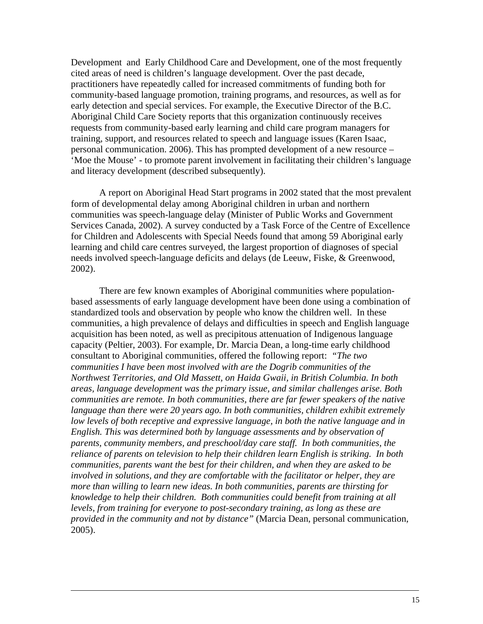Development and Early Childhood Care and Development, one of the most frequently cited areas of need is children's language development. Over the past decade, practitioners have repeatedly called for increased commitments of funding both for community-based language promotion, training programs, and resources, as well as for early detection and special services. For example, the Executive Director of the B.C. Aboriginal Child Care Society reports that this organization continuously receives requests from community-based early learning and child care program managers for training, support, and resources related to speech and language issues (Karen Isaac, personal communication. 2006). This has prompted development of a new resource – 'Moe the Mouse' - to promote parent involvement in facilitating their children's language and literacy development (described subsequently).

A report on Aboriginal Head Start programs in 2002 stated that the most prevalent form of developmental delay among Aboriginal children in urban and northern communities was speech-language delay (Minister of Public Works and Government Services Canada, 2002). A survey conducted by a Task Force of the Centre of Excellence for Children and Adolescents with Special Needs found that among 59 Aboriginal early learning and child care centres surveyed, the largest proportion of diagnoses of special needs involved speech-language deficits and delays (de Leeuw, Fiske, & Greenwood, 2002).

There are few known examples of Aboriginal communities where populationbased assessments of early language development have been done using a combination of standardized tools and observation by people who know the children well. In these communities, a high prevalence of delays and difficulties in speech and English language acquisition has been noted, as well as precipitous attenuation of Indigenous language capacity (Peltier, 2003). For example, Dr. Marcia Dean, a long-time early childhood consultant to Aboriginal communities, offered the following report: *"The two communities I have been most involved with are the Dogrib communities of the Northwest Territories, and Old Massett, on Haida Gwaii, in British Columbia. In both areas, language development was the primary issue, and similar challenges arise. Both communities are remote. In both communities, there are far fewer speakers of the native language than there were 20 years ago. In both communities, children exhibit extremely low levels of both receptive and expressive language, in both the native language and in English. This was determined both by language assessments and by observation of parents, community members, and preschool/day care staff. In both communities, the reliance of parents on television to help their children learn English is striking. In both communities, parents want the best for their children, and when they are asked to be involved in solutions, and they are comfortable with the facilitator or helper, they are more than willing to learn new ideas. In both communities, parents are thirsting for knowledge to help their children. Both communities could benefit from training at all levels, from training for everyone to post-secondary training, as long as these are provided in the community and not by distance"* (Marcia Dean, personal communication, 2005).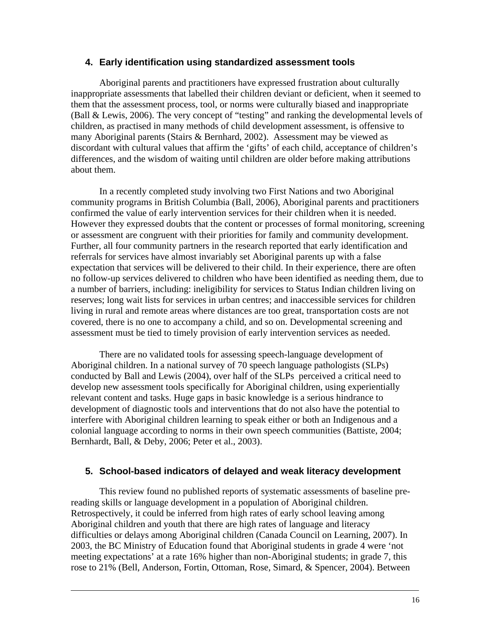#### **4. Early identification using standardized assessment tools**

 Aboriginal parents and practitioners have expressed frustration about culturally inappropriate assessments that labelled their children deviant or deficient, when it seemed to them that the assessment process, tool, or norms were culturally biased and inappropriate (Ball & Lewis, 2006). The very concept of "testing" and ranking the developmental levels of children, as practised in many methods of child development assessment, is offensive to many Aboriginal parents (Stairs & Bernhard, 2002). Assessment may be viewed as discordant with cultural values that affirm the 'gifts' of each child, acceptance of children's differences, and the wisdom of waiting until children are older before making attributions about them.

In a recently completed study involving two First Nations and two Aboriginal community programs in British Columbia (Ball, 2006), Aboriginal parents and practitioners confirmed the value of early intervention services for their children when it is needed. However they expressed doubts that the content or processes of formal monitoring, screening or assessment are congruent with their priorities for family and community development. Further, all four community partners in the research reported that early identification and referrals for services have almost invariably set Aboriginal parents up with a false expectation that services will be delivered to their child. In their experience, there are often no follow-up services delivered to children who have been identified as needing them, due to a number of barriers, including: ineligibility for services to Status Indian children living on reserves; long wait lists for services in urban centres; and inaccessible services for children living in rural and remote areas where distances are too great, transportation costs are not covered, there is no one to accompany a child, and so on. Developmental screening and assessment must be tied to timely provision of early intervention services as needed.

There are no validated tools for assessing speech-language development of Aboriginal children. In a national survey of 70 speech language pathologists (SLPs) conducted by Ball and Lewis (2004), over half of the SLPs perceived a critical need to develop new assessment tools specifically for Aboriginal children, using experientially relevant content and tasks. Huge gaps in basic knowledge is a serious hindrance to development of diagnostic tools and interventions that do not also have the potential to interfere with Aboriginal children learning to speak either or both an Indigenous and a colonial language according to norms in their own speech communities (Battiste, 2004; Bernhardt, Ball, & Deby, 2006; Peter et al., 2003).

## **5. School-based indicators of delayed and weak literacy development**

This review found no published reports of systematic assessments of baseline prereading skills or language development in a population of Aboriginal children. Retrospectively, it could be inferred from high rates of early school leaving among Aboriginal children and youth that there are high rates of language and literacy difficulties or delays among Aboriginal children (Canada Council on Learning, 2007). In 2003, the BC Ministry of Education found that Aboriginal students in grade 4 were 'not meeting expectations' at a rate 16% higher than non-Aboriginal students; in grade 7, this rose to 21% (Bell, Anderson, Fortin, Ottoman, Rose, Simard, & Spencer, 2004). Between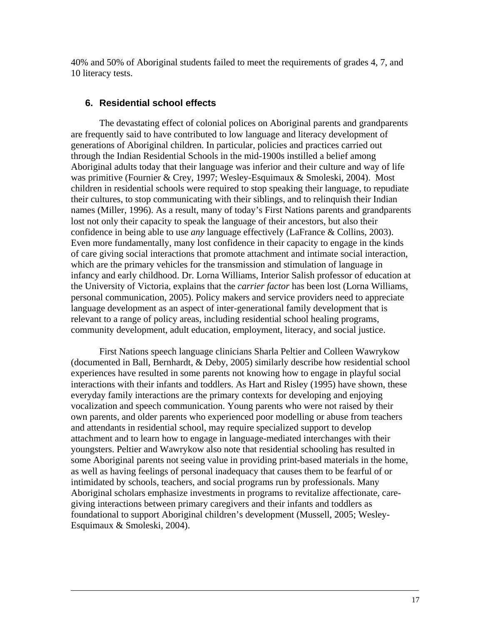40% and 50% of Aboriginal students failed to meet the requirements of grades 4, 7, and 10 literacy tests.

## **6. Residential school effects**

 The devastating effect of colonial polices on Aboriginal parents and grandparents are frequently said to have contributed to low language and literacy development of generations of Aboriginal children. In particular, policies and practices carried out through the Indian Residential Schools in the mid-1900s instilled a belief among Aboriginal adults today that their language was inferior and their culture and way of life was primitive (Fournier & Crey, 1997; Wesley-Esquimaux & Smoleski, 2004). Most children in residential schools were required to stop speaking their language, to repudiate their cultures, to stop communicating with their siblings, and to relinquish their Indian names (Miller, 1996). As a result, many of today's First Nations parents and grandparents lost not only their capacity to speak the language of their ancestors, but also their confidence in being able to use *any* language effectively (LaFrance & Collins, 2003). Even more fundamentally, many lost confidence in their capacity to engage in the kinds of care giving social interactions that promote attachment and intimate social interaction, which are the primary vehicles for the transmission and stimulation of language in infancy and early childhood. Dr. Lorna Williams, Interior Salish professor of education at the University of Victoria, explains that the *carrier factor* has been lost (Lorna Williams, personal communication, 2005). Policy makers and service providers need to appreciate language development as an aspect of inter-generational family development that is relevant to a range of policy areas, including residential school healing programs, community development, adult education, employment, literacy, and social justice.

First Nations speech language clinicians Sharla Peltier and Colleen Wawrykow (documented in Ball, Bernhardt, & Deby, 2005) similarly describe how residential school experiences have resulted in some parents not knowing how to engage in playful social interactions with their infants and toddlers. As Hart and Risley (1995) have shown, these everyday family interactions are the primary contexts for developing and enjoying vocalization and speech communication. Young parents who were not raised by their own parents, and older parents who experienced poor modelling or abuse from teachers and attendants in residential school, may require specialized support to develop attachment and to learn how to engage in language-mediated interchanges with their youngsters. Peltier and Wawrykow also note that residential schooling has resulted in some Aboriginal parents not seeing value in providing print-based materials in the home, as well as having feelings of personal inadequacy that causes them to be fearful of or intimidated by schools, teachers, and social programs run by professionals. Many Aboriginal scholars emphasize investments in programs to revitalize affectionate, caregiving interactions between primary caregivers and their infants and toddlers as foundational to support Aboriginal children's development (Mussell, 2005; Wesley-Esquimaux & Smoleski, 2004).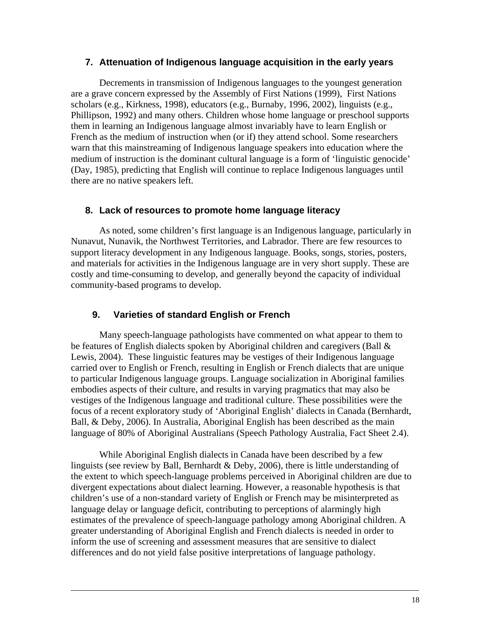#### **7. Attenuation of Indigenous language acquisition in the early years**

Decrements in transmission of Indigenous languages to the youngest generation are a grave concern expressed by the Assembly of First Nations (1999), First Nations scholars (e.g., Kirkness, 1998), educators (e.g., Burnaby, 1996, 2002), linguists (e.g., Phillipson, 1992) and many others. Children whose home language or preschool supports them in learning an Indigenous language almost invariably have to learn English or French as the medium of instruction when (or if) they attend school. Some researchers warn that this mainstreaming of Indigenous language speakers into education where the medium of instruction is the dominant cultural language is a form of 'linguistic genocide' (Day, 1985), predicting that English will continue to replace Indigenous languages until there are no native speakers left.

### **8. Lack of resources to promote home language literacy**

 As noted, some children's first language is an Indigenous language, particularly in Nunavut, Nunavik, the Northwest Territories, and Labrador. There are few resources to support literacy development in any Indigenous language. Books, songs, stories, posters, and materials for activities in the Indigenous language are in very short supply. These are costly and time-consuming to develop, and generally beyond the capacity of individual community-based programs to develop.

## **9. Varieties of standard English or French**

Many speech-language pathologists have commented on what appear to them to be features of English dialects spoken by Aboriginal children and caregivers (Ball & Lewis, 2004). These linguistic features may be vestiges of their Indigenous language carried over to English or French, resulting in English or French dialects that are unique to particular Indigenous language groups. Language socialization in Aboriginal families embodies aspects of their culture, and results in varying pragmatics that may also be vestiges of the Indigenous language and traditional culture. These possibilities were the focus of a recent exploratory study of 'Aboriginal English' dialects in Canada (Bernhardt, Ball, & Deby, 2006). In Australia, Aboriginal English has been described as the main language of 80% of Aboriginal Australians (Speech Pathology Australia, Fact Sheet 2.4).

While Aboriginal English dialects in Canada have been described by a few linguists (see review by Ball, Bernhardt & Deby, 2006), there is little understanding of the extent to which speech-language problems perceived in Aboriginal children are due to divergent expectations about dialect learning. However, a reasonable hypothesis is that children's use of a non-standard variety of English or French may be misinterpreted as language delay or language deficit, contributing to perceptions of alarmingly high estimates of the prevalence of speech-language pathology among Aboriginal children. A greater understanding of Aboriginal English and French dialects is needed in order to inform the use of screening and assessment measures that are sensitive to dialect differences and do not yield false positive interpretations of language pathology.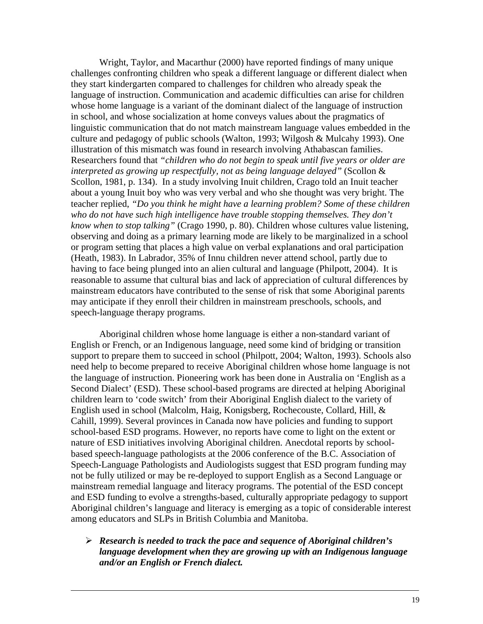Wright, Taylor, and Macarthur (2000) have reported findings of many unique challenges confronting children who speak a different language or different dialect when they start kindergarten compared to challenges for children who already speak the language of instruction. Communication and academic difficulties can arise for children whose home language is a variant of the dominant dialect of the language of instruction in school, and whose socialization at home conveys values about the pragmatics of linguistic communication that do not match mainstream language values embedded in the culture and pedagogy of public schools (Walton, 1993; Wilgosh & Mulcahy 1993). One illustration of this mismatch was found in research involving Athabascan families. Researchers found that *"children who do not begin to speak until five years or older are interpreted as growing up respectfully, not as being language delayed"* (Scollon & Scollon, 1981, p. 134). In a study involving Inuit children, Crago told an Inuit teacher about a young Inuit boy who was very verbal and who she thought was very bright. The teacher replied, *"Do you think he might have a learning problem? Some of these children who do not have such high intelligence have trouble stopping themselves. They don't know when to stop talking"* (Crago 1990, p. 80). Children whose cultures value listening, observing and doing as a primary learning mode are likely to be marginalized in a school or program setting that places a high value on verbal explanations and oral participation (Heath, 1983). In Labrador, 35% of Innu children never attend school, partly due to having to face being plunged into an alien cultural and language (Philpott, 2004). It is reasonable to assume that cultural bias and lack of appreciation of cultural differences by mainstream educators have contributed to the sense of risk that some Aboriginal parents may anticipate if they enroll their children in mainstream preschools, schools, and speech-language therapy programs.

Aboriginal children whose home language is either a non-standard variant of English or French, or an Indigenous language, need some kind of bridging or transition support to prepare them to succeed in school (Philpott, 2004; Walton, 1993). Schools also need help to become prepared to receive Aboriginal children whose home language is not the language of instruction. Pioneering work has been done in Australia on 'English as a Second Dialect' (ESD). These school-based programs are directed at helping Aboriginal children learn to 'code switch' from their Aboriginal English dialect to the variety of English used in school (Malcolm, Haig, Konigsberg, Rochecouste, Collard, Hill, & Cahill, 1999). Several provinces in Canada now have policies and funding to support school-based ESD programs. However, no reports have come to light on the extent or nature of ESD initiatives involving Aboriginal children. Anecdotal reports by schoolbased speech-language pathologists at the 2006 conference of the B.C. Association of Speech-Language Pathologists and Audiologists suggest that ESD program funding may not be fully utilized or may be re-deployed to support English as a Second Language or mainstream remedial language and literacy programs. The potential of the ESD concept and ESD funding to evolve a strengths-based, culturally appropriate pedagogy to support Aboriginal children's language and literacy is emerging as a topic of considerable interest among educators and SLPs in British Columbia and Manitoba.

¾ *Research is needed to track the pace and sequence of Aboriginal children's language development when they are growing up with an Indigenous language and/or an English or French dialect.*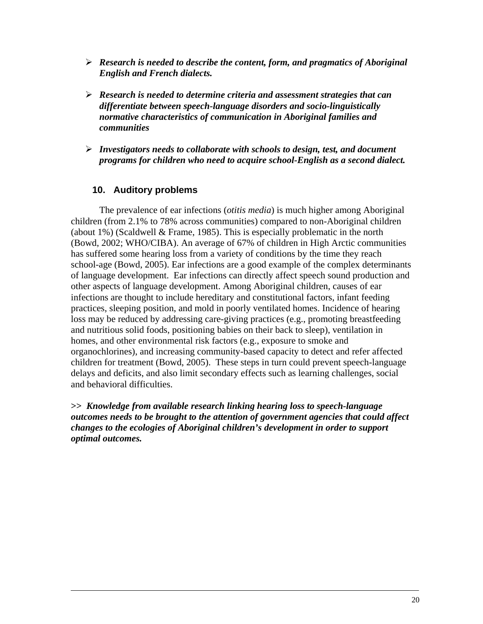- ¾ *Research is needed to describe the content, form, and pragmatics of Aboriginal English and French dialects.*
- ¾ *Research is needed to determine criteria and assessment strategies that can differentiate between speech-language disorders and socio-linguistically normative characteristics of communication in Aboriginal families and communities*
- ¾ *Investigators needs to collaborate with schools to design, test, and document programs for children who need to acquire school-English as a second dialect.*

# **10. Auditory problems**

The prevalence of ear infections (*otitis media*) is much higher among Aboriginal children (from 2.1% to 78% across communities) compared to non-Aboriginal children (about 1%) (Scaldwell & Frame, 1985). This is especially problematic in the north (Bowd, 2002; WHO/CIBA). An average of 67% of children in High Arctic communities has suffered some hearing loss from a variety of conditions by the time they reach school-age (Bowd, 2005). Ear infections are a good example of the complex determinants of language development. Ear infections can directly affect speech sound production and other aspects of language development. Among Aboriginal children, causes of ear infections are thought to include hereditary and constitutional factors, infant feeding practices, sleeping position, and mold in poorly ventilated homes. Incidence of hearing loss may be reduced by addressing care-giving practices (e.g., promoting breastfeeding and nutritious solid foods, positioning babies on their back to sleep), ventilation in homes, and other environmental risk factors (e.g., exposure to smoke and organochlorines), and increasing community-based capacity to detect and refer affected children for treatment (Bowd, 2005). These steps in turn could prevent speech-language delays and deficits, and also limit secondary effects such as learning challenges, social and behavioral difficulties.

**>>** *Knowledge from available research linking hearing loss to speech-language outcomes needs to be brought to the attention of government agencies that could affect changes to the ecologies of Aboriginal children's development in order to support optimal outcomes.*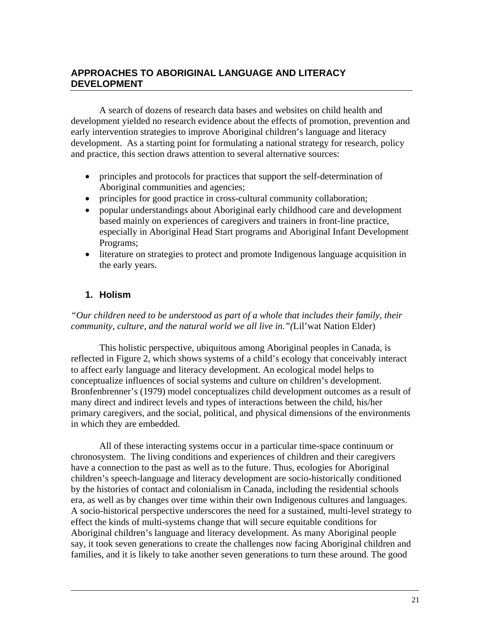# **APPROACHES TO ABORIGINAL LANGUAGE AND LITERACY DEVELOPMENT**

A search of dozens of research data bases and websites on child health and development yielded no research evidence about the effects of promotion, prevention and early intervention strategies to improve Aboriginal children's language and literacy development. As a starting point for formulating a national strategy for research, policy and practice, this section draws attention to several alternative sources:

- principles and protocols for practices that support the self-determination of Aboriginal communities and agencies;
- principles for good practice in cross-cultural community collaboration;
- popular understandings about Aboriginal early childhood care and development based mainly on experiences of caregivers and trainers in front-line practice, especially in Aboriginal Head Start programs and Aboriginal Infant Development Programs;
- literature on strategies to protect and promote Indigenous language acquisition in the early years.

# **1. Holism**

*"Our children need to be understood as part of a whole that includes their family, their community, culture, and the natural world we all live in."(*Lil'wat Nation Elder)

 This holistic perspective, ubiquitous among Aboriginal peoples in Canada, is reflected in Figure 2, which shows systems of a child's ecology that conceivably interact to affect early language and literacy development. An ecological model helps to conceptualize influences of social systems and culture on children's development. Bronfenbrenner's (1979) model conceptualizes child development outcomes as a result of many direct and indirect levels and types of interactions between the child, his/her primary caregivers, and the social, political, and physical dimensions of the environments in which they are embedded.

All of these interacting systems occur in a particular time-space continuum or chronosystem.The living conditions and experiences of children and their caregivers have a connection to the past as well as to the future. Thus, ecologies for Aboriginal children's speech-language and literacy development are socio-historically conditioned by the histories of contact and colonialism in Canada, including the residential schools era, as well as by changes over time within their own Indigenous cultures and languages. A socio-historical perspective underscores the need for a sustained, multi-level strategy to effect the kinds of multi-systems change that will secure equitable conditions for Aboriginal children's language and literacy development. As many Aboriginal people say, it took seven generations to create the challenges now facing Aboriginal children and families, and it is likely to take another seven generations to turn these around. The good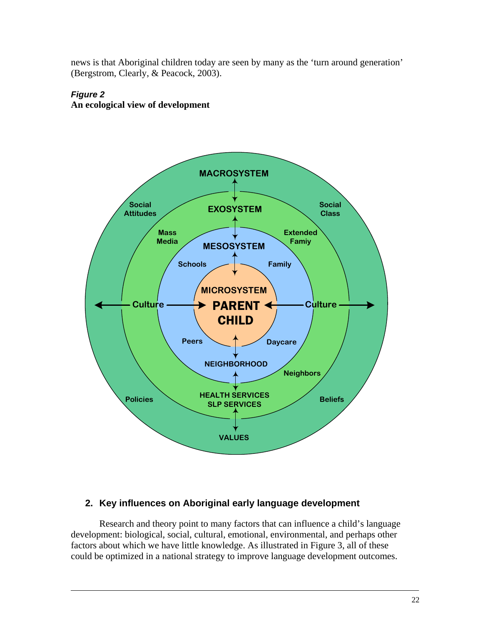news is that Aboriginal children today are seen by many as the 'turn around generation' (Bergstrom, Clearly, & Peacock, 2003).

# *Figure 2*  **An ecological view of development**



# **2. Key influences on Aboriginal early language development**

Research and theory point to many factors that can influence a child's language development: biological, social, cultural, emotional, environmental, and perhaps other factors about which we have little knowledge. As illustrated in Figure 3, all of these could be optimized in a national strategy to improve language development outcomes.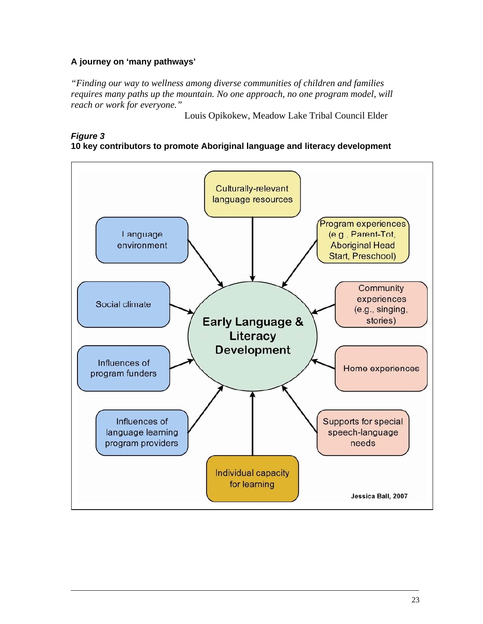# **A journey on 'many pathways'**

*"Finding our way to wellness among diverse communities of children and families requires many paths up the mountain. No one approach, no one program model, will reach or work for everyone."* 

Louis Opikokew, Meadow Lake Tribal Council Elder

#### *Figure 3*  **10 key contributors to promote Aboriginal language and literacy development**

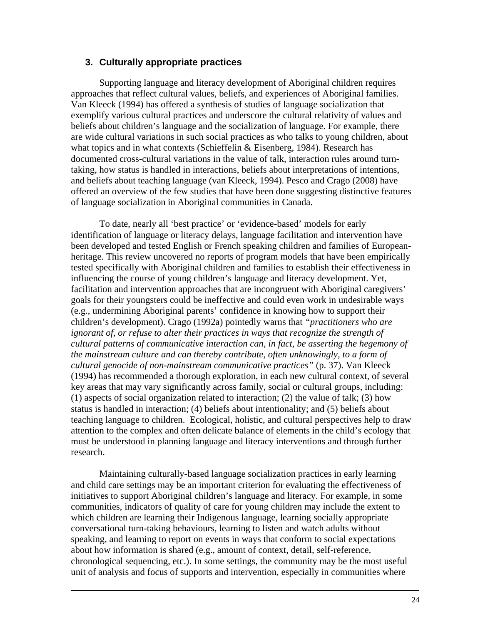#### **3. Culturally appropriate practices**

Supporting language and literacy development of Aboriginal children requires approaches that reflect cultural values, beliefs, and experiences of Aboriginal families. Van Kleeck (1994) has offered a synthesis of studies of language socialization that exemplify various cultural practices and underscore the cultural relativity of values and beliefs about children's language and the socialization of language. For example, there are wide cultural variations in such social practices as who talks to young children, about what topics and in what contexts (Schieffelin & Eisenberg, 1984). Research has documented cross-cultural variations in the value of talk, interaction rules around turntaking, how status is handled in interactions, beliefs about interpretations of intentions, and beliefs about teaching language (van Kleeck, 1994). Pesco and Crago (2008) have offered an overview of the few studies that have been done suggesting distinctive features of language socialization in Aboriginal communities in Canada.

To date, nearly all 'best practice' or 'evidence-based' models for early identification of language or literacy delays, language facilitation and intervention have been developed and tested English or French speaking children and families of Europeanheritage. This review uncovered no reports of program models that have been empirically tested specifically with Aboriginal children and families to establish their effectiveness in influencing the course of young children's language and literacy development. Yet, facilitation and intervention approaches that are incongruent with Aboriginal caregivers' goals for their youngsters could be ineffective and could even work in undesirable ways (e.g., undermining Aboriginal parents' confidence in knowing how to support their children's development). Crago (1992a) pointedly warns that *"practitioners who are ignorant of, or refuse to alter their practices in ways that recognize the strength of cultural patterns of communicative interaction can, in fact, be asserting the hegemony of the mainstream culture and can thereby contribute, often unknowingly, to a form of cultural genocide of non-mainstream communicative practices"* (p. 37). Van Kleeck (1994) has recommended a thorough exploration, in each new cultural context, of several key areas that may vary significantly across family, social or cultural groups, including: (1) aspects of social organization related to interaction; (2) the value of talk; (3) how status is handled in interaction; (4) beliefs about intentionality; and (5) beliefs about teaching language to children. Ecological, holistic, and cultural perspectives help to draw attention to the complex and often delicate balance of elements in the child's ecology that must be understood in planning language and literacy interventions and through further research.

Maintaining culturally-based language socialization practices in early learning and child care settings may be an important criterion for evaluating the effectiveness of initiatives to support Aboriginal children's language and literacy. For example, in some communities, indicators of quality of care for young children may include the extent to which children are learning their Indigenous language, learning socially appropriate conversational turn-taking behaviours, learning to listen and watch adults without speaking, and learning to report on events in ways that conform to social expectations about how information is shared (e.g., amount of context, detail, self-reference, chronological sequencing, etc.). In some settings, the community may be the most useful unit of analysis and focus of supports and intervention, especially in communities where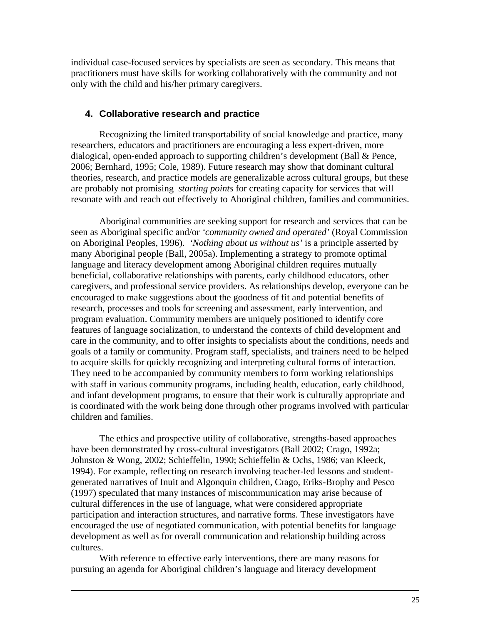individual case-focused services by specialists are seen as secondary. This means that practitioners must have skills for working collaboratively with the community and not only with the child and his/her primary caregivers.

#### **4. Collaborative research and practice**

Recognizing the limited transportability of social knowledge and practice, many researchers, educators and practitioners are encouraging a less expert-driven, more dialogical, open-ended approach to supporting children's development (Ball & Pence, 2006; Bernhard, 1995; Cole, 1989). Future research may show that dominant cultural theories, research, and practice models are generalizable across cultural groups, but these are probably not promising *starting points* for creating capacity for services that will resonate with and reach out effectively to Aboriginal children, families and communities.

Aboriginal communities are seeking support for research and services that can be seen as Aboriginal specific and/or *'community owned and operated'* (Royal Commission on Aboriginal Peoples, 1996). *'Nothing about us without us'* is a principle asserted by many Aboriginal people (Ball, 2005a). Implementing a strategy to promote optimal language and literacy development among Aboriginal children requires mutually beneficial, collaborative relationships with parents, early childhood educators, other caregivers, and professional service providers. As relationships develop, everyone can be encouraged to make suggestions about the goodness of fit and potential benefits of research, processes and tools for screening and assessment, early intervention, and program evaluation. Community members are uniquely positioned to identify core features of language socialization, to understand the contexts of child development and care in the community, and to offer insights to specialists about the conditions, needs and goals of a family or community. Program staff, specialists, and trainers need to be helped to acquire skills for quickly recognizing and interpreting cultural forms of interaction. They need to be accompanied by community members to form working relationships with staff in various community programs, including health, education, early childhood, and infant development programs, to ensure that their work is culturally appropriate and is coordinated with the work being done through other programs involved with particular children and families.

The ethics and prospective utility of collaborative, strengths-based approaches have been demonstrated by cross-cultural investigators (Ball 2002; Crago, 1992a; Johnston & Wong, 2002; Schieffelin, 1990; Schieffelin & Ochs, 1986; van Kleeck, 1994). For example, reflecting on research involving teacher-led lessons and studentgenerated narratives of Inuit and Algonquin children, Crago, Eriks-Brophy and Pesco (1997) speculated that many instances of miscommunication may arise because of cultural differences in the use of language, what were considered appropriate participation and interaction structures, and narrative forms. These investigators have encouraged the use of negotiated communication, with potential benefits for language development as well as for overall communication and relationship building across cultures.

With reference to effective early interventions, there are many reasons for pursuing an agenda for Aboriginal children's language and literacy development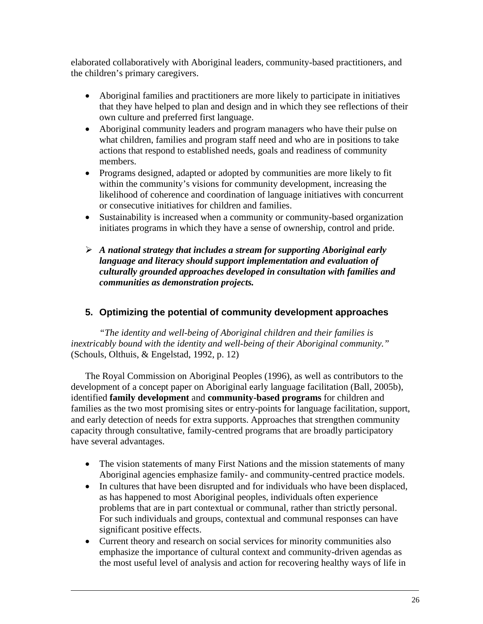elaborated collaboratively with Aboriginal leaders, community-based practitioners, and the children's primary caregivers.

- Aboriginal families and practitioners are more likely to participate in initiatives that they have helped to plan and design and in which they see reflections of their own culture and preferred first language.
- Aboriginal community leaders and program managers who have their pulse on what children, families and program staff need and who are in positions to take actions that respond to established needs, goals and readiness of community members.
- Programs designed, adapted or adopted by communities are more likely to fit within the community's visions for community development, increasing the likelihood of coherence and coordination of language initiatives with concurrent or consecutive initiatives for children and families.
- Sustainability is increased when a community or community-based organization initiates programs in which they have a sense of ownership, control and pride.
- ¾ *A national strategy that includes a stream for supporting Aboriginal early language and literacy should support implementation and evaluation of culturally grounded approaches developed in consultation with families and communities as demonstration projects.*

# **5. Optimizing the potential of community development approaches**

*"The identity and well-being of Aboriginal children and their families is inextricably bound with the identity and well-being of their Aboriginal community."* (Schouls, Olthuis, & Engelstad, 1992, p. 12)

The Royal Commission on Aboriginal Peoples (1996), as well as contributors to the development of a concept paper on Aboriginal early language facilitation (Ball, 2005b), identified **family development** and **community-based programs** for children and families as the two most promising sites or entry-points for language facilitation, support, and early detection of needs for extra supports. Approaches that strengthen community capacity through consultative, family-centred programs that are broadly participatory have several advantages.

- The vision statements of many First Nations and the mission statements of many Aboriginal agencies emphasize family- and community-centred practice models.
- In cultures that have been disrupted and for individuals who have been displaced, as has happened to most Aboriginal peoples, individuals often experience problems that are in part contextual or communal, rather than strictly personal. For such individuals and groups, contextual and communal responses can have significant positive effects.
- Current theory and research on social services for minority communities also emphasize the importance of cultural context and community-driven agendas as the most useful level of analysis and action for recovering healthy ways of life in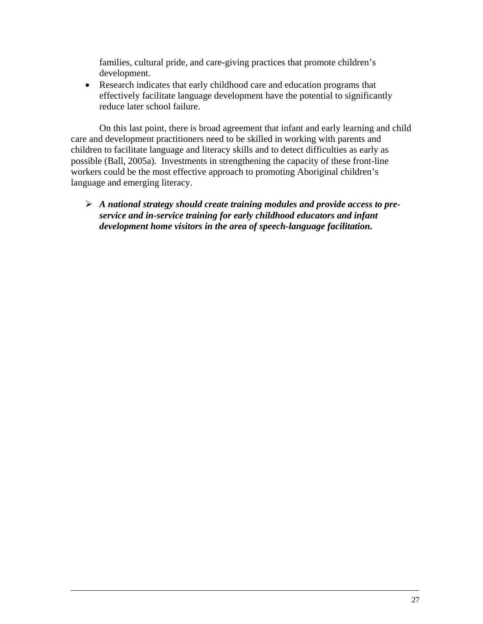families, cultural pride, and care-giving practices that promote children's development.

• Research indicates that early childhood care and education programs that effectively facilitate language development have the potential to significantly reduce later school failure.

On this last point, there is broad agreement that infant and early learning and child care and development practitioners need to be skilled in working with parents and children to facilitate language and literacy skills and to detect difficulties as early as possible (Ball, 2005a). Investments in strengthening the capacity of these front-line workers could be the most effective approach to promoting Aboriginal children's language and emerging literacy.

## ¾ *A national strategy should create training modules and provide access to preservice and in-service training for early childhood educators and infant development home visitors in the area of speech-language facilitation.*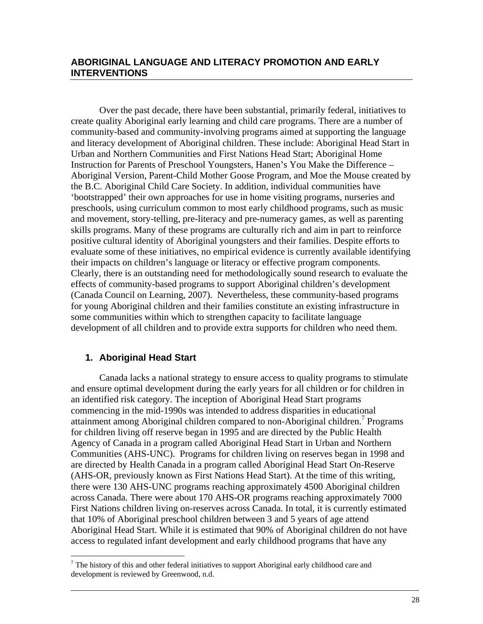## **ABORIGINAL LANGUAGE AND LITERACY PROMOTION AND EARLY INTERVENTIONS**

Over the past decade, there have been substantial, primarily federal, initiatives to create quality Aboriginal early learning and child care programs. There are a number of community-based and community-involving programs aimed at supporting the language and literacy development of Aboriginal children. These include: Aboriginal Head Start in Urban and Northern Communities and First Nations Head Start; Aboriginal Home Instruction for Parents of Preschool Youngsters, Hanen's You Make the Difference – Aboriginal Version, Parent-Child Mother Goose Program, and Moe the Mouse created by the B.C. Aboriginal Child Care Society. In addition, individual communities have 'bootstrapped' their own approaches for use in home visiting programs, nurseries and preschools, using curriculum common to most early childhood programs, such as music and movement, story-telling, pre-literacy and pre-numeracy games, as well as parenting skills programs. Many of these programs are culturally rich and aim in part to reinforce positive cultural identity of Aboriginal youngsters and their families. Despite efforts to evaluate some of these initiatives, no empirical evidence is currently available identifying their impacts on children's language or literacy or effective program components. Clearly, there is an outstanding need for methodologically sound research to evaluate the effects of community-based programs to support Aboriginal children's development (Canada Council on Learning, 2007). Nevertheless, these community-based programs for young Aboriginal children and their families constitute an existing infrastructure in some communities within which to strengthen capacity to facilitate language development of all children and to provide extra supports for children who need them.

## **1. Aboriginal Head Start**

 $\overline{a}$ 

Canada lacks a national strategy to ensure access to quality programs to stimulate and ensure optimal development during the early years for all children or for children in an identified risk category. The inception of Aboriginal Head Start programs commencing in the mid-1990s was intended to address disparities in educational attainment among Aboriginal children compared to non-Aboriginal children.<sup>7</sup> Programs for children living off reserve began in 1995 and are directed by the Public Health Agency of Canada in a program called Aboriginal Head Start in Urban and Northern Communities (AHS-UNC). Programs for children living on reserves began in 1998 and are directed by Health Canada in a program called Aboriginal Head Start On-Reserve (AHS-OR, previously known as First Nations Head Start). At the time of this writing, there were 130 AHS-UNC programs reaching approximately 4500 Aboriginal children across Canada. There were about 170 AHS-OR programs reaching approximately 7000 First Nations children living on-reserves across Canada. In total, it is currently estimated that 10% of Aboriginal preschool children between 3 and 5 years of age attend Aboriginal Head Start. While it is estimated that 90% of Aboriginal children do not have access to regulated infant development and early childhood programs that have any

 $<sup>7</sup>$  The history of this and other federal initiatives to support Aboriginal early childhood care and</sup> development is reviewed by Greenwood, n.d.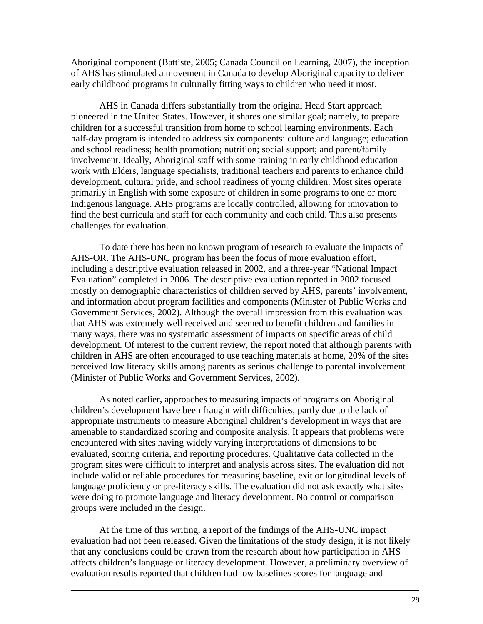Aboriginal component (Battiste, 2005; Canada Council on Learning, 2007), the inception of AHS has stimulated a movement in Canada to develop Aboriginal capacity to deliver early childhood programs in culturally fitting ways to children who need it most.

AHS in Canada differs substantially from the original Head Start approach pioneered in the United States. However, it shares one similar goal; namely, to prepare children for a successful transition from home to school learning environments. Each half-day program is intended to address six components: culture and language; education and school readiness; health promotion; nutrition; social support; and parent/family involvement. Ideally, Aboriginal staff with some training in early childhood education work with Elders, language specialists, traditional teachers and parents to enhance child development, cultural pride, and school readiness of young children. Most sites operate primarily in English with some exposure of children in some programs to one or more Indigenous language. AHS programs are locally controlled, allowing for innovation to find the best curricula and staff for each community and each child. This also presents challenges for evaluation.

To date there has been no known program of research to evaluate the impacts of AHS-OR. The AHS-UNC program has been the focus of more evaluation effort, including a descriptive evaluation released in 2002, and a three-year "National Impact Evaluation" completed in 2006. The descriptive evaluation reported in 2002 focused mostly on demographic characteristics of children served by AHS, parents' involvement, and information about program facilities and components (Minister of Public Works and Government Services, 2002). Although the overall impression from this evaluation was that AHS was extremely well received and seemed to benefit children and families in many ways, there was no systematic assessment of impacts on specific areas of child development. Of interest to the current review, the report noted that although parents with children in AHS are often encouraged to use teaching materials at home, 20% of the sites perceived low literacy skills among parents as serious challenge to parental involvement (Minister of Public Works and Government Services, 2002).

As noted earlier, approaches to measuring impacts of programs on Aboriginal children's development have been fraught with difficulties, partly due to the lack of appropriate instruments to measure Aboriginal children's development in ways that are amenable to standardized scoring and composite analysis. It appears that problems were encountered with sites having widely varying interpretations of dimensions to be evaluated, scoring criteria, and reporting procedures. Qualitative data collected in the program sites were difficult to interpret and analysis across sites. The evaluation did not include valid or reliable procedures for measuring baseline, exit or longitudinal levels of language proficiency or pre-literacy skills. The evaluation did not ask exactly what sites were doing to promote language and literacy development. No control or comparison groups were included in the design.

At the time of this writing, a report of the findings of the AHS-UNC impact evaluation had not been released. Given the limitations of the study design, it is not likely that any conclusions could be drawn from the research about how participation in AHS affects children's language or literacy development. However, a preliminary overview of evaluation results reported that children had low baselines scores for language and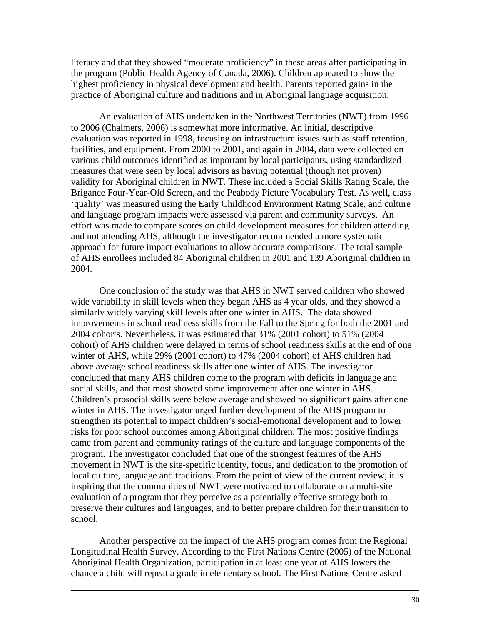literacy and that they showed "moderate proficiency" in these areas after participating in the program (Public Health Agency of Canada, 2006). Children appeared to show the highest proficiency in physical development and health. Parents reported gains in the practice of Aboriginal culture and traditions and in Aboriginal language acquisition.

An evaluation of AHS undertaken in the Northwest Territories (NWT) from 1996 to 2006 (Chalmers, 2006) is somewhat more informative. An initial, descriptive evaluation was reported in 1998, focusing on infrastructure issues such as staff retention, facilities, and equipment. From 2000 to 2001, and again in 2004, data were collected on various child outcomes identified as important by local participants, using standardized measures that were seen by local advisors as having potential (though not proven) validity for Aboriginal children in NWT. These included a Social Skills Rating Scale, the Brigance Four-Year-Old Screen, and the Peabody Picture Vocabulary Test. As well, class 'quality' was measured using the Early Childhood Environment Rating Scale, and culture and language program impacts were assessed via parent and community surveys. An effort was made to compare scores on child development measures for children attending and not attending AHS, although the investigator recommended a more systematic approach for future impact evaluations to allow accurate comparisons. The total sample of AHS enrollees included 84 Aboriginal children in 2001 and 139 Aboriginal children in 2004.

One conclusion of the study was that AHS in NWT served children who showed wide variability in skill levels when they began AHS as 4 year olds, and they showed a similarly widely varying skill levels after one winter in AHS. The data showed improvements in school readiness skills from the Fall to the Spring for both the 2001 and 2004 cohorts. Nevertheless, it was estimated that 31% (2001 cohort) to 51% (2004 cohort) of AHS children were delayed in terms of school readiness skills at the end of one winter of AHS, while 29% (2001 cohort) to 47% (2004 cohort) of AHS children had above average school readiness skills after one winter of AHS. The investigator concluded that many AHS children come to the program with deficits in language and social skills, and that most showed some improvement after one winter in AHS. Children's prosocial skills were below average and showed no significant gains after one winter in AHS. The investigator urged further development of the AHS program to strengthen its potential to impact children's social-emotional development and to lower risks for poor school outcomes among Aboriginal children. The most positive findings came from parent and community ratings of the culture and language components of the program. The investigator concluded that one of the strongest features of the AHS movement in NWT is the site-specific identity, focus, and dedication to the promotion of local culture, language and traditions. From the point of view of the current review, it is inspiring that the communities of NWT were motivated to collaborate on a multi-site evaluation of a program that they perceive as a potentially effective strategy both to preserve their cultures and languages, and to better prepare children for their transition to school.

Another perspective on the impact of the AHS program comes from the Regional Longitudinal Health Survey. According to the First Nations Centre (2005) of the National Aboriginal Health Organization, participation in at least one year of AHS lowers the chance a child will repeat a grade in elementary school. The First Nations Centre asked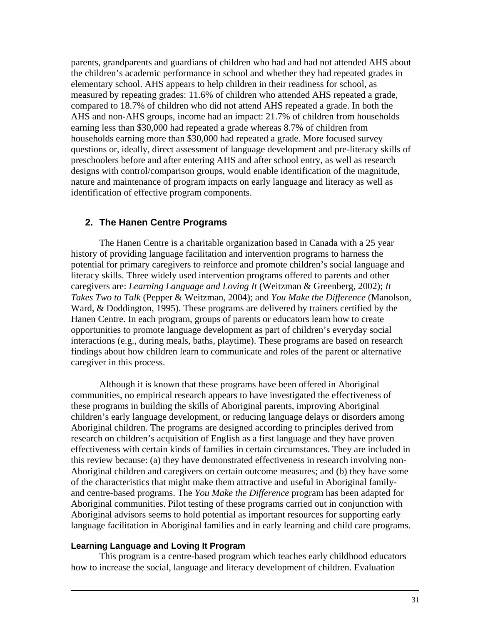parents, grandparents and guardians of children who had and had not attended AHS about the children's academic performance in school and whether they had repeated grades in elementary school. AHS appears to help children in their readiness for school, as measured by repeating grades: 11.6% of children who attended AHS repeated a grade, compared to 18.7% of children who did not attend AHS repeated a grade. In both the AHS and non-AHS groups, income had an impact: 21.7% of children from households earning less than \$30,000 had repeated a grade whereas 8.7% of children from households earning more than \$30,000 had repeated a grade. More focused survey questions or, ideally, direct assessment of language development and pre-literacy skills of preschoolers before and after entering AHS and after school entry, as well as research designs with control/comparison groups, would enable identification of the magnitude, nature and maintenance of program impacts on early language and literacy as well as identification of effective program components.

# **2. The Hanen Centre Programs**

The Hanen Centre is a charitable organization based in Canada with a 25 year history of providing language facilitation and intervention programs to harness the potential for primary caregivers to reinforce and promote children's social language and literacy skills. Three widely used intervention programs offered to parents and other caregivers are: *Learning Language and Loving It* (Weitzman & Greenberg, 2002); *It Takes Two to Talk* (Pepper & Weitzman, 2004); and *You Make the Difference* (Manolson, Ward, & Doddington, 1995). These programs are delivered by trainers certified by the Hanen Centre. In each program, groups of parents or educators learn how to create opportunities to promote language development as part of children's everyday social interactions (e.g., during meals, baths, playtime). These programs are based on research findings about how children learn to communicate and roles of the parent or alternative caregiver in this process.

Although it is known that these programs have been offered in Aboriginal communities, no empirical research appears to have investigated the effectiveness of these programs in building the skills of Aboriginal parents, improving Aboriginal children's early language development, or reducing language delays or disorders among Aboriginal children. The programs are designed according to principles derived from research on children's acquisition of English as a first language and they have proven effectiveness with certain kinds of families in certain circumstances. They are included in this review because: (a) they have demonstrated effectiveness in research involving non-Aboriginal children and caregivers on certain outcome measures; and (b) they have some of the characteristics that might make them attractive and useful in Aboriginal familyand centre-based programs. The *You Make the Difference* program has been adapted for Aboriginal communities. Pilot testing of these programs carried out in conjunction with Aboriginal advisors seems to hold potential as important resources for supporting early language facilitation in Aboriginal families and in early learning and child care programs.

#### **Learning Language and Loving It Program**

This program is a centre-based program which teaches early childhood educators how to increase the social, language and literacy development of children. Evaluation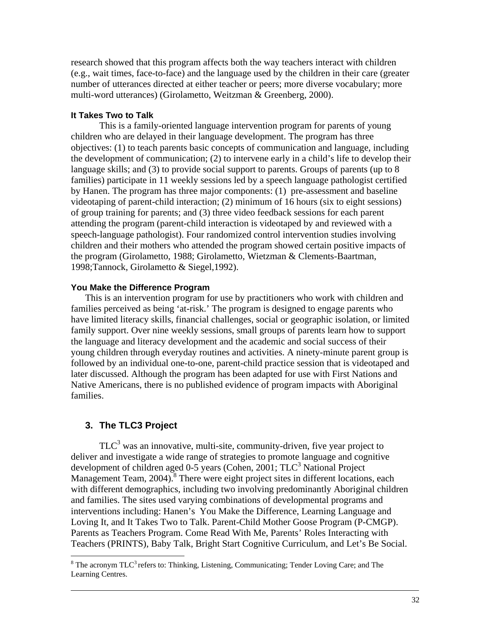research showed that this program affects both the way teachers interact with children (e.g., wait times, face-to-face) and the language used by the children in their care (greater number of utterances directed at either teacher or peers; more diverse vocabulary; more multi-word utterances) (Girolametto, Weitzman & Greenberg, 2000).

#### **It Takes Two to Talk**

This is a family-oriented language intervention program for parents of young children who are delayed in their language development. The program has three objectives: (1) to teach parents basic concepts of communication and language, including the development of communication; (2) to intervene early in a child's life to develop their language skills; and (3) to provide social support to parents. Groups of parents (up to 8 families) participate in 11 weekly sessions led by a speech language pathologist certified by Hanen. The program has three major components: (1) pre-assessment and baseline videotaping of parent-child interaction; (2) minimum of 16 hours (six to eight sessions) of group training for parents; and (3) three video feedback sessions for each parent attending the program (parent-child interaction is videotaped by and reviewed with a speech-language pathologist). Four randomized control intervention studies involving children and their mothers who attended the program showed certain positive impacts of the program (Girolametto, 1988; Girolametto, Wietzman & Clements-Baartman, 1998;Tannock, Girolametto & Siegel,1992).

#### **You Make the Difference Program**

This is an intervention program for use by practitioners who work with children and families perceived as being 'at-risk.' The program is designed to engage parents who have limited literacy skills, financial challenges, social or geographic isolation, or limited family support. Over nine weekly sessions, small groups of parents learn how to support the language and literacy development and the academic and social success of their young children through everyday routines and activities. A ninety-minute parent group is followed by an individual one-to-one, parent-child practice session that is videotaped and later discussed. Although the program has been adapted for use with First Nations and Native Americans, there is no published evidence of program impacts with Aboriginal families.

#### **3. The TLC3 Project**

 $\overline{a}$ 

TLC<sup>3</sup> was an innovative, multi-site, community-driven, five year project to deliver and investigate a wide range of strategies to promote language and cognitive development of children aged 0-5 years (Cohen, 2001; TLC<sup>3</sup> National Project Management Team, 2004).<sup>8</sup> There were eight project sites in different locations, each with different demographics, including two involving predominantly Aboriginal children and families. The sites used varying combinations of developmental programs and interventions including: Hanen's You Make the Difference, Learning Language and Loving It, and It Takes Two to Talk. Parent-Child Mother Goose Program (P-CMGP). Parents as Teachers Program. Come Read With Me, Parents' Roles Interacting with Teachers (PRINTS), Baby Talk, Bright Start Cognitive Curriculum, and Let's Be Social.

 $8$  The acronym TLC<sup>3</sup> refers to: Thinking, Listening, Communicating; Tender Loving Care; and The Learning Centres.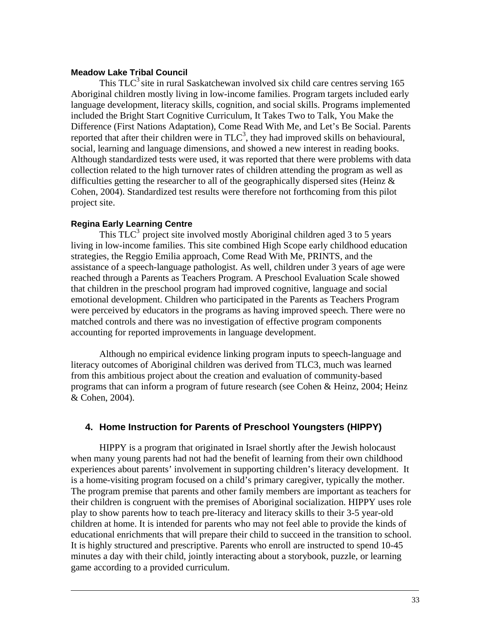#### **Meadow Lake Tribal Council**

This  $TLC^3$  site in rural Saskatchewan involved six child care centres serving 165 Aboriginal children mostly living in low-income families. Program targets included early language development, literacy skills, cognition, and social skills. Programs implemented included the Bright Start Cognitive Curriculum, It Takes Two to Talk, You Make the Difference (First Nations Adaptation), Come Read With Me, and Let's Be Social. Parents reported that after their children were in  $TLC^3$ , they had improved skills on behavioural, social, learning and language dimensions, and showed a new interest in reading books. Although standardized tests were used, it was reported that there were problems with data collection related to the high turnover rates of children attending the program as well as difficulties getting the researcher to all of the geographically dispersed sites (Heinz  $\&$ Cohen, 2004). Standardized test results were therefore not forthcoming from this pilot project site.

### **Regina Early Learning Centre**

This  $TLC^3$  project site involved mostly Aboriginal children aged 3 to 5 years living in low-income families. This site combined High Scope early childhood education strategies, the Reggio Emilia approach, Come Read With Me, PRINTS, and the assistance of a speech-language pathologist. As well, children under 3 years of age were reached through a Parents as Teachers Program. A Preschool Evaluation Scale showed that children in the preschool program had improved cognitive, language and social emotional development. Children who participated in the Parents as Teachers Program were perceived by educators in the programs as having improved speech. There were no matched controls and there was no investigation of effective program components accounting for reported improvements in language development.

Although no empirical evidence linking program inputs to speech-language and literacy outcomes of Aboriginal children was derived from TLC3, much was learned from this ambitious project about the creation and evaluation of community-based programs that can inform a program of future research (see Cohen & Heinz, 2004; Heinz & Cohen, 2004).

# **4. Home Instruction for Parents of Preschool Youngsters (HIPPY)**

HIPPY is a program that originated in Israel shortly after the Jewish holocaust when many young parents had not had the benefit of learning from their own childhood experiences about parents' involvement in supporting children's literacy development. It is a home-visiting program focused on a child's primary caregiver, typically the mother. The program premise that parents and other family members are important as teachers for their children is congruent with the premises of Aboriginal socialization. HIPPY uses role play to show parents how to teach pre-literacy and literacy skills to their 3-5 year-old children at home. It is intended for parents who may not feel able to provide the kinds of educational enrichments that will prepare their child to succeed in the transition to school. It is highly structured and prescriptive. Parents who enroll are instructed to spend 10-45 minutes a day with their child, jointly interacting about a storybook, puzzle, or learning game according to a provided curriculum.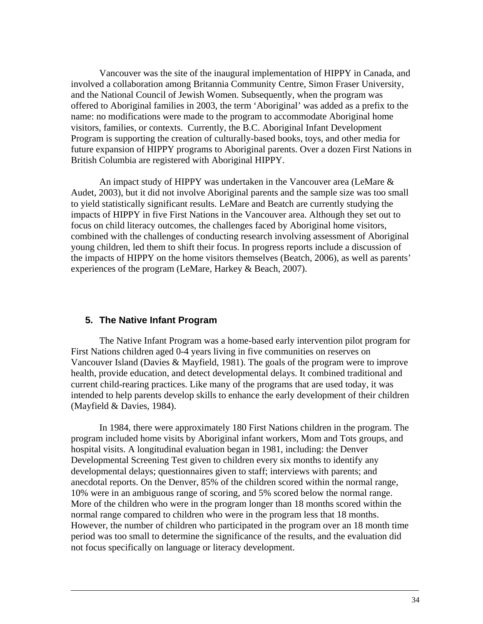Vancouver was the site of the inaugural implementation of HIPPY in Canada, and involved a collaboration among Britannia Community Centre, Simon Fraser University, and the National Council of Jewish Women. Subsequently, when the program was offered to Aboriginal families in 2003, the term 'Aboriginal' was added as a prefix to the name: no modifications were made to the program to accommodate Aboriginal home visitors, families, or contexts. Currently, the B.C. Aboriginal Infant Development Program is supporting the creation of culturally-based books, toys, and other media for future expansion of HIPPY programs to Aboriginal parents. Over a dozen First Nations in British Columbia are registered with Aboriginal HIPPY.

An impact study of HIPPY was undertaken in the Vancouver area (LeMare & Audet, 2003), but it did not involve Aboriginal parents and the sample size was too small to yield statistically significant results. LeMare and Beatch are currently studying the impacts of HIPPY in five First Nations in the Vancouver area. Although they set out to focus on child literacy outcomes, the challenges faced by Aboriginal home visitors, combined with the challenges of conducting research involving assessment of Aboriginal young children, led them to shift their focus. In progress reports include a discussion of the impacts of HIPPY on the home visitors themselves (Beatch, 2006), as well as parents' experiences of the program (LeMare, Harkey & Beach, 2007).

### **5. The Native Infant Program**

The Native Infant Program was a home-based early intervention pilot program for First Nations children aged 0-4 years living in five communities on reserves on Vancouver Island (Davies & Mayfield, 1981). The goals of the program were to improve health, provide education, and detect developmental delays. It combined traditional and current child-rearing practices. Like many of the programs that are used today, it was intended to help parents develop skills to enhance the early development of their children (Mayfield & Davies, 1984).

In 1984, there were approximately 180 First Nations children in the program. The program included home visits by Aboriginal infant workers, Mom and Tots groups, and hospital visits. A longitudinal evaluation began in 1981, including: the Denver Developmental Screening Test given to children every six months to identify any developmental delays; questionnaires given to staff; interviews with parents; and anecdotal reports. On the Denver, 85% of the children scored within the normal range, 10% were in an ambiguous range of scoring, and 5% scored below the normal range. More of the children who were in the program longer than 18 months scored within the normal range compared to children who were in the program less that 18 months. However, the number of children who participated in the program over an 18 month time period was too small to determine the significance of the results, and the evaluation did not focus specifically on language or literacy development.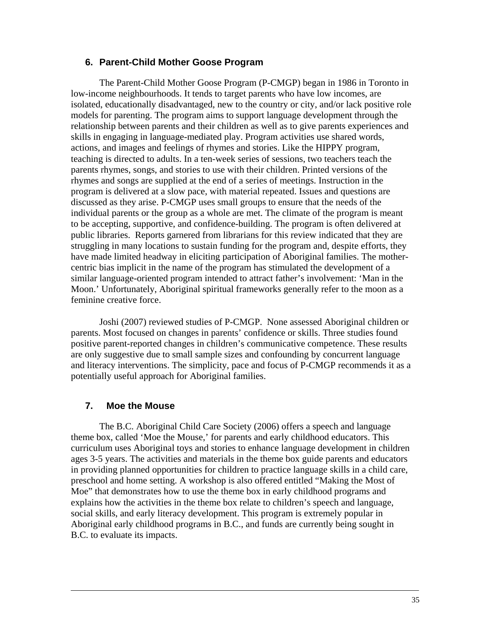### **6. Parent-Child Mother Goose Program**

The Parent-Child Mother Goose Program (P-CMGP) began in 1986 in Toronto in low-income neighbourhoods. It tends to target parents who have low incomes, are isolated, educationally disadvantaged, new to the country or city, and/or lack positive role models for parenting. The program aims to support language development through the relationship between parents and their children as well as to give parents experiences and skills in engaging in language-mediated play. Program activities use shared words, actions, and images and feelings of rhymes and stories. Like the HIPPY program, teaching is directed to adults. In a ten-week series of sessions, two teachers teach the parents rhymes, songs, and stories to use with their children. Printed versions of the rhymes and songs are supplied at the end of a series of meetings. Instruction in the program is delivered at a slow pace, with material repeated. Issues and questions are discussed as they arise. P-CMGP uses small groups to ensure that the needs of the individual parents or the group as a whole are met. The climate of the program is meant to be accepting, supportive, and confidence-building. The program is often delivered at public libraries. Reports garnered from librarians for this review indicated that they are struggling in many locations to sustain funding for the program and, despite efforts, they have made limited headway in eliciting participation of Aboriginal families. The mothercentric bias implicit in the name of the program has stimulated the development of a similar language-oriented program intended to attract father's involvement: 'Man in the Moon.' Unfortunately, Aboriginal spiritual frameworks generally refer to the moon as a feminine creative force.

Joshi (2007) reviewed studies of P-CMGP. None assessed Aboriginal children or parents. Most focused on changes in parents' confidence or skills. Three studies found positive parent-reported changes in children's communicative competence. These results are only suggestive due to small sample sizes and confounding by concurrent language and literacy interventions. The simplicity, pace and focus of P-CMGP recommends it as a potentially useful approach for Aboriginal families.

### **7. Moe the Mouse**

The B.C. Aboriginal Child Care Society (2006) offers a speech and language theme box, called 'Moe the Mouse,' for parents and early childhood educators. This curriculum uses Aboriginal toys and stories to enhance language development in children ages 3-5 years. The activities and materials in the theme box guide parents and educators in providing planned opportunities for children to practice language skills in a child care, preschool and home setting. A workshop is also offered entitled "Making the Most of Moe" that demonstrates how to use the theme box in early childhood programs and explains how the activities in the theme box relate to children's speech and language, social skills, and early literacy development. This program is extremely popular in Aboriginal early childhood programs in B.C., and funds are currently being sought in B.C. to evaluate its impacts.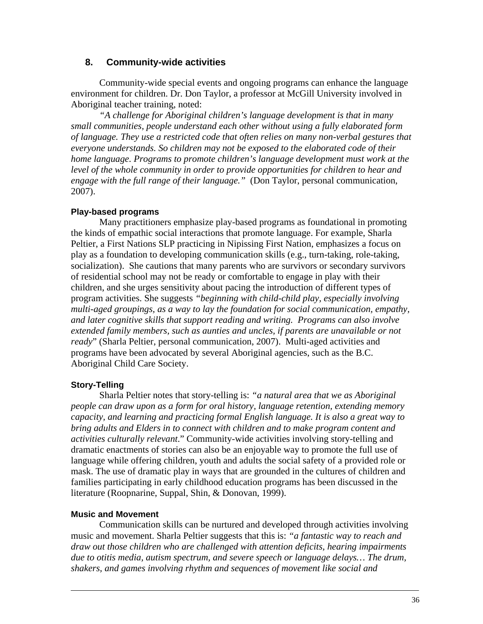## **8. Community-wide activities**

 Community-wide special events and ongoing programs can enhance the language environment for children. Dr. Don Taylor, a professor at McGill University involved in Aboriginal teacher training, noted:

*"A challenge for Aboriginal children's language development is that in many small communities, people understand each other without using a fully elaborated form of language. They use a restricted code that often relies on many non-verbal gestures that everyone understands. So children may not be exposed to the elaborated code of their home language. Programs to promote children's language development must work at the level of the whole community in order to provide opportunities for children to hear and engage with the full range of their language."* (Don Taylor, personal communication, 2007).

## **Play-based programs**

 Many practitioners emphasize play-based programs as foundational in promoting the kinds of empathic social interactions that promote language. For example, Sharla Peltier, a First Nations SLP practicing in Nipissing First Nation, emphasizes a focus on play as a foundation to developing communication skills (e.g., turn-taking, role-taking, socialization). She cautions that many parents who are survivors or secondary survivors of residential school may not be ready or comfortable to engage in play with their children, and she urges sensitivity about pacing the introduction of different types of program activities. She suggests *"beginning with child-child play, especially involving multi-aged groupings, as a way to lay the foundation for social communication, empathy, and later cognitive skills that support reading and writing. Programs can also involve extended family members, such as aunties and uncles, if parents are unavailable or not ready*" (Sharla Peltier, personal communication, 2007). Multi-aged activities and programs have been advocated by several Aboriginal agencies, such as the B.C. Aboriginal Child Care Society.

### **Story-Telling**

 Sharla Peltier notes that story-telling is: *"a natural area that we as Aboriginal people can draw upon as a form for oral history, language retention, extending memory capacity, and learning and practicing formal English language. It is also a great way to bring adults and Elders in to connect with children and to make program content and activities culturally relevant*." Community-wide activities involving story-telling and dramatic enactments of stories can also be an enjoyable way to promote the full use of language while offering children, youth and adults the social safety of a provided role or mask. The use of dramatic play in ways that are grounded in the cultures of children and families participating in early childhood education programs has been discussed in the literature (Roopnarine, Suppal, Shin, & Donovan, 1999).

### **Music and Movement**

 Communication skills can be nurtured and developed through activities involving music and movement. Sharla Peltier suggests that this is: *"a fantastic way to reach and draw out those children who are challenged with attention deficits, hearing impairments due to otitis media, autism spectrum, and severe speech or language delays… The drum, shakers, and games involving rhythm and sequences of movement like social and*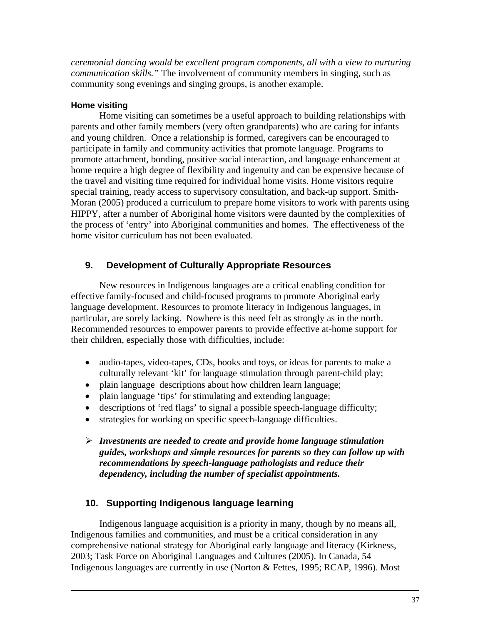*ceremonial dancing would be excellent program components, all with a view to nurturing communication skills."* The involvement of community members in singing, such as community song evenings and singing groups, is another example.

## **Home visiting**

Home visiting can sometimes be a useful approach to building relationships with parents and other family members (very often grandparents) who are caring for infants and young children. Once a relationship is formed, caregivers can be encouraged to participate in family and community activities that promote language. Programs to promote attachment, bonding, positive social interaction, and language enhancement at home require a high degree of flexibility and ingenuity and can be expensive because of the travel and visiting time required for individual home visits. Home visitors require special training, ready access to supervisory consultation, and back-up support. Smith-Moran (2005) produced a curriculum to prepare home visitors to work with parents using HIPPY, after a number of Aboriginal home visitors were daunted by the complexities of the process of 'entry' into Aboriginal communities and homes. The effectiveness of the home visitor curriculum has not been evaluated.

# **9. Development of Culturally Appropriate Resources**

 New resources in Indigenous languages are a critical enabling condition for effective family-focused and child-focused programs to promote Aboriginal early language development. Resources to promote literacy in Indigenous languages, in particular, are sorely lacking. Nowhere is this need felt as strongly as in the north. Recommended resources to empower parents to provide effective at-home support for their children, especially those with difficulties, include:

- audio-tapes, video-tapes, CDs, books and toys, or ideas for parents to make a culturally relevant 'kit' for language stimulation through parent-child play;
- plain language descriptions about how children learn language;
- plain language 'tips' for stimulating and extending language;
- descriptions of 'red flags' to signal a possible speech-language difficulty;
- strategies for working on specific speech-language difficulties.
- ¾ *Investments are needed to create and provide home language stimulation guides, workshops and simple resources for parents so they can follow up with recommendations by speech-language pathologists and reduce their dependency, including the number of specialist appointments.*

# **10. Supporting Indigenous language learning**

Indigenous language acquisition is a priority in many, though by no means all, Indigenous families and communities, and must be a critical consideration in any comprehensive national strategy for Aboriginal early language and literacy (Kirkness, 2003; Task Force on Aboriginal Languages and Cultures (2005). In Canada, 54 Indigenous languages are currently in use (Norton & Fettes, 1995; RCAP, 1996). Most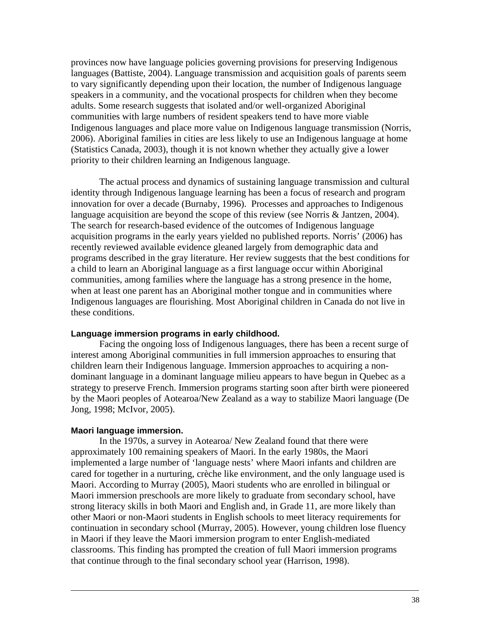provinces now have language policies governing provisions for preserving Indigenous languages (Battiste, 2004). Language transmission and acquisition goals of parents seem to vary significantly depending upon their location, the number of Indigenous language speakers in a community, and the vocational prospects for children when they become adults. Some research suggests that isolated and/or well-organized Aboriginal communities with large numbers of resident speakers tend to have more viable Indigenous languages and place more value on Indigenous language transmission (Norris, 2006). Aboriginal families in cities are less likely to use an Indigenous language at home (Statistics Canada, 2003), though it is not known whether they actually give a lower priority to their children learning an Indigenous language.

The actual process and dynamics of sustaining language transmission and cultural identity through Indigenous language learning has been a focus of research and program innovation for over a decade (Burnaby, 1996). Processes and approaches to Indigenous language acquisition are beyond the scope of this review (see Norris & Jantzen, 2004). The search for research-based evidence of the outcomes of Indigenous language acquisition programs in the early years yielded no published reports. Norris' (2006) has recently reviewed available evidence gleaned largely from demographic data and programs described in the gray literature. Her review suggests that the best conditions for a child to learn an Aboriginal language as a first language occur within Aboriginal communities, among families where the language has a strong presence in the home, when at least one parent has an Aboriginal mother tongue and in communities where Indigenous languages are flourishing. Most Aboriginal children in Canada do not live in these conditions.

### **Language immersion programs in early childhood.**

Facing the ongoing loss of Indigenous languages, there has been a recent surge of interest among Aboriginal communities in full immersion approaches to ensuring that children learn their Indigenous language. Immersion approaches to acquiring a nondominant language in a dominant language milieu appears to have begun in Quebec as a strategy to preserve French. Immersion programs starting soon after birth were pioneered by the Maori peoples of Aotearoa/New Zealand as a way to stabilize Maori language (De Jong, 1998; McIvor, 2005).

#### **Maori language immersion.**

In the 1970s, a survey in Aotearoa/ New Zealand found that there were approximately 100 remaining speakers of Maori. In the early 1980s, the Maori implemented a large number of 'language nests' where Maori infants and children are cared for together in a nurturing, crèche like environment, and the only language used is Maori. According to Murray (2005), Maori students who are enrolled in bilingual or Maori immersion preschools are more likely to graduate from secondary school, have strong literacy skills in both Maori and English and, in Grade 11, are more likely than other Maori or non-Maori students in English schools to meet literacy requirements for continuation in secondary school (Murray, 2005). However, young children lose fluency in Maori if they leave the Maori immersion program to enter English-mediated classrooms. This finding has prompted the creation of full Maori immersion programs that continue through to the final secondary school year (Harrison, 1998).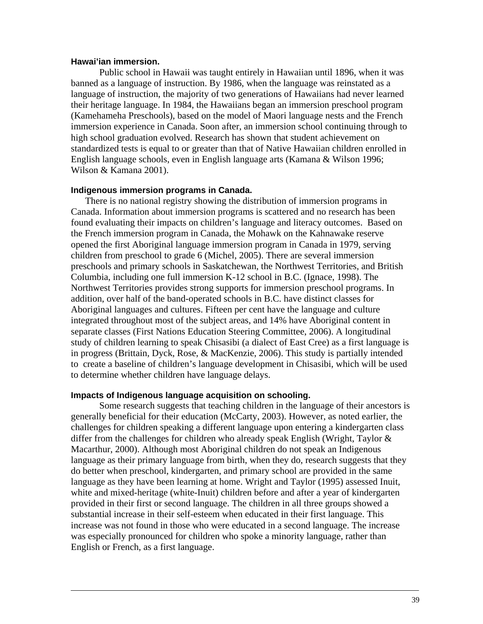#### **Hawai'ian immersion.**

Public school in Hawaii was taught entirely in Hawaiian until 1896, when it was banned as a language of instruction. By 1986, when the language was reinstated as a language of instruction, the majority of two generations of Hawaiians had never learned their heritage language. In 1984, the Hawaiians began an immersion preschool program (Kamehameha Preschools), based on the model of Maori language nests and the French immersion experience in Canada. Soon after, an immersion school continuing through to high school graduation evolved. Research has shown that student achievement on standardized tests is equal to or greater than that of Native Hawaiian children enrolled in English language schools, even in English language arts (Kamana & Wilson 1996; Wilson & Kamana 2001).

#### **Indigenous immersion programs in Canada.**

There is no national registry showing the distribution of immersion programs in Canada. Information about immersion programs is scattered and no research has been found evaluating their impacts on children's language and literacy outcomes. Based on the French immersion program in Canada, the Mohawk on the Kahnawake reserve opened the first Aboriginal language immersion program in Canada in 1979, serving children from preschool to grade 6 (Michel, 2005). There are several immersion preschools and primary schools in Saskatchewan, the Northwest Territories, and British Columbia, including one full immersion K-12 school in B.C. (Ignace, 1998). The Northwest Territories provides strong supports for immersion preschool programs. In addition, over half of the band-operated schools in B.C. have distinct classes for Aboriginal languages and cultures. Fifteen per cent have the language and culture integrated throughout most of the subject areas, and 14% have Aboriginal content in separate classes (First Nations Education Steering Committee, 2006). A longitudinal study of children learning to speak Chisasibi (a dialect of East Cree) as a first language is in progress (Brittain, Dyck, Rose, & MacKenzie, 2006). This study is partially intended to create a baseline of children's language development in Chisasibi, which will be used to determine whether children have language delays.

#### **Impacts of Indigenous language acquisition on schooling.**

Some research suggests that teaching children in the language of their ancestors is generally beneficial for their education (McCarty, 2003). However, as noted earlier, the challenges for children speaking a different language upon entering a kindergarten class differ from the challenges for children who already speak English (Wright, Taylor & Macarthur, 2000). Although most Aboriginal children do not speak an Indigenous language as their primary language from birth, when they do, research suggests that they do better when preschool, kindergarten, and primary school are provided in the same language as they have been learning at home. Wright and Taylor (1995) assessed Inuit, white and mixed-heritage (white-Inuit) children before and after a year of kindergarten provided in their first or second language. The children in all three groups showed a substantial increase in their self-esteem when educated in their first language. This increase was not found in those who were educated in a second language. The increase was especially pronounced for children who spoke a minority language, rather than English or French, as a first language.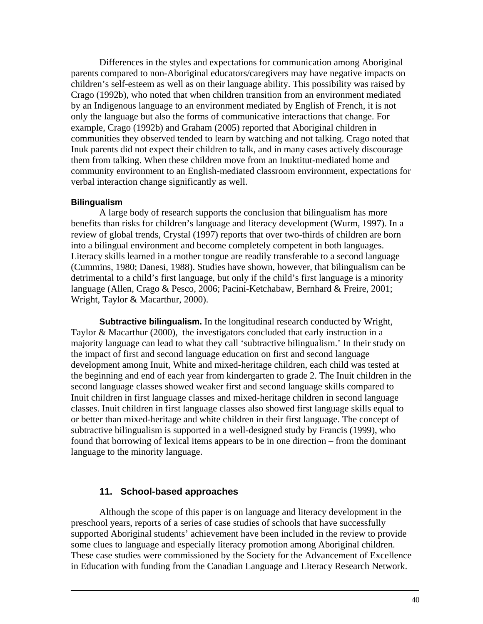Differences in the styles and expectations for communication among Aboriginal parents compared to non-Aboriginal educators/caregivers may have negative impacts on children's self-esteem as well as on their language ability. This possibility was raised by Crago (1992b), who noted that when children transition from an environment mediated by an Indigenous language to an environment mediated by English of French, it is not only the language but also the forms of communicative interactions that change. For example, Crago (1992b) and Graham (2005) reported that Aboriginal children in communities they observed tended to learn by watching and not talking. Crago noted that Inuk parents did not expect their children to talk, and in many cases actively discourage them from talking. When these children move from an Inuktitut-mediated home and community environment to an English-mediated classroom environment, expectations for verbal interaction change significantly as well.

#### **Bilingualism**

A large body of research supports the conclusion that bilingualism has more benefits than risks for children's language and literacy development (Wurm, 1997). In a review of global trends, Crystal (1997) reports that over two-thirds of children are born into a bilingual environment and become completely competent in both languages. Literacy skills learned in a mother tongue are readily transferable to a second language (Cummins, 1980; Danesi, 1988). Studies have shown, however, that bilingualism can be detrimental to a child's first language, but only if the child's first language is a minority language (Allen, Crago & Pesco, 2006; Pacini-Ketchabaw, Bernhard & Freire, 2001; Wright, Taylor & Macarthur, 2000).

**Subtractive bilingualism.** In the longitudinal research conducted by Wright, Taylor & Macarthur (2000), the investigators concluded that early instruction in a majority language can lead to what they call 'subtractive bilingualism.' In their study on the impact of first and second language education on first and second language development among Inuit, White and mixed-heritage children, each child was tested at the beginning and end of each year from kindergarten to grade 2. The Inuit children in the second language classes showed weaker first and second language skills compared to Inuit children in first language classes and mixed-heritage children in second language classes. Inuit children in first language classes also showed first language skills equal to or better than mixed-heritage and white children in their first language. The concept of subtractive bilingualism is supported in a well-designed study by Francis (1999), who found that borrowing of lexical items appears to be in one direction – from the dominant language to the minority language.

### **11. School-based approaches**

Although the scope of this paper is on language and literacy development in the preschool years, reports of a series of case studies of schools that have successfully supported Aboriginal students' achievement have been included in the review to provide some clues to language and especially literacy promotion among Aboriginal children. These case studies were commissioned by the Society for the Advancement of Excellence in Education with funding from the Canadian Language and Literacy Research Network.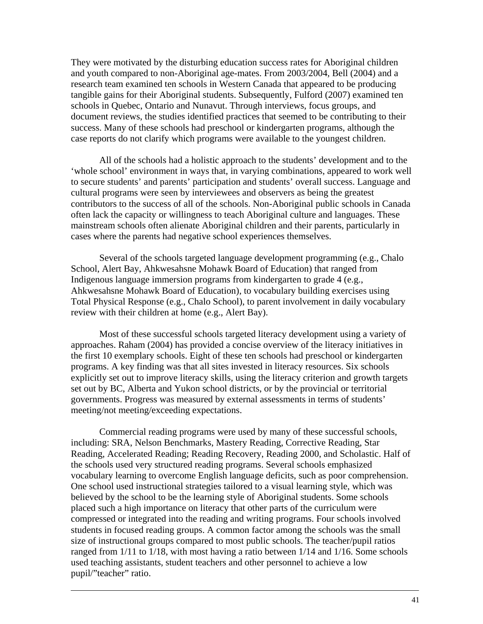They were motivated by the disturbing education success rates for Aboriginal children and youth compared to non-Aboriginal age-mates. From 2003/2004, Bell (2004) and a research team examined ten schools in Western Canada that appeared to be producing tangible gains for their Aboriginal students. Subsequently, Fulford (2007) examined ten schools in Quebec, Ontario and Nunavut. Through interviews, focus groups, and document reviews, the studies identified practices that seemed to be contributing to their success. Many of these schools had preschool or kindergarten programs, although the case reports do not clarify which programs were available to the youngest children.

All of the schools had a holistic approach to the students' development and to the 'whole school' environment in ways that, in varying combinations, appeared to work well to secure students' and parents' participation and students' overall success. Language and cultural programs were seen by interviewees and observers as being the greatest contributors to the success of all of the schools. Non-Aboriginal public schools in Canada often lack the capacity or willingness to teach Aboriginal culture and languages. These mainstream schools often alienate Aboriginal children and their parents, particularly in cases where the parents had negative school experiences themselves.

Several of the schools targeted language development programming (e.g., Chalo School, Alert Bay, Ahkwesahsne Mohawk Board of Education) that ranged from Indigenous language immersion programs from kindergarten to grade 4 (e.g., Ahkwesahsne Mohawk Board of Education), to vocabulary building exercises using Total Physical Response (e.g., Chalo School), to parent involvement in daily vocabulary review with their children at home (e.g., Alert Bay).

Most of these successful schools targeted literacy development using a variety of approaches. Raham (2004) has provided a concise overview of the literacy initiatives in the first 10 exemplary schools. Eight of these ten schools had preschool or kindergarten programs. A key finding was that all sites invested in literacy resources. Six schools explicitly set out to improve literacy skills, using the literacy criterion and growth targets set out by BC, Alberta and Yukon school districts, or by the provincial or territorial governments. Progress was measured by external assessments in terms of students' meeting/not meeting/exceeding expectations.

Commercial reading programs were used by many of these successful schools, including: SRA, Nelson Benchmarks, Mastery Reading, Corrective Reading, Star Reading, Accelerated Reading; Reading Recovery, Reading 2000, and Scholastic. Half of the schools used very structured reading programs. Several schools emphasized vocabulary learning to overcome English language deficits, such as poor comprehension. One school used instructional strategies tailored to a visual learning style, which was believed by the school to be the learning style of Aboriginal students. Some schools placed such a high importance on literacy that other parts of the curriculum were compressed or integrated into the reading and writing programs. Four schools involved students in focused reading groups. A common factor among the schools was the small size of instructional groups compared to most public schools. The teacher/pupil ratios ranged from 1/11 to 1/18, with most having a ratio between 1/14 and 1/16. Some schools used teaching assistants, student teachers and other personnel to achieve a low pupil/"teacher" ratio.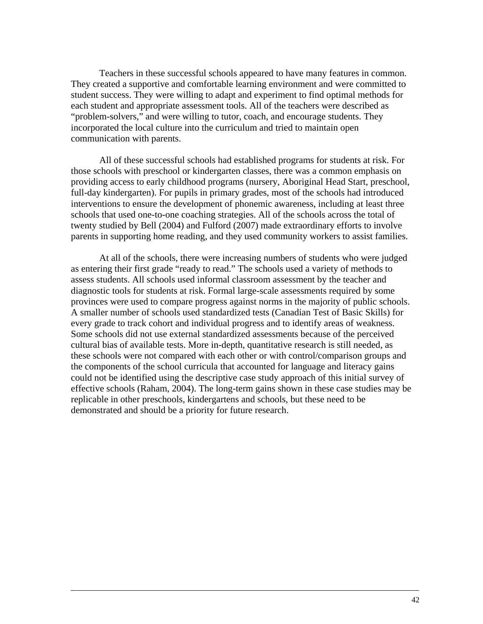Teachers in these successful schools appeared to have many features in common. They created a supportive and comfortable learning environment and were committed to student success. They were willing to adapt and experiment to find optimal methods for each student and appropriate assessment tools. All of the teachers were described as "problem-solvers," and were willing to tutor, coach, and encourage students. They incorporated the local culture into the curriculum and tried to maintain open communication with parents.

All of these successful schools had established programs for students at risk. For those schools with preschool or kindergarten classes, there was a common emphasis on providing access to early childhood programs (nursery, Aboriginal Head Start, preschool, full-day kindergarten). For pupils in primary grades, most of the schools had introduced interventions to ensure the development of phonemic awareness, including at least three schools that used one-to-one coaching strategies. All of the schools across the total of twenty studied by Bell (2004) and Fulford (2007) made extraordinary efforts to involve parents in supporting home reading, and they used community workers to assist families.

At all of the schools, there were increasing numbers of students who were judged as entering their first grade "ready to read." The schools used a variety of methods to assess students. All schools used informal classroom assessment by the teacher and diagnostic tools for students at risk. Formal large-scale assessments required by some provinces were used to compare progress against norms in the majority of public schools. A smaller number of schools used standardized tests (Canadian Test of Basic Skills) for every grade to track cohort and individual progress and to identify areas of weakness. Some schools did not use external standardized assessments because of the perceived cultural bias of available tests. More in-depth, quantitative research is still needed, as these schools were not compared with each other or with control/comparison groups and the components of the school curricula that accounted for language and literacy gains could not be identified using the descriptive case study approach of this initial survey of effective schools (Raham, 2004). The long-term gains shown in these case studies may be replicable in other preschools, kindergartens and schools, but these need to be demonstrated and should be a priority for future research.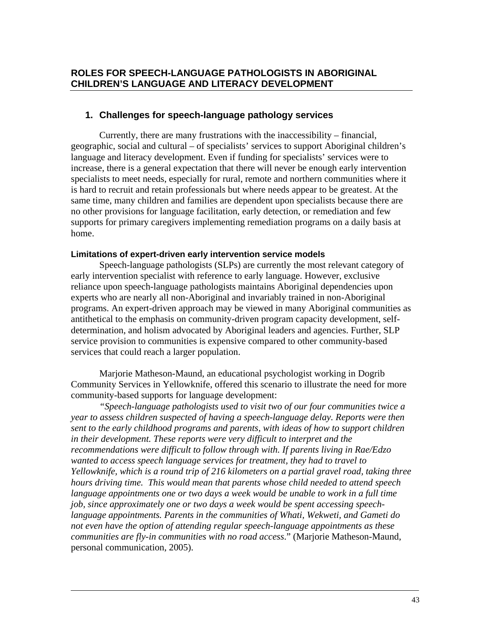# **ROLES FOR SPEECH-LANGUAGE PATHOLOGISTS IN ABORIGINAL CHILDREN'S LANGUAGE AND LITERACY DEVELOPMENT**

# **1. Challenges for speech-language pathology services**

Currently, there are many frustrations with the inaccessibility – financial, geographic, social and cultural – of specialists' services to support Aboriginal children's language and literacy development. Even if funding for specialists' services were to increase, there is a general expectation that there will never be enough early intervention specialists to meet needs, especially for rural, remote and northern communities where it is hard to recruit and retain professionals but where needs appear to be greatest. At the same time, many children and families are dependent upon specialists because there are no other provisions for language facilitation, early detection, or remediation and few supports for primary caregivers implementing remediation programs on a daily basis at home.

### **Limitations of expert-driven early intervention service models**

Speech-language pathologists (SLPs) are currently the most relevant category of early intervention specialist with reference to early language. However, exclusive reliance upon speech-language pathologists maintains Aboriginal dependencies upon experts who are nearly all non-Aboriginal and invariably trained in non-Aboriginal programs. An expert-driven approach may be viewed in many Aboriginal communities as antithetical to the emphasis on community-driven program capacity development, selfdetermination, and holism advocated by Aboriginal leaders and agencies. Further, SLP service provision to communities is expensive compared to other community-based services that could reach a larger population.

Marjorie Matheson-Maund, an educational psychologist working in Dogrib Community Services in Yellowknife, offered this scenario to illustrate the need for more community-based supports for language development:

*"Speech-language pathologists used to visit two of our four communities twice a year to assess children suspected of having a speech-language delay. Reports were then sent to the early childhood programs and parents, with ideas of how to support children in their development. These reports were very difficult to interpret and the recommendations were difficult to follow through with. If parents living in Rae/Edzo wanted to access speech language services for treatment, they had to travel to Yellowknife, which is a round trip of 216 kilometers on a partial gravel road, taking three hours driving time. This would mean that parents whose child needed to attend speech*  language appointments one or two days a week would be unable to work in a full time *job, since approximately one or two days a week would be spent accessing speechlanguage appointments. Parents in the communities of Whati, Wekweti, and Gameti do not even have the option of attending regular speech-language appointments as these communities are fly-in communities with no road access*." (Marjorie Matheson-Maund, personal communication, 2005).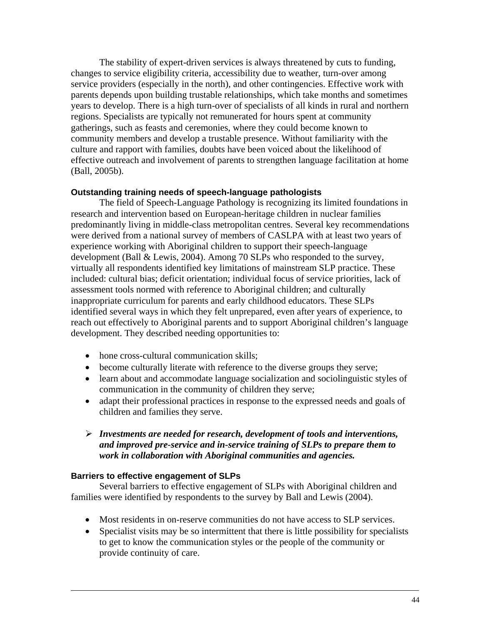The stability of expert-driven services is always threatened by cuts to funding, changes to service eligibility criteria, accessibility due to weather, turn-over among service providers (especially in the north), and other contingencies. Effective work with parents depends upon building trustable relationships, which take months and sometimes years to develop. There is a high turn-over of specialists of all kinds in rural and northern regions. Specialists are typically not remunerated for hours spent at community gatherings, such as feasts and ceremonies, where they could become known to community members and develop a trustable presence. Without familiarity with the culture and rapport with families, doubts have been voiced about the likelihood of effective outreach and involvement of parents to strengthen language facilitation at home (Ball, 2005b).

### **Outstanding training needs of speech-language pathologists**

The field of Speech-Language Pathology is recognizing its limited foundations in research and intervention based on European-heritage children in nuclear families predominantly living in middle-class metropolitan centres. Several key recommendations were derived from a national survey of members of CASLPA with at least two years of experience working with Aboriginal children to support their speech-language development (Ball & Lewis, 2004). Among 70 SLPs who responded to the survey, virtually all respondents identified key limitations of mainstream SLP practice. These included: cultural bias; deficit orientation; individual focus of service priorities, lack of assessment tools normed with reference to Aboriginal children; and culturally inappropriate curriculum for parents and early childhood educators. These SLPs identified several ways in which they felt unprepared, even after years of experience, to reach out effectively to Aboriginal parents and to support Aboriginal children's language development. They described needing opportunities to:

- hone cross-cultural communication skills:
- become culturally literate with reference to the diverse groups they serve;
- learn about and accommodate language socialization and sociolinguistic styles of communication in the community of children they serve;
- adapt their professional practices in response to the expressed needs and goals of children and families they serve.
- ¾ *Investments are needed for research, development of tools and interventions, and improved pre-service and in-service training of SLPs to prepare them to work in collaboration with Aboriginal communities and agencies.*

#### **Barriers to effective engagement of SLPs**

Several barriers to effective engagement of SLPs with Aboriginal children and families were identified by respondents to the survey by Ball and Lewis (2004).

- Most residents in on-reserve communities do not have access to SLP services.
- Specialist visits may be so intermittent that there is little possibility for specialists to get to know the communication styles or the people of the community or provide continuity of care.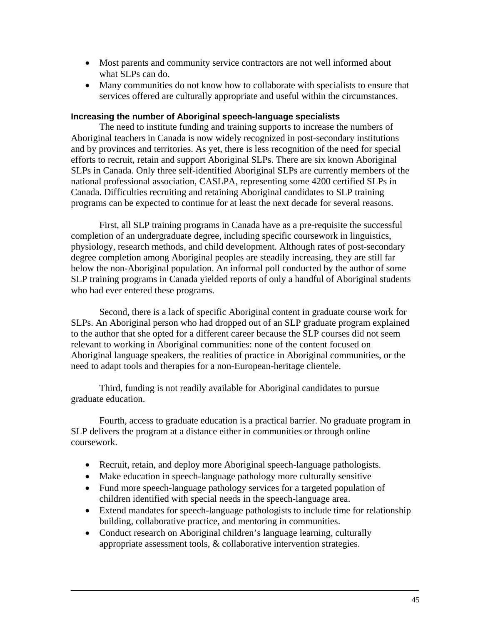- Most parents and community service contractors are not well informed about what SLPs can do.
- Many communities do not know how to collaborate with specialists to ensure that services offered are culturally appropriate and useful within the circumstances.

#### **Increasing the number of Aboriginal speech-language specialists**

The need to institute funding and training supports to increase the numbers of Aboriginal teachers in Canada is now widely recognized in post-secondary institutions and by provinces and territories. As yet, there is less recognition of the need for special efforts to recruit, retain and support Aboriginal SLPs. There are six known Aboriginal SLPs in Canada. Only three self-identified Aboriginal SLPs are currently members of the national professional association, CASLPA, representing some 4200 certified SLPs in Canada. Difficulties recruiting and retaining Aboriginal candidates to SLP training programs can be expected to continue for at least the next decade for several reasons.

First, all SLP training programs in Canada have as a pre-requisite the successful completion of an undergraduate degree, including specific coursework in linguistics, physiology, research methods, and child development. Although rates of post-secondary degree completion among Aboriginal peoples are steadily increasing, they are still far below the non-Aboriginal population. An informal poll conducted by the author of some SLP training programs in Canada yielded reports of only a handful of Aboriginal students who had ever entered these programs.

Second, there is a lack of specific Aboriginal content in graduate course work for SLPs. An Aboriginal person who had dropped out of an SLP graduate program explained to the author that she opted for a different career because the SLP courses did not seem relevant to working in Aboriginal communities: none of the content focused on Aboriginal language speakers, the realities of practice in Aboriginal communities, or the need to adapt tools and therapies for a non-European-heritage clientele.

Third, funding is not readily available for Aboriginal candidates to pursue graduate education.

Fourth, access to graduate education is a practical barrier. No graduate program in SLP delivers the program at a distance either in communities or through online coursework.

- Recruit, retain, and deploy more Aboriginal speech-language pathologists.
- Make education in speech-language pathology more culturally sensitive
- Fund more speech-language pathology services for a targeted population of children identified with special needs in the speech-language area.
- Extend mandates for speech-language pathologists to include time for relationship building, collaborative practice, and mentoring in communities.
- Conduct research on Aboriginal children's language learning, culturally appropriate assessment tools, & collaborative intervention strategies.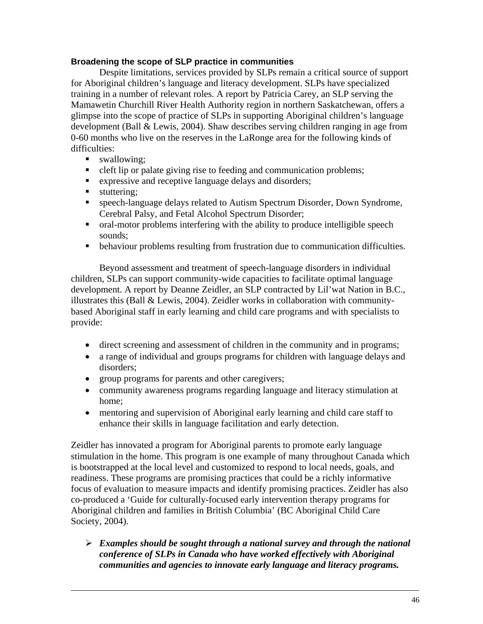## **Broadening the scope of SLP practice in communities**

Despite limitations, services provided by SLPs remain a critical source of support for Aboriginal children's language and literacy development. SLPs have specialized training in a number of relevant roles. A report by Patricia Carey, an SLP serving the Mamawetin Churchill River Health Authority region in northern Saskatchewan, offers a glimpse into the scope of practice of SLPs in supporting Aboriginal children's language development (Ball & Lewis, 2004). Shaw describes serving children ranging in age from 0-60 months who live on the reserves in the LaRonge area for the following kinds of difficulties:

- swallowing:
- eleft lip or palate giving rise to feeding and communication problems;
- **EXPRESSIVE and receptive language delays and disorders;**
- stuttering:
- speech-language delays related to Autism Spectrum Disorder, Down Syndrome, Cerebral Palsy, and Fetal Alcohol Spectrum Disorder;
- oral-motor problems interfering with the ability to produce intelligible speech sounds;
- behaviour problems resulting from frustration due to communication difficulties.

Beyond assessment and treatment of speech-language disorders in individual children, SLPs can support community-wide capacities to facilitate optimal language development. A report by Deanne Zeidler, an SLP contracted by Lil'wat Nation in B.C., illustrates this (Ball & Lewis, 2004). Zeidler works in collaboration with communitybased Aboriginal staff in early learning and child care programs and with specialists to provide:

- direct screening and assessment of children in the community and in programs;
- a range of individual and groups programs for children with language delays and disorders;
- group programs for parents and other caregivers;
- community awareness programs regarding language and literacy stimulation at home;
- mentoring and supervision of Aboriginal early learning and child care staff to enhance their skills in language facilitation and early detection.

Zeidler has innovated a program for Aboriginal parents to promote early language stimulation in the home. This program is one example of many throughout Canada which is bootstrapped at the local level and customized to respond to local needs, goals, and readiness. These programs are promising practices that could be a richly informative focus of evaluation to measure impacts and identify promising practices. Zeidler has also co-produced a 'Guide for culturally-focused early intervention therapy programs for Aboriginal children and families in British Columbia' (BC Aboriginal Child Care Society, 2004).

¾ *Examples should be sought through a national survey and through the national conference of SLPs in Canada who have worked effectively with Aboriginal communities and agencies to innovate early language and literacy programs.*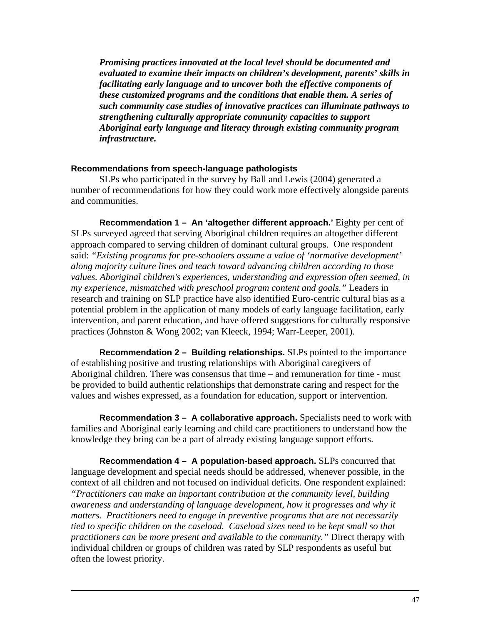*Promising practices innovated at the local level should be documented and evaluated to examine their impacts on children's development, parents' skills in facilitating early language and to uncover both the effective components of these customized programs and the conditions that enable them. A series of such community case studies of innovative practices can illuminate pathways to strengthening culturally appropriate community capacities to support Aboriginal early language and literacy through existing community program infrastructure.* 

#### **Recommendations from speech-language pathologists**

SLPs who participated in the survey by Ball and Lewis (2004) generated a number of recommendations for how they could work more effectively alongside parents and communities.

**Recommendation 1 – An 'altogether different approach.'** Eighty per cent of SLPs surveyed agreed that serving Aboriginal children requires an altogether different approach compared to serving children of dominant cultural groups.One respondent said: *"Existing programs for pre-schoolers assume a value of 'normative development' along majority culture lines and teach toward advancing children according to those values. Aboriginal children's experiences, understanding and expression often seemed, in my experience, mismatched with preschool program content and goals."* Leaders in research and training on SLP practice have also identified Euro-centric cultural bias as a potential problem in the application of many models of early language facilitation, early intervention, and parent education, and have offered suggestions for culturally responsive practices (Johnston & Wong 2002; van Kleeck, 1994; Warr-Leeper, 2001).

**Recommendation 2 – Building relationships.** SLPs pointed to the importance of establishing positive and trusting relationships with Aboriginal caregivers of Aboriginal children. There was consensus that time – and remuneration for time - must be provided to build authentic relationships that demonstrate caring and respect for the values and wishes expressed, as a foundation for education, support or intervention.

**Recommendation 3 – A collaborative approach.** Specialists need to work with families and Aboriginal early learning and child care practitioners to understand how the knowledge they bring can be a part of already existing language support efforts.

**Recommendation 4 – A population-based approach.** SLPs concurred that language development and special needs should be addressed, whenever possible, in the context of all children and not focused on individual deficits. One respondent explained: *"Practitioners can make an important contribution at the community level, building awareness and understanding of language development, how it progresses and why it matters. Practitioners need to engage in preventive programs that are not necessarily tied to specific children on the caseload. Caseload sizes need to be kept small so that practitioners can be more present and available to the community."* Direct therapy with individual children or groups of children was rated by SLP respondents as useful but often the lowest priority.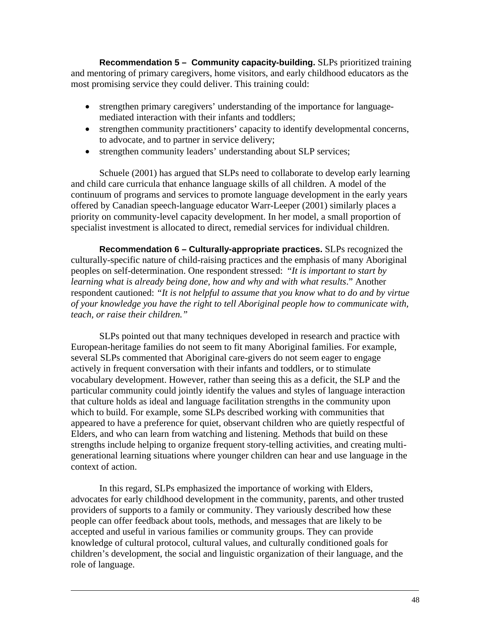**Recommendation 5 – Community capacity-building.** SLPs prioritized training and mentoring of primary caregivers, home visitors, and early childhood educators as the most promising service they could deliver. This training could:

- strengthen primary caregivers' understanding of the importance for languagemediated interaction with their infants and toddlers;
- strengthen community practitioners' capacity to identify developmental concerns, to advocate, and to partner in service delivery;
- strengthen community leaders' understanding about SLP services;

Schuele (2001) has argued that SLPs need to collaborate to develop early learning and child care curricula that enhance language skills of all children. A model of the continuum of programs and services to promote language development in the early years offered by Canadian speech-language educator Warr-Leeper (2001) similarly places a priority on community-level capacity development. In her model, a small proportion of specialist investment is allocated to direct, remedial services for individual children.

**Recommendation 6 – Culturally-appropriate practices.** SLPs recognized the culturally-specific nature of child-raising practices and the emphasis of many Aboriginal peoples on self-determination. One respondent stressed: "*It is important to start by learning what is already being done, how and why and with what results*." Another respondent cautioned: *"It is not helpful to assume that you know what to do and by virtue of your knowledge you have the right to tell Aboriginal people how to communicate with, teach, or raise their children."* 

SLPs pointed out that many techniques developed in research and practice with European-heritage families do not seem to fit many Aboriginal families. For example, several SLPs commented that Aboriginal care-givers do not seem eager to engage actively in frequent conversation with their infants and toddlers, or to stimulate vocabulary development. However, rather than seeing this as a deficit, the SLP and the particular community could jointly identify the values and styles of language interaction that culture holds as ideal and language facilitation strengths in the community upon which to build. For example, some SLPs described working with communities that appeared to have a preference for quiet, observant children who are quietly respectful of Elders, and who can learn from watching and listening. Methods that build on these strengths include helping to organize frequent story-telling activities, and creating multigenerational learning situations where younger children can hear and use language in the context of action.

In this regard, SLPs emphasized the importance of working with Elders, advocates for early childhood development in the community, parents, and other trusted providers of supports to a family or community. They variously described how these people can offer feedback about tools, methods, and messages that are likely to be accepted and useful in various families or community groups. They can provide knowledge of cultural protocol, cultural values, and culturally conditioned goals for children's development, the social and linguistic organization of their language, and the role of language.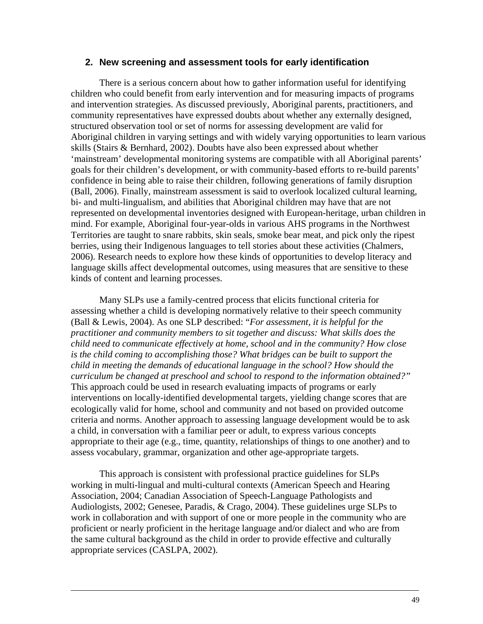#### **2. New screening and assessment tools for early identification**

There is a serious concern about how to gather information useful for identifying children who could benefit from early intervention and for measuring impacts of programs and intervention strategies. As discussed previously, Aboriginal parents, practitioners, and community representatives have expressed doubts about whether any externally designed, structured observation tool or set of norms for assessing development are valid for Aboriginal children in varying settings and with widely varying opportunities to learn various skills (Stairs & Bernhard, 2002). Doubts have also been expressed about whether 'mainstream' developmental monitoring systems are compatible with all Aboriginal parents' goals for their children's development, or with community-based efforts to re-build parents' confidence in being able to raise their children, following generations of family disruption (Ball, 2006). Finally, mainstream assessment is said to overlook localized cultural learning, bi- and multi-lingualism, and abilities that Aboriginal children may have that are not represented on developmental inventories designed with European-heritage, urban children in mind. For example, Aboriginal four-year-olds in various AHS programs in the Northwest Territories are taught to snare rabbits, skin seals, smoke bear meat, and pick only the ripest berries, using their Indigenous languages to tell stories about these activities (Chalmers, 2006). Research needs to explore how these kinds of opportunities to develop literacy and language skills affect developmental outcomes, using measures that are sensitive to these kinds of content and learning processes.

Many SLPs use a family-centred process that elicits functional criteria for assessing whether a child is developing normatively relative to their speech community (Ball & Lewis, 2004). As one SLP described: "*For assessment, it is helpful for the practitioner and community members to sit together and discuss: What skills does the child need to communicate effectively at home, school and in the community? How close is the child coming to accomplishing those? What bridges can be built to support the child in meeting the demands of educational language in the school? How should the curriculum be changed at preschool and school to respond to the information obtained?"* This approach could be used in research evaluating impacts of programs or early interventions on locally-identified developmental targets, yielding change scores that are ecologically valid for home, school and community and not based on provided outcome criteria and norms. Another approach to assessing language development would be to ask a child, in conversation with a familiar peer or adult, to express various concepts appropriate to their age (e.g., time, quantity, relationships of things to one another) and to assess vocabulary, grammar, organization and other age-appropriate targets.

This approach is consistent with professional practice guidelines for SLPs working in multi-lingual and multi-cultural contexts (American Speech and Hearing Association, 2004; Canadian Association of Speech-Language Pathologists and Audiologists, 2002; Genesee, Paradis, & Crago, 2004). These guidelines urge SLPs to work in collaboration and with support of one or more people in the community who are proficient or nearly proficient in the heritage language and/or dialect and who are from the same cultural background as the child in order to provide effective and culturally appropriate services (CASLPA, 2002).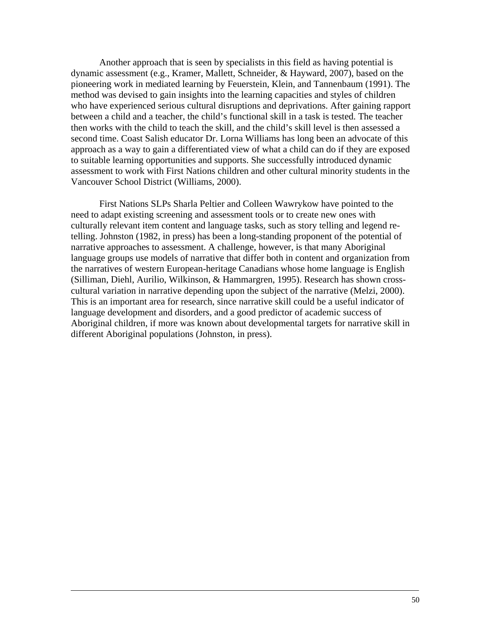Another approach that is seen by specialists in this field as having potential is dynamic assessment (e.g., Kramer, Mallett, Schneider, & Hayward, 2007), based on the pioneering work in mediated learning by Feuerstein, Klein, and Tannenbaum (1991). The method was devised to gain insights into the learning capacities and styles of children who have experienced serious cultural disruptions and deprivations. After gaining rapport between a child and a teacher, the child's functional skill in a task is tested. The teacher then works with the child to teach the skill, and the child's skill level is then assessed a second time. Coast Salish educator Dr. Lorna Williams has long been an advocate of this approach as a way to gain a differentiated view of what a child can do if they are exposed to suitable learning opportunities and supports. She successfully introduced dynamic assessment to work with First Nations children and other cultural minority students in the Vancouver School District (Williams, 2000).

 First Nations SLPs Sharla Peltier and Colleen Wawrykow have pointed to the need to adapt existing screening and assessment tools or to create new ones with culturally relevant item content and language tasks, such as story telling and legend retelling. Johnston (1982, in press) has been a long-standing proponent of the potential of narrative approaches to assessment. A challenge, however, is that many Aboriginal language groups use models of narrative that differ both in content and organization from the narratives of western European-heritage Canadians whose home language is English (Silliman, Diehl, Aurilio, Wilkinson, & Hammargren, 1995). Research has shown crosscultural variation in narrative depending upon the subject of the narrative (Melzi, 2000). This is an important area for research, since narrative skill could be a useful indicator of language development and disorders, and a good predictor of academic success of Aboriginal children, if more was known about developmental targets for narrative skill in different Aboriginal populations (Johnston, in press).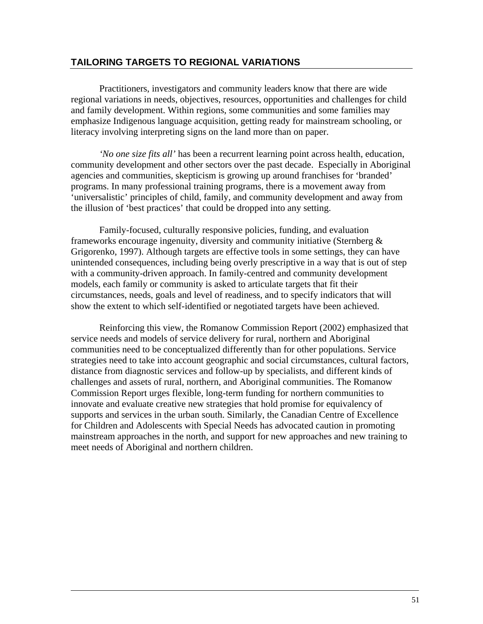# **TAILORING TARGETS TO REGIONAL VARIATIONS**

Practitioners, investigators and community leaders know that there are wide regional variations in needs, objectives, resources, opportunities and challenges for child and family development. Within regions, some communities and some families may emphasize Indigenous language acquisition, getting ready for mainstream schooling, or literacy involving interpreting signs on the land more than on paper.

*'No one size fits all'* has been a recurrent learning point across health, education, community development and other sectors over the past decade. Especially in Aboriginal agencies and communities, skepticism is growing up around franchises for 'branded' programs. In many professional training programs, there is a movement away from 'universalistic' principles of child, family, and community development and away from the illusion of 'best practices' that could be dropped into any setting.

Family-focused, culturally responsive policies, funding, and evaluation frameworks encourage ingenuity, diversity and community initiative (Sternberg & Grigorenko, 1997). Although targets are effective tools in some settings, they can have unintended consequences, including being overly prescriptive in a way that is out of step with a community-driven approach. In family-centred and community development models, each family or community is asked to articulate targets that fit their circumstances, needs, goals and level of readiness, and to specify indicators that will show the extent to which self-identified or negotiated targets have been achieved.

Reinforcing this view, the Romanow Commission Report (2002) emphasized that service needs and models of service delivery for rural, northern and Aboriginal communities need to be conceptualized differently than for other populations. Service strategies need to take into account geographic and social circumstances, cultural factors, distance from diagnostic services and follow-up by specialists, and different kinds of challenges and assets of rural, northern, and Aboriginal communities. The Romanow Commission Report urges flexible, long-term funding for northern communities to innovate and evaluate creative new strategies that hold promise for equivalency of supports and services in the urban south. Similarly, the Canadian Centre of Excellence for Children and Adolescents with Special Needs has advocated caution in promoting mainstream approaches in the north, and support for new approaches and new training to meet needs of Aboriginal and northern children.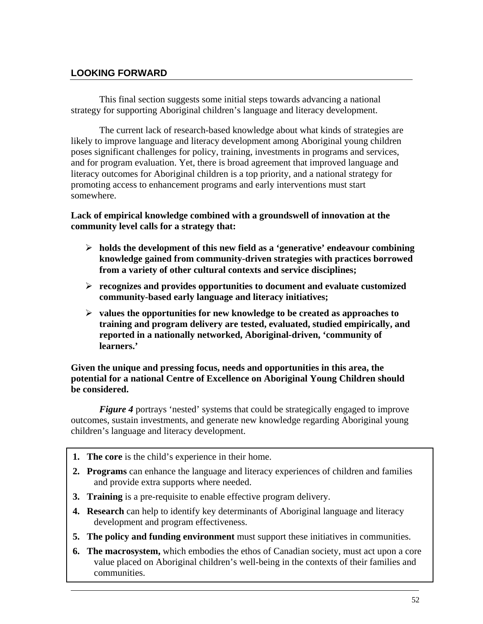# **LOOKING FORWARD**

This final section suggests some initial steps towards advancing a national strategy for supporting Aboriginal children's language and literacy development.

The current lack of research-based knowledge about what kinds of strategies are likely to improve language and literacy development among Aboriginal young children poses significant challenges for policy, training, investments in programs and services, and for program evaluation. Yet, there is broad agreement that improved language and literacy outcomes for Aboriginal children is a top priority, and a national strategy for promoting access to enhancement programs and early interventions must start somewhere.

## **Lack of empirical knowledge combined with a groundswell of innovation at the community level calls for a strategy that:**

- ¾ **holds the development of this new field as a 'generative' endeavour combining knowledge gained from community-driven strategies with practices borrowed from a variety of other cultural contexts and service disciplines;**
- ¾ **recognizes and provides opportunities to document and evaluate customized community-based early language and literacy initiatives;**
- ¾ **values the opportunities for new knowledge to be created as approaches to training and program delivery are tested, evaluated, studied empirically, and reported in a nationally networked, Aboriginal-driven, 'community of learners.'**

## **Given the unique and pressing focus, needs and opportunities in this area, the potential for a national Centre of Excellence on Aboriginal Young Children should be considered.**

*Figure 4* portrays 'nested' systems that could be strategically engaged to improve outcomes, sustain investments, and generate new knowledge regarding Aboriginal young children's language and literacy development.

- **1. The core** is the child's experience in their home.
- **2. Programs** can enhance the language and literacy experiences of children and families and provide extra supports where needed.
- **3. Training** is a pre-requisite to enable effective program delivery.
- **4. Research** can help to identify key determinants of Aboriginal language and literacy development and program effectiveness.
- **5. The policy and funding environment** must support these initiatives in communities.
- **6. The macrosystem,** which embodies the ethos of Canadian society, must act upon a core value placed on Aboriginal children's well-being in the contexts of their families and communities.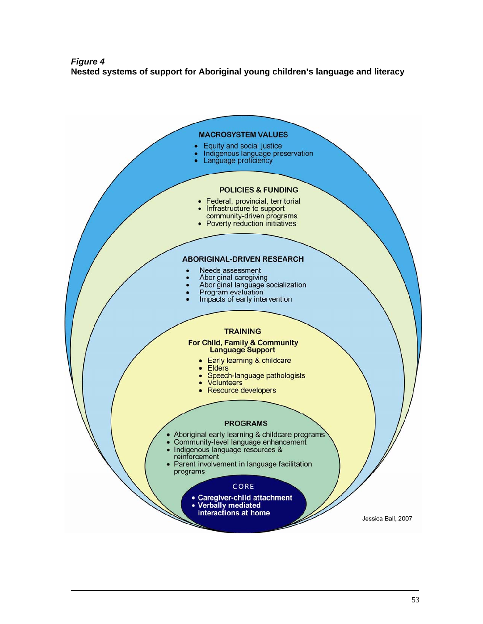## *Figure 4*  **Nested systems of support for Aboriginal young children's language and literacy**

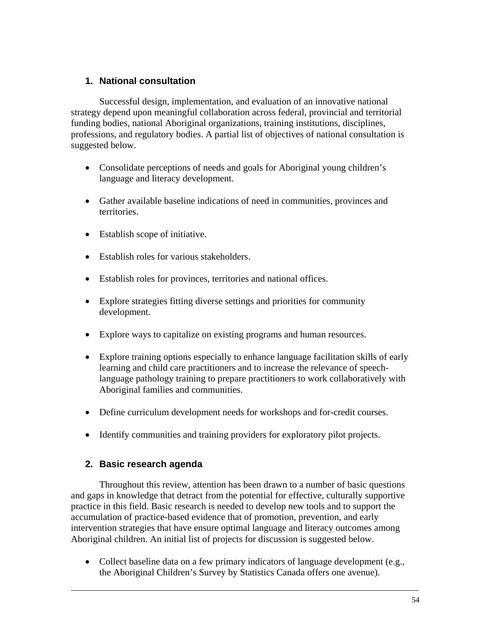# **1. National consultation**

Successful design, implementation, and evaluation of an innovative national strategy depend upon meaningful collaboration across federal, provincial and territorial funding bodies, national Aboriginal organizations, training institutions, disciplines, professions, and regulatory bodies. A partial list of objectives of national consultation is suggested below.

- Consolidate perceptions of needs and goals for Aboriginal young children's language and literacy development.
- Gather available baseline indications of need in communities, provinces and territories.
- Establish scope of initiative.
- Establish roles for various stakeholders.
- Establish roles for provinces, territories and national offices.
- Explore strategies fitting diverse settings and priorities for community development.
- Explore ways to capitalize on existing programs and human resources.
- Explore training options especially to enhance language facilitation skills of early learning and child care practitioners and to increase the relevance of speechlanguage pathology training to prepare practitioners to work collaboratively with Aboriginal families and communities.
- Define curriculum development needs for workshops and for-credit courses.
- Identify communities and training providers for exploratory pilot projects.

# **2. Basic research agenda**

Throughout this review, attention has been drawn to a number of basic questions and gaps in knowledge that detract from the potential for effective, culturally supportive practice in this field. Basic research is needed to develop new tools and to support the accumulation of practice-based evidence that of promotion, prevention, and early intervention strategies that have ensure optimal language and literacy outcomes among Aboriginal children. An initial list of projects for discussion is suggested below.

• Collect baseline data on a few primary indicators of language development (e.g., the Aboriginal Children's Survey by Statistics Canada offers one avenue).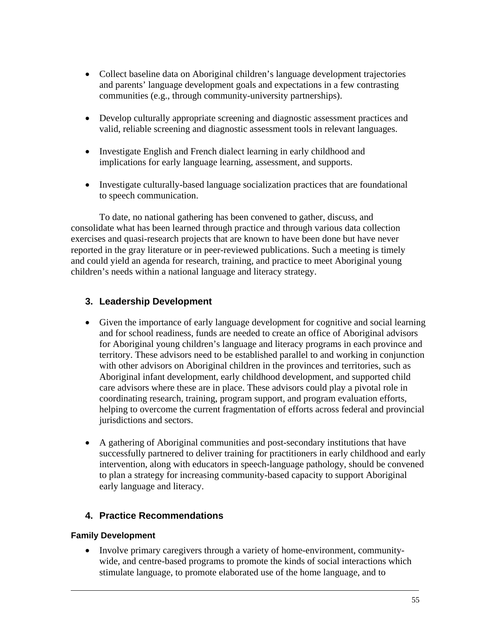- Collect baseline data on Aboriginal children's language development trajectories and parents' language development goals and expectations in a few contrasting communities (e.g., through community-university partnerships).
- Develop culturally appropriate screening and diagnostic assessment practices and valid, reliable screening and diagnostic assessment tools in relevant languages.
- Investigate English and French dialect learning in early childhood and implications for early language learning, assessment, and supports.
- Investigate culturally-based language socialization practices that are foundational to speech communication.

To date, no national gathering has been convened to gather, discuss, and consolidate what has been learned through practice and through various data collection exercises and quasi-research projects that are known to have been done but have never reported in the gray literature or in peer-reviewed publications. Such a meeting is timely and could yield an agenda for research, training, and practice to meet Aboriginal young children's needs within a national language and literacy strategy.

# **3. Leadership Development**

- Given the importance of early language development for cognitive and social learning and for school readiness, funds are needed to create an office of Aboriginal advisors for Aboriginal young children's language and literacy programs in each province and territory. These advisors need to be established parallel to and working in conjunction with other advisors on Aboriginal children in the provinces and territories, such as Aboriginal infant development, early childhood development, and supported child care advisors where these are in place. These advisors could play a pivotal role in coordinating research, training, program support, and program evaluation efforts, helping to overcome the current fragmentation of efforts across federal and provincial jurisdictions and sectors.
- A gathering of Aboriginal communities and post-secondary institutions that have successfully partnered to deliver training for practitioners in early childhood and early intervention, along with educators in speech-language pathology, should be convened to plan a strategy for increasing community-based capacity to support Aboriginal early language and literacy.

# **4. Practice Recommendations**

# **Family Development**

• Involve primary caregivers through a variety of home-environment, communitywide, and centre-based programs to promote the kinds of social interactions which stimulate language, to promote elaborated use of the home language, and to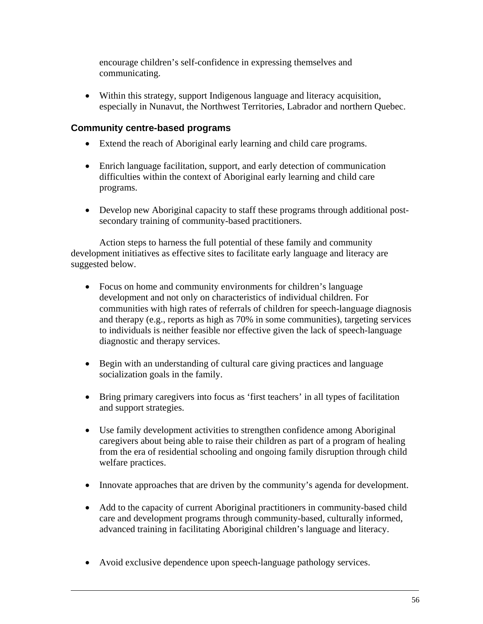encourage children's self-confidence in expressing themselves and communicating.

• Within this strategy, support Indigenous language and literacy acquisition, especially in Nunavut, the Northwest Territories, Labrador and northern Quebec.

# **Community centre-based programs**

- Extend the reach of Aboriginal early learning and child care programs.
- Enrich language facilitation, support, and early detection of communication difficulties within the context of Aboriginal early learning and child care programs.
- Develop new Aboriginal capacity to staff these programs through additional postsecondary training of community-based practitioners.

Action steps to harness the full potential of these family and community development initiatives as effective sites to facilitate early language and literacy are suggested below.

- Focus on home and community environments for children's language development and not only on characteristics of individual children. For communities with high rates of referrals of children for speech-language diagnosis and therapy (e.g., reports as high as 70% in some communities), targeting services to individuals is neither feasible nor effective given the lack of speech-language diagnostic and therapy services.
- Begin with an understanding of cultural care giving practices and language socialization goals in the family.
- Bring primary caregivers into focus as 'first teachers' in all types of facilitation and support strategies.
- Use family development activities to strengthen confidence among Aboriginal caregivers about being able to raise their children as part of a program of healing from the era of residential schooling and ongoing family disruption through child welfare practices.
- Innovate approaches that are driven by the community's agenda for development.
- Add to the capacity of current Aboriginal practitioners in community-based child care and development programs through community-based, culturally informed, advanced training in facilitating Aboriginal children's language and literacy.
- Avoid exclusive dependence upon speech-language pathology services.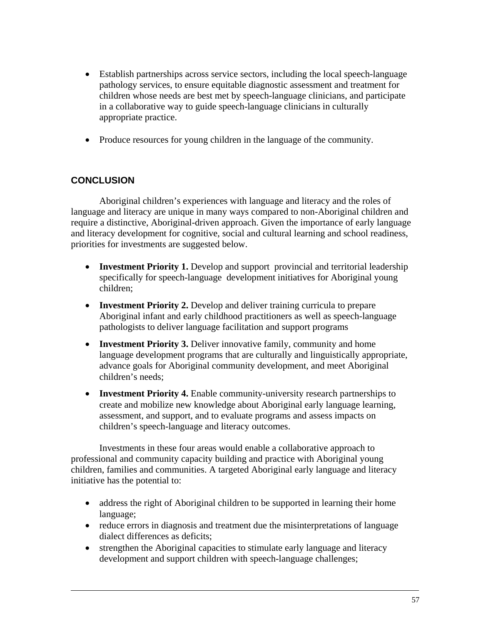- Establish partnerships across service sectors, including the local speech-language pathology services, to ensure equitable diagnostic assessment and treatment for children whose needs are best met by speech-language clinicians, and participate in a collaborative way to guide speech-language clinicians in culturally appropriate practice.
- Produce resources for young children in the language of the community.

# **CONCLUSION**

Aboriginal children's experiences with language and literacy and the roles of language and literacy are unique in many ways compared to non-Aboriginal children and require a distinctive, Aboriginal-driven approach. Given the importance of early language and literacy development for cognitive, social and cultural learning and school readiness, priorities for investments are suggested below.

- **Investment Priority 1.** Develop and support provincial and territorial leadership specifically for speech-language development initiatives for Aboriginal young children;
- **Investment Priority 2.** Develop and deliver training curricula to prepare Aboriginal infant and early childhood practitioners as well as speech-language pathologists to deliver language facilitation and support programs
- **Investment Priority 3.** Deliver innovative family, community and home language development programs that are culturally and linguistically appropriate, advance goals for Aboriginal community development, and meet Aboriginal children's needs;
- **Investment Priority 4.** Enable community-university research partnerships to create and mobilize new knowledge about Aboriginal early language learning, assessment, and support, and to evaluate programs and assess impacts on children's speech-language and literacy outcomes.

Investments in these four areas would enable a collaborative approach to professional and community capacity building and practice with Aboriginal young children, families and communities. A targeted Aboriginal early language and literacy initiative has the potential to:

- address the right of Aboriginal children to be supported in learning their home language;
- reduce errors in diagnosis and treatment due the misinterpretations of language dialect differences as deficits;
- strengthen the Aboriginal capacities to stimulate early language and literacy development and support children with speech-language challenges;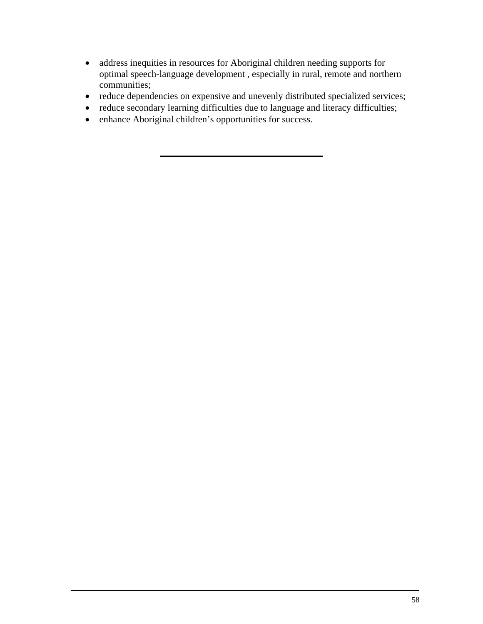- address inequities in resources for Aboriginal children needing supports for optimal speech-language development , especially in rural, remote and northern communities;
- reduce dependencies on expensive and unevenly distributed specialized services;
- reduce secondary learning difficulties due to language and literacy difficulties;
- enhance Aboriginal children's opportunities for success.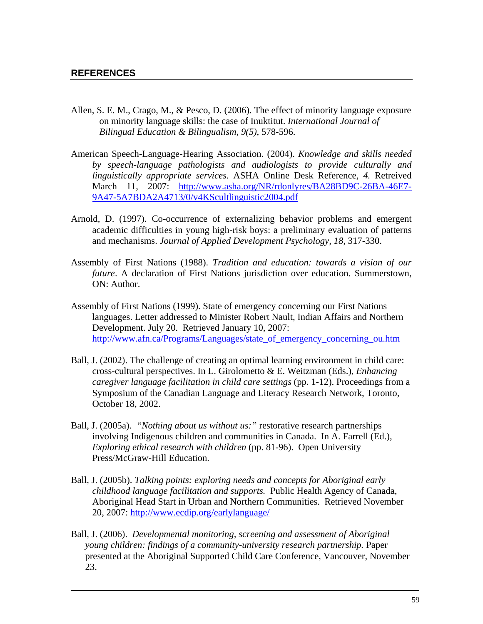- Allen, S. E. M., Crago, M., & Pesco, D. (2006). The effect of minority language exposure on minority language skills: the case of Inuktitut. *International Journal of Bilingual Education & Bilingualism, 9(5)*, 578-596.
- American Speech-Language-Hearing Association. (2004). *Knowledge and skills needed by speech-language pathologists and audiologists to provide culturally and linguistically appropriate services.* ASHA Online Desk Reference, *4.* Retreived March 11, 2007: http://www.asha.org/NR/rdonlyres/BA28BD9C-26BA-46E7- 9A47-5A7BDA2A4713/0/v4KScultlinguistic2004.pdf
- Arnold, D. (1997). Co-occurrence of externalizing behavior problems and emergent academic difficulties in young high-risk boys: a preliminary evaluation of patterns and mechanisms. *Journal of Applied Development Psychology, 18,* 317-330.
- Assembly of First Nations (1988). *Tradition and education: towards a vision of our future*. A declaration of First Nations jurisdiction over education. Summerstown, ON: Author.
- Assembly of First Nations (1999). State of emergency concerning our First Nations languages. Letter addressed to Minister Robert Nault, Indian Affairs and Northern Development. July 20. Retrieved January 10, 2007: http://www.afn.ca/Programs/Languages/state\_of\_emergency\_concerning\_ou.htm
- Ball, J. (2002). The challenge of creating an optimal learning environment in child care: cross-cultural perspectives. In L. Girolometto & E. Weitzman (Eds.), *Enhancing caregiver language facilitation in child care settings* (pp. 1-12). Proceedings from a Symposium of the Canadian Language and Literacy Research Network, Toronto, October 18, 2002.
- Ball, J. (2005a). *"Nothing about us without us:"* restorative research partnerships involving Indigenous children and communities in Canada. In A. Farrell (Ed.), *Exploring ethical research with children* (pp. 81-96). Open University Press/McGraw-Hill Education.
- Ball, J. (2005b). *Talking points: exploring needs and concepts for Aboriginal early childhood language facilitation and supports.* Public Health Agency of Canada, Aboriginal Head Start in Urban and Northern Communities. Retrieved November 20, 2007: http://www.ecdip.org/earlylanguage/
- Ball, J. (2006). *Developmental monitoring, screening and assessment of Aboriginal young children: findings of a community-university research partnership.* Paper presented at the Aboriginal Supported Child Care Conference, Vancouver, November 23.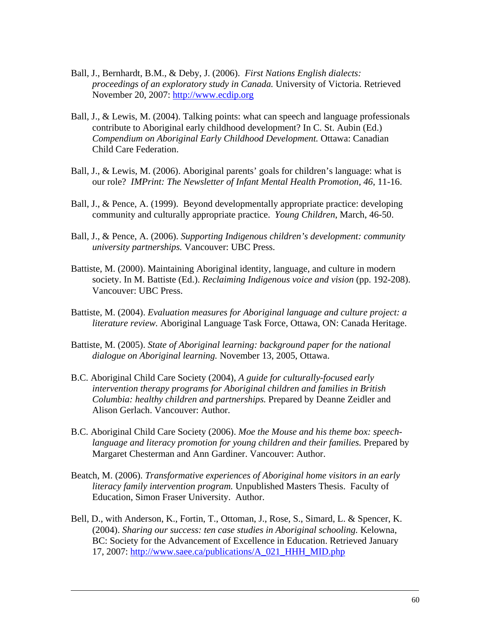- Ball, J., Bernhardt, B.M., & Deby, J. (2006). *First Nations English dialects: proceedings of an exploratory study in Canada.* University of Victoria. Retrieved November 20, 2007: http://www.ecdip.org
- Ball, J., & Lewis, M. (2004). Talking points: what can speech and language professionals contribute to Aboriginal early childhood development? In C. St. Aubin (Ed.) *Compendium on Aboriginal Early Childhood Development.* Ottawa: Canadian Child Care Federation.
- Ball, J., & Lewis, M. (2006). Aboriginal parents' goals for children's language: what is our role? *IMPrint: The Newsletter of Infant Mental Health Promotion, 46*, 11-16.
- Ball, J., & Pence, A. (1999). Beyond developmentally appropriate practice: developing community and culturally appropriate practice. *Young Children*, March, 46-50.
- Ball, J., & Pence, A. (2006). *Supporting Indigenous children's development: community university partnerships.* Vancouver: UBC Press.
- Battiste, M. (2000). Maintaining Aboriginal identity, language, and culture in modern society. In M. Battiste (Ed.). *Reclaiming Indigenous voice and vision* (pp. 192-208). Vancouver: UBC Press.
- Battiste, M. (2004). *Evaluation measures for Aboriginal language and culture project: a literature review.* Aboriginal Language Task Force, Ottawa, ON: Canada Heritage.
- Battiste, M. (2005). *State of Aboriginal learning: background paper for the national dialogue on Aboriginal learning.* November 13, 2005, Ottawa.
- B.C. Aboriginal Child Care Society (2004), *A guide for culturally-focused early intervention therapy programs for Aboriginal children and families in British Columbia: healthy children and partnerships.* Prepared by Deanne Zeidler and Alison Gerlach. Vancouver: Author.
- B.C. Aboriginal Child Care Society (2006). *Moe the Mouse and his theme box: speechlanguage and literacy promotion for young children and their families.* Prepared by Margaret Chesterman and Ann Gardiner. Vancouver: Author.
- Beatch, M. (2006). *Transformative experiences of Aboriginal home visitors in an early literacy family intervention program.* Unpublished Masters Thesis. Faculty of Education, Simon Fraser University. Author.
- Bell, D., with Anderson, K., Fortin, T., Ottoman, J., Rose, S., Simard, L. & Spencer, K. (2004). *Sharing our success: ten case studies in Aboriginal schooling.* Kelowna, BC: Society for the Advancement of Excellence in Education. Retrieved January 17, 2007: http://www.saee.ca/publications/A\_021\_HHH\_MID.php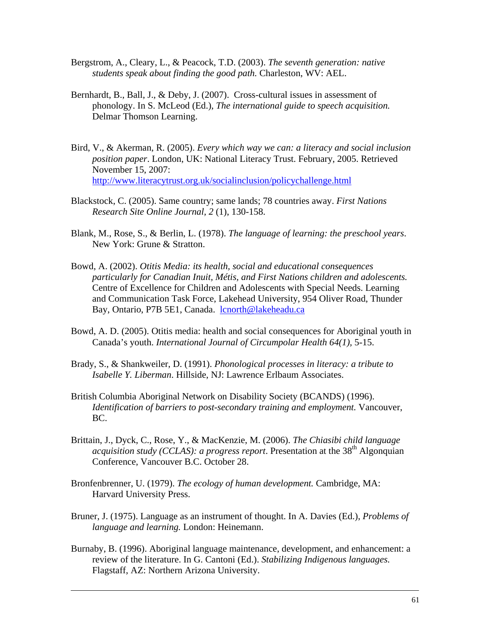- Bergstrom, A., Cleary, L., & Peacock, T.D. (2003). *The seventh generation: native students speak about finding the good path.* Charleston, WV: AEL.
- Bernhardt, B., Ball, J., & Deby, J. (2007). Cross-cultural issues in assessment of phonology. In S. McLeod (Ed.), *The international guide to speech acquisition.*  Delmar Thomson Learning.
- Bird, V., & Akerman, R. (2005). *Every which way we can: a literacy and social inclusion position paper*. London, UK: National Literacy Trust. February, 2005. Retrieved November 15, 2007: http://www.literacytrust.org.uk/socialinclusion/policychallenge.html
- Blackstock, C. (2005). Same country; same lands; 78 countries away. *First Nations Research Site Online Journal, 2* (1), 130-158.
- Blank, M., Rose, S., & Berlin, L. (1978). *The language of learning: the preschool years*. New York: Grune & Stratton.
- Bowd, A. (2002). *Otitis Media: its health, social and educational consequences particularly for Canadian Inuit, Métis, and First Nations children and adolescents.*  Centre of Excellence for Children and Adolescents with Special Needs. Learning and Communication Task Force, Lakehead University, 954 Oliver Road, Thunder Bay, Ontario, P7B 5E1, Canada. lcnorth@lakeheadu.ca
- Bowd, A. D. (2005). Otitis media: health and social consequences for Aboriginal youth in Canada's youth. *International Journal of Circumpolar Health 64(1),* 5-15.
- Brady, S., & Shankweiler, D. (1991). *Phonological processes in literacy: a tribute to Isabelle Y. Liberman*. Hillside, NJ: Lawrence Erlbaum Associates.
- British Columbia Aboriginal Network on Disability Society (BCANDS) (1996). *Identification of barriers to post-secondary training and employment.* Vancouver, BC.
- Brittain, J., Dyck, C., Rose, Y., & MacKenzie, M. (2006). *The Chiasibi child language acquisition study (CCLAS): a progress report*. Presentation at the 38<sup>th</sup> Algonquian Conference, Vancouver B.C. October 28.
- Bronfenbrenner, U. (1979). *The ecology of human development.* Cambridge, MA: Harvard University Press.
- Bruner, J. (1975). Language as an instrument of thought. In A. Davies (Ed.), *Problems of language and learning.* London: Heinemann.
- Burnaby, B. (1996). Aboriginal language maintenance, development, and enhancement: a review of the literature. In G. Cantoni (Ed.). *Stabilizing Indigenous languages.* Flagstaff, AZ: Northern Arizona University.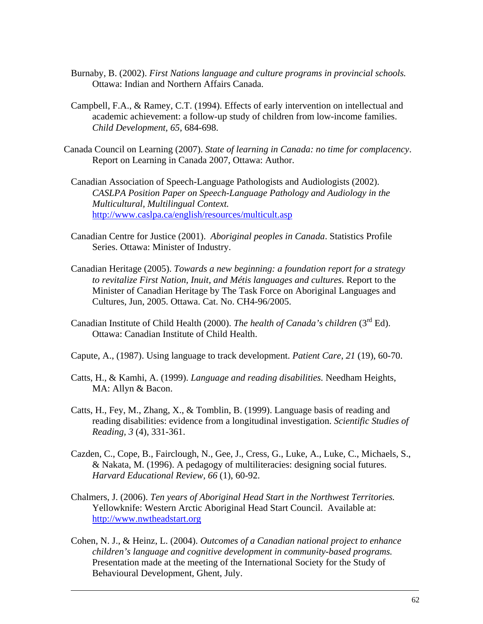- Burnaby, B. (2002). *First Nations language and culture programs in provincial schools.* Ottawa: Indian and Northern Affairs Canada.
- Campbell, F.A., & Ramey, C.T. (1994). Effects of early intervention on intellectual and academic achievement: a follow-up study of children from low-income families. *Child Development, 65,* 684-698.
- Canada Council on Learning (2007). *State of learning in Canada: no time for complacency*. Report on Learning in Canada 2007, Ottawa: Author.
	- Canadian Association of Speech-Language Pathologists and Audiologists (2002). *CASLPA Position Paper on Speech-Language Pathology and Audiology in the Multicultural, Multilingual Context.*  http://www.caslpa.ca/english/resources/multicult.asp
	- Canadian Centre for Justice (2001). *Aboriginal peoples in Canada*. Statistics Profile Series. Ottawa: Minister of Industry.
	- Canadian Heritage (2005). *Towards a new beginning: a foundation report for a strategy to revitalize First Nation, Inuit, and Métis languages and cultures.* Report to the Minister of Canadian Heritage by The Task Force on Aboriginal Languages and Cultures, Jun, 2005. Ottawa. Cat. No. CH4-96/2005.
	- Canadian Institute of Child Health (2000). *The health of Canada's children* (3<sup>rd</sup> Ed). Ottawa: Canadian Institute of Child Health.
	- Capute, A., (1987). Using language to track development. *Patient Care*, *21* (19), 60-70.
	- Catts, H., & Kamhi, A. (1999). *Language and reading disabilities.* Needham Heights, MA: Allyn & Bacon.
	- Catts, H., Fey, M., Zhang, X., & Tomblin, B. (1999). Language basis of reading and reading disabilities: evidence from a longitudinal investigation. *Scientific Studies of Reading, 3* (4), 331-361.
	- Cazden, C., Cope, B., Fairclough, N., Gee, J., Cress, G., Luke, A., Luke, C., Michaels, S., & Nakata, M. (1996). A pedagogy of multiliteracies: designing social futures. *Harvard Educational Review, 66* (1), 60-92.
	- Chalmers, J. (2006). *Ten years of Aboriginal Head Start in the Northwest Territories.* Yellowknife: Western Arctic Aboriginal Head Start Council. Available at: http://www.nwtheadstart.org
	- Cohen, N. J., & Heinz, L. (2004). *Outcomes of a Canadian national project to enhance children's language and cognitive development in community-based programs.* Presentation made at the meeting of the International Society for the Study of Behavioural Development, Ghent, July.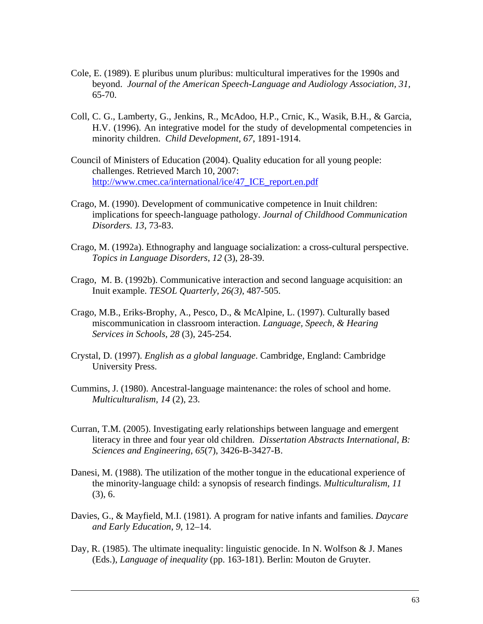- Cole, E. (1989). E pluribus unum pluribus: multicultural imperatives for the 1990s and beyond. *Journal of the American Speech-Language and Audiology Association, 31,* 65-70.
- Coll, C. G., Lamberty, G., Jenkins, R., McAdoo, H.P., Crnic, K., Wasik, B.H., & Garcia, H.V. (1996). An integrative model for the study of developmental competencies in minority children. *Child Development, 67*, 1891-1914.
- Council of Ministers of Education (2004). Quality education for all young people: challenges. Retrieved March 10, 2007: http://www.cmec.ca/international/ice/47\_ICE\_report.en.pdf
- Crago, M. (1990). Development of communicative competence in Inuit children: implications for speech-language pathology. *Journal of Childhood Communication Disorders. 13*, 73-83.
- Crago, M. (1992a). Ethnography and language socialization: a cross-cultural perspective. *Topics in Language Disorders*, *12* (3), 28-39.
- Crago, M. B. (1992b). Communicative interaction and second language acquisition: an Inuit example. *TESOL Quarterly, 26(3)*, 487-505.
- Crago, M.B., Eriks-Brophy, A., Pesco, D., & McAlpine, L. (1997). Culturally based miscommunication in classroom interaction. *Language, Speech, & Hearing Services in Schools, 28* (3), 245-254.
- Crystal, D. (1997). *English as a global language*. Cambridge, England: Cambridge University Press.
- Cummins, J. (1980). Ancestral-language maintenance: the roles of school and home. *Multiculturalism, 14* (2), 23.
- Curran, T.M. (2005). Investigating early relationships between language and emergent literacy in three and four year old children. *Dissertation Abstracts International, B: Sciences and Engineering, 65*(7), 3426-B-3427-B.
- Danesi, M. (1988). The utilization of the mother tongue in the educational experience of the minority-language child: a synopsis of research findings. *Multiculturalism, 11* (3), 6.
- Davies, G., & Mayfield, M.I. (1981). A program for native infants and families. *Daycare and Early Education*, *9*, 12–14.
- Day, R. (1985). The ultimate inequality: linguistic genocide. In N. Wolfson  $& J.$  Manes (Eds.), *Language of inequality* (pp. 163-181). Berlin: Mouton de Gruyter.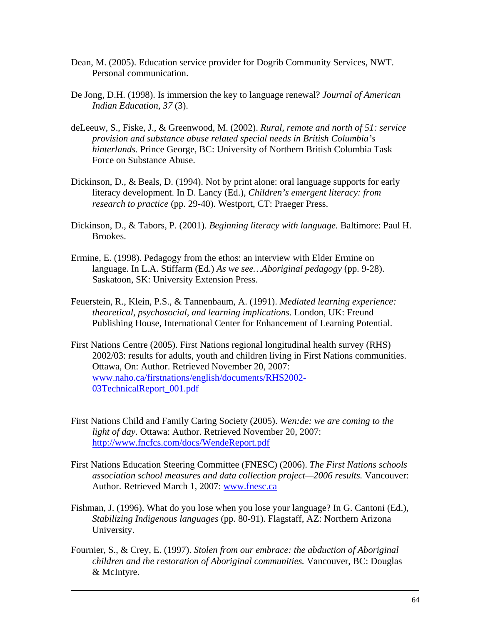- Dean, M. (2005). Education service provider for Dogrib Community Services, NWT. Personal communication.
- De Jong, D.H. (1998). Is immersion the key to language renewal? *Journal of American Indian Education, 37* (3).
- deLeeuw, S., Fiske, J., & Greenwood, M. (2002). *Rural, remote and north of 51: service provision and substance abuse related special needs in British Columbia's hinterlands.* Prince George, BC: University of Northern British Columbia Task Force on Substance Abuse.
- Dickinson, D., & Beals, D. (1994). Not by print alone: oral language supports for early literacy development. In D. Lancy (Ed.), *Children's emergent literacy: from research to practice* (pp. 29-40). Westport, CT: Praeger Press.
- Dickinson, D., & Tabors, P. (2001). *Beginning literacy with language.* Baltimore: Paul H. Brookes.
- Ermine, E. (1998). Pedagogy from the ethos: an interview with Elder Ermine on language. In L.A. Stiffarm (Ed.) *As we see…Aboriginal pedagogy* (pp. 9-28). Saskatoon, SK: University Extension Press.
- Feuerstein, R., Klein, P.S., & Tannenbaum, A. (1991). *Mediated learning experience: theoretical, psychosocial, and learning implications.* London, UK: Freund Publishing House, International Center for Enhancement of Learning Potential.
- First Nations Centre (2005). First Nations regional longitudinal health survey (RHS) 2002/03: results for adults, youth and children living in First Nations communities. Ottawa, On: Author. Retrieved November 20, 2007: www.naho.ca/firstnations/english/documents/RHS2002- 03TechnicalReport\_001.pdf
- First Nations Child and Family Caring Society (2005). *Wen:de: we are coming to the light of day*. Ottawa: Author. Retrieved November 20, 2007: http://www.fncfcs.com/docs/WendeReport.pdf
- First Nations Education Steering Committee (FNESC) (2006). *The First Nations schools association school measures and data collection project—2006 results.* Vancouver: Author. Retrieved March 1, 2007: www.fnesc.ca
- Fishman, J. (1996). What do you lose when you lose your language? In G. Cantoni (Ed.), *Stabilizing Indigenous languages* (pp. 80-91). Flagstaff, AZ: Northern Arizona University.
- Fournier, S., & Crey, E. (1997). *Stolen from our embrace: the abduction of Aboriginal children and the restoration of Aboriginal communities.* Vancouver, BC: Douglas & McIntyre.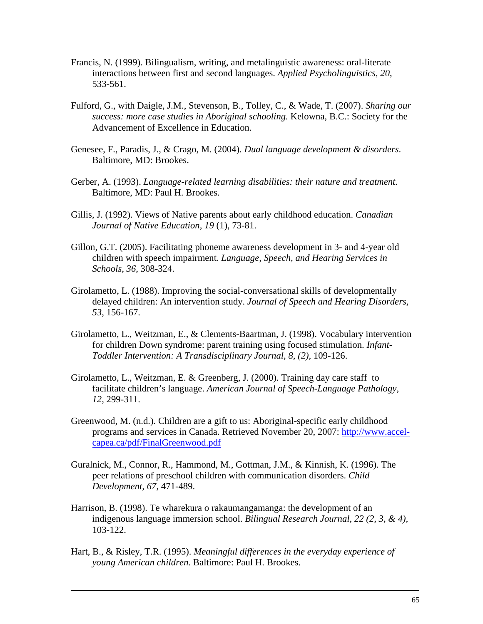- Francis, N. (1999). Bilingualism, writing, and metalinguistic awareness: oral-literate interactions between first and second languages. *Applied Psycholinguistics, 20*, 533-561.
- Fulford, G., with Daigle, J.M., Stevenson, B., Tolley, C., & Wade, T. (2007). *Sharing our success: more case studies in Aboriginal schooling.* Kelowna, B.C.: Society for the Advancement of Excellence in Education.
- Genesee, F., Paradis, J., & Crago, M. (2004). *Dual language development & disorders*. Baltimore, MD: Brookes.
- Gerber, A. (1993). *Language-related learning disabilities: their nature and treatment.* Baltimore, MD: Paul H. Brookes.
- Gillis, J. (1992). Views of Native parents about early childhood education. *Canadian Journal of Native Education, 19* (1), 73-81.
- Gillon, G.T. (2005). Facilitating phoneme awareness development in 3- and 4-year old children with speech impairment. *Language, Speech, and Hearing Services in Schools, 36,* 308-324.
- Girolametto, L. (1988). Improving the social-conversational skills of developmentally delayed children: An intervention study. *Journal of Speech and Hearing Disorders, 53*, 156-167.
- Girolametto, L., Weitzman, E., & Clements-Baartman, J. (1998). Vocabulary intervention for children Down syndrome: parent training using focused stimulation. *Infant-Toddler Intervention: A Transdisciplinary Journal, 8, (2),* 109-126.
- Girolametto, L., Weitzman, E. & Greenberg, J. (2000). Training day care staff to facilitate children's language. *American Journal of Speech-Language Pathology, 12,* 299-311.
- Greenwood, M. (n.d.). Children are a gift to us: Aboriginal-specific early childhood programs and services in Canada. Retrieved November 20, 2007: http://www.accelcapea.ca/pdf/FinalGreenwood.pdf
- Guralnick, M., Connor, R., Hammond, M., Gottman, J.M., & Kinnish, K. (1996). The peer relations of preschool children with communication disorders. *Child Development, 67,* 471-489.
- Harrison, B. (1998). Te wharekura o rakaumangamanga: the development of an indigenous language immersion school. *Bilingual Research Journal, 22 (2, 3, & 4),*  103-122.
- Hart, B., & Risley, T.R. (1995). *Meaningful differences in the everyday experience of young American children.* Baltimore: Paul H. Brookes.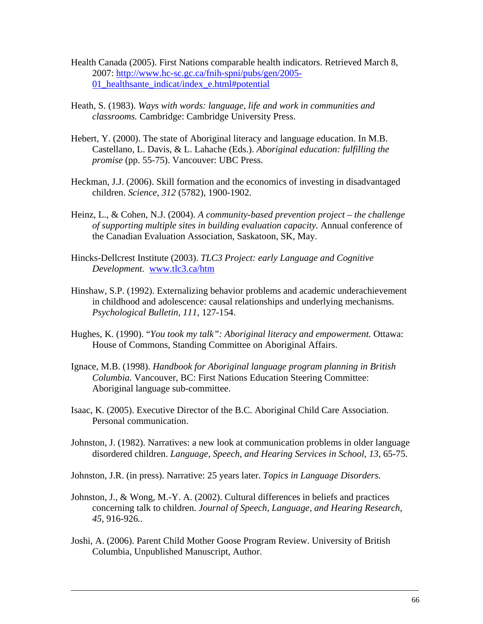- Health Canada (2005). First Nations comparable health indicators. Retrieved March 8, 2007: http://www.hc-sc.gc.ca/fnih-spni/pubs/gen/2005- 01\_healthsante\_indicat/index\_e.html#potential
- Heath, S. (1983). *Ways with words: language, life and work in communities and classrooms.* Cambridge: Cambridge University Press.
- Hebert, Y. (2000). The state of Aboriginal literacy and language education. In M.B. Castellano, L. Davis, & L. Lahache (Eds.). *Aboriginal education: fulfilling the promise* (pp. 55-75). Vancouver: UBC Press.
- Heckman, J.J. (2006). Skill formation and the economics of investing in disadvantaged children. *Science, 312* (5782), 1900-1902.
- Heinz, L., & Cohen, N.J. (2004). *A community-based prevention project the challenge of supporting multiple sites in building evaluation capacity.* Annual conference of the Canadian Evaluation Association, Saskatoon, SK, May.
- Hincks-Dellcrest Institute (2003). *TLC3 Project: early Language and Cognitive Development.* www.tlc3.ca/htm
- Hinshaw, S.P. (1992). Externalizing behavior problems and academic underachievement in childhood and adolescence: causal relationships and underlying mechanisms. *Psychological Bulletin, 111*, 127-154.
- Hughes, K. (1990). "*You took my talk": Aboriginal literacy and empowerment.* Ottawa: House of Commons, Standing Committee on Aboriginal Affairs.
- Ignace, M.B. (1998). *Handbook for Aboriginal language program planning in British Columbia.* Vancouver, BC: First Nations Education Steering Committee: Aboriginal language sub-committee.
- Isaac, K. (2005). Executive Director of the B.C. Aboriginal Child Care Association. Personal communication.
- Johnston, J. (1982). Narratives: a new look at communication problems in older language disordered children. *Language, Speech, and Hearing Services in School, 13*, 65-75.
- Johnston, J.R. (in press). Narrative: 25 years later. *Topics in Language Disorders.*
- Johnston, J., & Wong, M.-Y. A. (2002). Cultural differences in beliefs and practices concerning talk to children. *Journal of Speech, Language, and Hearing Research, 45,* 916-926*..*
- Joshi, A. (2006). Parent Child Mother Goose Program Review. University of British Columbia, Unpublished Manuscript, Author.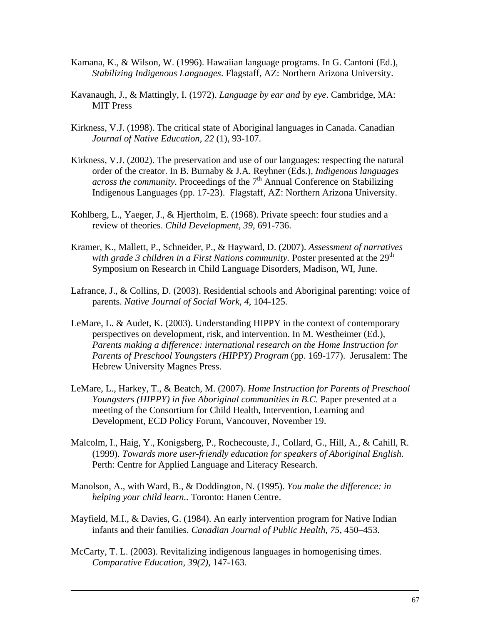- Kamana, K., & Wilson, W. (1996). Hawaiian language programs. In G. Cantoni (Ed.), *Stabilizing Indigenous Languages*. Flagstaff, AZ: Northern Arizona University.
- Kavanaugh, J., & Mattingly, I. (1972). *Language by ear and by eye*. Cambridge, MA: MIT Press
- Kirkness, V.J. (1998). The critical state of Aboriginal languages in Canada. Canadian *Journal of Native Education, 22* (1), 93-107.
- Kirkness, V.J. (2002). The preservation and use of our languages: respecting the natural order of the creator. In B. Burnaby & J.A. Reyhner (Eds.), *Indigenous languages across the community.* Proceedings of the  $7<sup>th</sup>$  Annual Conference on Stabilizing Indigenous Languages (pp. 17-23). Flagstaff, AZ: Northern Arizona University.
- Kohlberg, L., Yaeger, J., & Hjertholm, E. (1968). Private speech: four studies and a review of theories. *Child Development*, *39*, 691-736.
- Kramer, K., Mallett, P., Schneider, P., & Hayward, D. (2007). *Assessment of narratives*  with grade 3 children in a First Nations community. Poster presented at the 29<sup>th</sup> Symposium on Research in Child Language Disorders, Madison, WI, June.
- Lafrance, J., & Collins, D. (2003). Residential schools and Aboriginal parenting: voice of parents. *Native Journal of Social Work, 4*, 104-125.
- LeMare, L. & Audet, K. (2003). Understanding HIPPY in the context of contemporary perspectives on development, risk, and intervention. In M. Westheimer (Ed.), *Parents making a difference: international research on the Home Instruction for Parents of Preschool Youngsters (HIPPY) Program* (pp. 169-177). Jerusalem: The Hebrew University Magnes Press.
- LeMare, L., Harkey, T., & Beatch, M. (2007). *Home Instruction for Parents of Preschool Youngsters (HIPPY) in five Aboriginal communities in B.C.* Paper presented at a meeting of the Consortium for Child Health, Intervention, Learning and Development, ECD Policy Forum, Vancouver, November 19.
- Malcolm, I., Haig, Y., Konigsberg, P., Rochecouste, J., Collard, G., Hill, A., & Cahill, R. (1999). *Towards more user-friendly education for speakers of Aboriginal English.* Perth: Centre for Applied Language and Literacy Research.
- Manolson, A., with Ward, B., & Doddington, N. (1995). *You make the difference: in helping your child learn..* Toronto: Hanen Centre.
- Mayfield, M.I., & Davies, G. (1984). An early intervention program for Native Indian infants and their families. *Canadian Journal of Public Health*, *75*, 450–453.
- McCarty, T. L. (2003). Revitalizing indigenous languages in homogenising times. *Comparative Education, 39(2),* 147-163.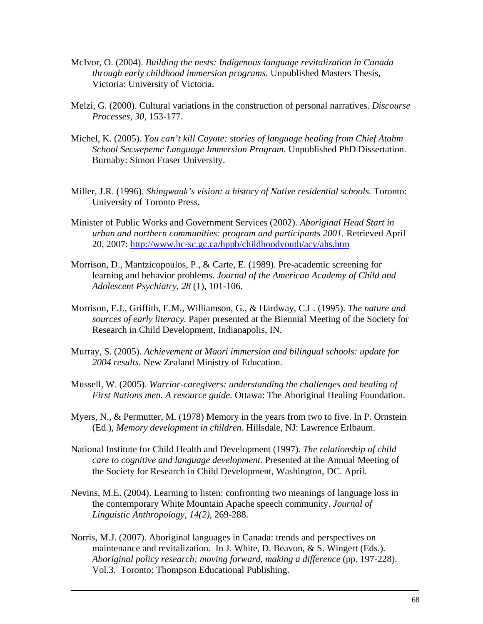- McIvor, O. (2004). *Building the nests: Indigenous language revitalization in Canada through early childhood immersion programs.* Unpublished Masters Thesis, Victoria: University of Victoria.
- Melzi, G. (2000). Cultural variations in the construction of personal narratives. *Discourse Processes, 30,* 153-177.
- Michel, K. (2005). *You can't kill Coyote: stories of language healing from Chief Atahm School Secwepemc Language Immersion Program.* Unpublished PhD Dissertation. Burnaby: Simon Fraser University.
- Miller, J.R. (1996). *Shingwauk's vision: a history of Native residential schools.* Toronto: University of Toronto Press.
- Minister of Public Works and Government Services (2002). *Aboriginal Head Start in urban and northern communities: program and participants 2001.* Retrieved April 20, 2007: http://www.hc-sc.gc.ca/hppb/childhoodyouth/acy/ahs.htm
- Morrison, D., Mantzicopoulos, P., & Carte, E. (1989). Pre-academic screening for learning and behavior problems. *Journal of the American Academy of Child and Adolescent Psychiatry, 28* (1), 101-106.
- Morrison, F.J., Griffith, E.M., Williamson, G., & Hardway, C.L. (1995). *The nature and sources of early literacy.* Paper presented at the Biennial Meeting of the Society for Research in Child Development, Indianapolis, IN.
- Murray, S. (2005). *Achievement at Maori immersion and bilingual schools: update for 2004 results.* New Zealand Ministry of Education.
- Mussell, W. (2005). *Warrior-caregivers: understanding the challenges and healing of First Nations men. A resource guide.* Ottawa: The Aboriginal Healing Foundation.
- Myers, N., & Permutter, M. (1978) Memory in the years from two to five. In P. Ornstein (Ed.), *Memory development in children*. Hillsdale, NJ: Lawrence Erlbaum.
- National Institute for Child Health and Development (1997). *The relationship of child care to cognitive and language development.* Presented at the Annual Meeting of the Society for Research in Child Development, Washington, DC. April.
- Nevins, M.E. (2004). Learning to listen: confronting two meanings of language loss in the contemporary White Mountain Apache speech community. *Journal of Linguistic Anthropology, 14(2)*, 269-288.
- Norris, M.J. (2007). Aboriginal languages in Canada: trends and perspectives on maintenance and revitalization. In J. White, D. Beavon, & S. Wingert (Eds.). *Aboriginal policy research: moving forward, making a difference* (pp. 197-228). Vol.3. Toronto: Thompson Educational Publishing.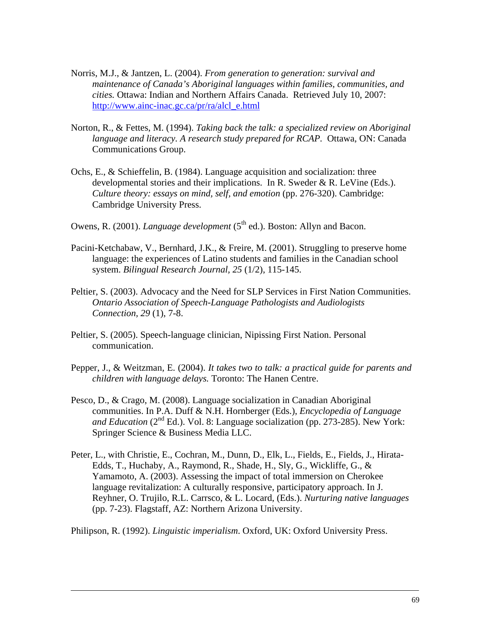- Norris, M.J., & Jantzen, L. (2004). *From generation to generation: survival and maintenance of Canada's Aboriginal languages within families, communities, and cities.* Ottawa: Indian and Northern Affairs Canada. Retrieved July 10, 2007: http://www.ainc-inac.gc.ca/pr/ra/alcl\_e.html
- Norton, R., & Fettes, M. (1994). *Taking back the talk: a specialized review on Aboriginal language and literacy. A research study prepared for RCAP.* Ottawa, ON: Canada Communications Group.
- Ochs, E., & Schieffelin, B. (1984). Language acquisition and socialization: three developmental stories and their implications. In R. Sweder  $\&$  R. LeVine (Eds.). *Culture theory: essays on mind, self, and emotion* (pp. 276-320). Cambridge: Cambridge University Press.
- Owens, R. (2001). *Language development* (5<sup>th</sup> ed.). Boston: Allyn and Bacon.
- Pacini-Ketchabaw, V., Bernhard, J.K., & Freire, M. (2001). Struggling to preserve home language: the experiences of Latino students and families in the Canadian school system. *Bilingual Research Journal, 25* (1/2), 115-145.
- Peltier, S. (2003). Advocacy and the Need for SLP Services in First Nation Communities. *Ontario Association of Speech-Language Pathologists and Audiologists Connection, 29* (1), 7-8.
- Peltier, S. (2005). Speech-language clinician, Nipissing First Nation. Personal communication.
- Pepper, J., & Weitzman, E. (2004). *It takes two to talk: a practical guide for parents and children with language delays.* Toronto: The Hanen Centre.
- Pesco, D., & Crago, M. (2008). Language socialization in Canadian Aboriginal communities. In P.A. Duff & N.H. Hornberger (Eds.), *Encyclopedia of Language and Education* ( $2<sup>nd</sup> Ed$ ). Vol. 8: Language socialization (pp. 273-285). New York: Springer Science & Business Media LLC.
- Peter, L., with Christie, E., Cochran, M., Dunn, D., Elk, L., Fields, E., Fields, J., Hirata-Edds, T., Huchaby, A., Raymond, R., Shade, H., Sly, G., Wickliffe, G., & Yamamoto, A. (2003). Assessing the impact of total immersion on Cherokee language revitalization: A culturally responsive, participatory approach. In J. Reyhner, O. Trujilo, R.L. Carrsco, & L. Locard, (Eds.). *Nurturing native languages* (pp. 7-23). Flagstaff, AZ: Northern Arizona University.

Philipson, R. (1992). *Linguistic imperialism*. Oxford, UK: Oxford University Press.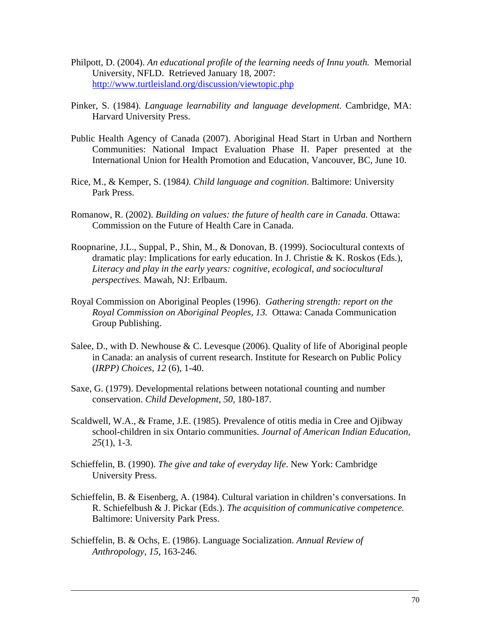- Philpott, D. (2004). *An educational profile of the learning needs of Innu youth.* Memorial University, NFLD. Retrieved January 18, 2007: http://www.turtleisland.org/discussion/viewtopic.php
- Pinker, S. (1984). *Language learnability and language development.* Cambridge, MA: Harvard University Press.
- Public Health Agency of Canada (2007). Aboriginal Head Start in Urban and Northern Communities: National Impact Evaluation Phase II. Paper presented at the International Union for Health Promotion and Education, Vancouver, BC, June 10.
- Rice, M., & Kemper, S. (1984*). Child language and cognition*. Baltimore: University Park Press.
- Romanow, R. (2002). *Building on values: the future of health care in Canada.* Ottawa: Commission on the Future of Health Care in Canada.
- Roopnarine, J.L., Suppal, P., Shin, M., & Donovan, B. (1999). Sociocultural contexts of dramatic play: Implications for early education. In J. Christie & K. Roskos (Eds.), *Literacy and play in the early years: cognitive, ecological, and sociocultural perspectives.* Mawah, NJ: Erlbaum.
- Royal Commission on Aboriginal Peoples (1996). *Gathering strength: report on the Royal Commission on Aboriginal Peoples, 13.* Ottawa: Canada Communication Group Publishing.
- Salee, D., with D. Newhouse  $& C$ . Levesque (2006). Quality of life of Aboriginal people in Canada: an analysis of current research. Institute for Research on Public Policy (*IRPP) Choices, 12* (6), 1-40.
- Saxe, G. (1979). Developmental relations between notational counting and number conservation. *Child Development*, *50,* 180-187.
- Scaldwell, W.A., & Frame, J.E. (1985). Prevalence of otitis media in Cree and Ojibway school-children in six Ontario communities. *Journal of American Indian Education, 25*(1), 1-3.
- Schieffelin, B. (1990). *The give and take of everyday life*. New York: Cambridge University Press.
- Schieffelin, B. & Eisenberg, A. (1984). Cultural variation in children's conversations. In R. Schiefelbush & J. Pickar (Eds.). *The acquisition of communicative competence.* Baltimore: University Park Press.
- Schieffelin, B. & Ochs, E. (1986). Language Socialization. *Annual Review of Anthropology*, *15*, 163-246.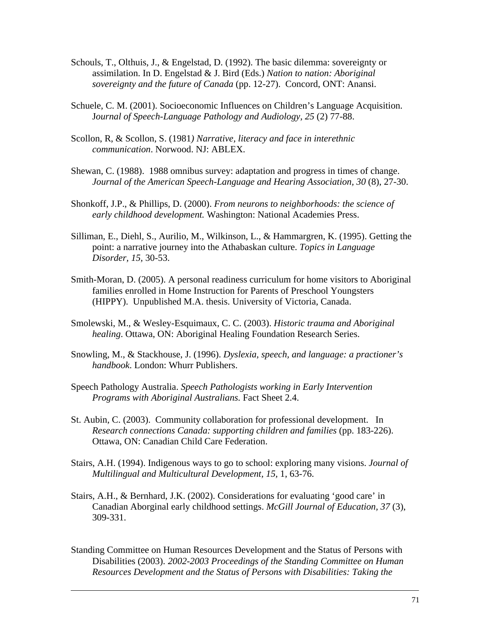- Schouls, T., Olthuis, J., & Engelstad, D. (1992). The basic dilemma: sovereignty or assimilation. In D. Engelstad & J. Bird (Eds.) *Nation to nation: Aboriginal sovereignty and the future of Canada* (pp. 12-27). Concord, ONT: Anansi.
- Schuele, C. M. (2001). Socioeconomic Influences on Children's Language Acquisition. J*ournal of Speech-Language Pathology and Audiology, 25* (2) 77-88.
- Scollon, R, & Scollon, S. (1981*) Narrative, literacy and face in interethnic communication*. Norwood. NJ: ABLEX.
- Shewan, C. (1988). 1988 omnibus survey: adaptation and progress in times of change. *Journal of the American Speech-Language and Hearing Association, 30 (8), 27-30.*
- Shonkoff, J.P., & Phillips, D. (2000). *From neurons to neighborhoods: the science of early childhood development.* Washington: National Academies Press.
- Silliman, E., Diehl, S., Aurilio, M., Wilkinson, L., & Hammargren, K. (1995). Getting the point: a narrative journey into the Athabaskan culture. *Topics in Language Disorder, 15,* 30-53.
- Smith-Moran, D. (2005). A personal readiness curriculum for home visitors to Aboriginal families enrolled in Home Instruction for Parents of Preschool Youngsters (HIPPY). Unpublished M.A. thesis. University of Victoria, Canada.
- Smolewski, M., & Wesley-Esquimaux, C. C. (2003). *Historic trauma and Aboriginal healing*. Ottawa, ON: Aboriginal Healing Foundation Research Series.
- Snowling, M., & Stackhouse, J. (1996). *Dyslexia, speech, and language: a practioner's handbook*. London: Whurr Publishers.
- Speech Pathology Australia. *Speech Pathologists working in Early Intervention Programs with Aboriginal Australians.* Fact Sheet 2.4.
- St. Aubin, C. (2003). Community collaboration for professional development. In *Research connections Canada: supporting children and families* (pp. 183-226). Ottawa, ON: Canadian Child Care Federation.
- Stairs, A.H. (1994). Indigenous ways to go to school: exploring many visions. *Journal of Multilingual and Multicultural Development, 15,* 1, 63-76.
- Stairs, A.H., & Bernhard, J.K. (2002). Considerations for evaluating 'good care' in Canadian Aborginal early childhood settings. *McGill Journal of Education, 37* (3), 309-331.
- Standing Committee on Human Resources Development and the Status of Persons with Disabilities (2003). *2002-2003 Proceedings of the Standing Committee on Human Resources Development and the Status of Persons with Disabilities: Taking the*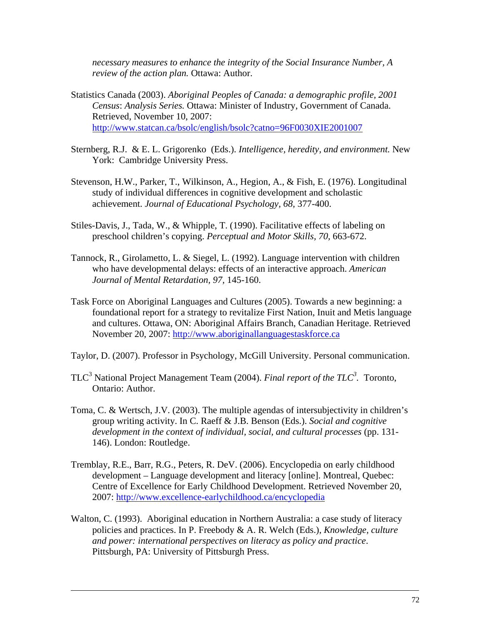*necessary measures to enhance the integrity of the Social Insurance Number, A review of the action plan.* Ottawa: Author.

- Statistics Canada (2003). *Aboriginal Peoples of Canada: a demographic profile, 2001 Census*: *Analysis Series.* Ottawa: Minister of Industry, Government of Canada. Retrieved, November 10, 2007: http://www.statcan.ca/bsolc/english/bsolc?catno=96F0030XIE2001007
- Sternberg, R.J. & E. L. Grigorenko (Eds.). *Intelligence, heredity, and environment.* New York: Cambridge University Press.
- Stevenson, H.W., Parker, T., Wilkinson, A., Hegion, A., & Fish, E. (1976). Longitudinal study of individual differences in cognitive development and scholastic achievement. *Journal of Educational Psychology, 68,* 377-400.
- Stiles-Davis, J., Tada, W., & Whipple, T. (1990). Facilitative effects of labeling on preschool children's copying. *Perceptual and Motor Skills, 70,* 663-672.
- Tannock, R., Girolametto, L. & Siegel, L. (1992). Language intervention with children who have developmental delays: effects of an interactive approach. *American Journal of Mental Retardation, 97,* 145-160.
- Task Force on Aboriginal Languages and Cultures (2005). Towards a new beginning: a foundational report for a strategy to revitalize First Nation, Inuit and Metis language and cultures. Ottawa, ON: Aboriginal Affairs Branch, Canadian Heritage. Retrieved November 20, 2007: http://www.aboriginallanguagestaskforce.ca
- Taylor, D. (2007). Professor in Psychology, McGill University. Personal communication.
- TLC<sup>3</sup> National Project Management Team (2004). *Final report of the TLC<sup>3</sup>*. Toronto, Ontario: Author.
- Toma, C. & Wertsch, J.V. (2003). The multiple agendas of intersubjectivity in children's group writing activity. In C. Raeff & J.B. Benson (Eds.). *Social and cognitive development in the context of individual, social, and cultural processes* (pp. 131- 146). London: Routledge.
- Tremblay, R.E., Barr, R.G., Peters, R. DeV. (2006). Encyclopedia on early childhood development – Language development and literacy [online]. Montreal, Quebec: Centre of Excellence for Early Childhood Development. Retrieved November 20, 2007: http://www.excellence-earlychildhood.ca/encyclopedia
- Walton, C. (1993). Aboriginal education in Northern Australia: a case study of literacy policies and practices. In P. Freebody & A. R. Welch (Eds.), *Knowledge, culture and power: international perspectives on literacy as policy and practice*. Pittsburgh, PA: University of Pittsburgh Press.